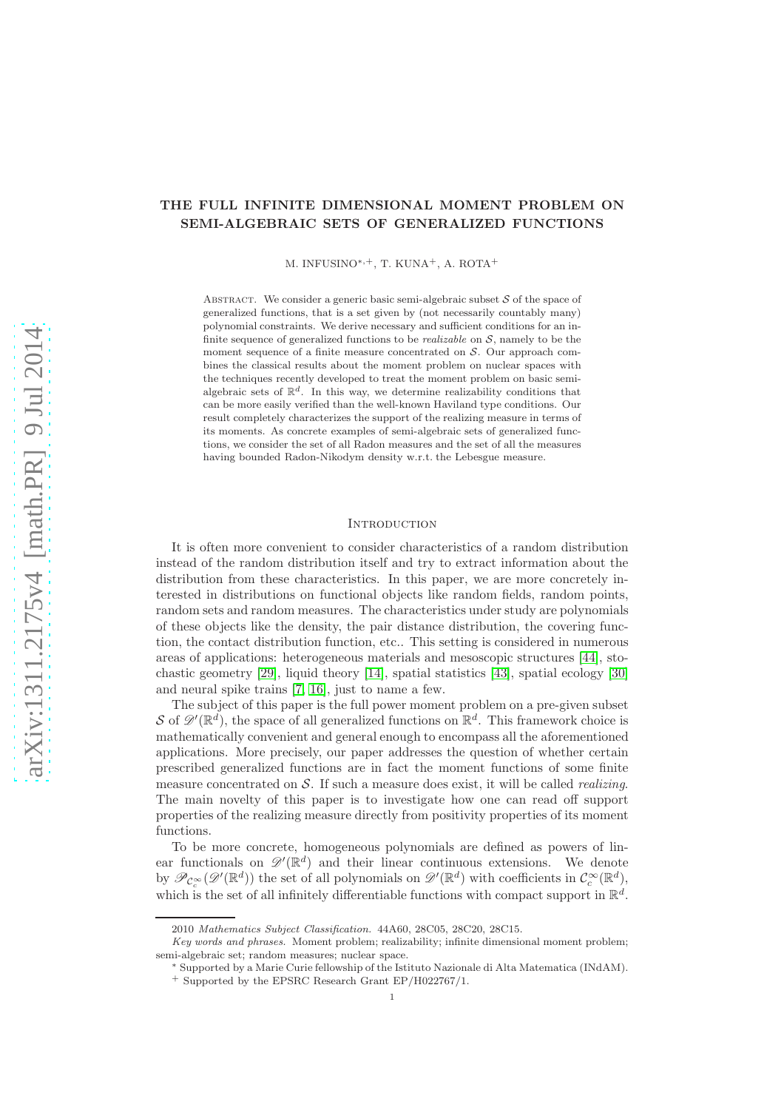# THE FULL INFINITE DIMENSIONAL MOMENT PROBLEM ON SEMI-ALGEBRAIC SETS OF GENERALIZED FUNCTIONS

M. INFUSINO∗,+, T. KUNA+, A. ROTA<sup>+</sup>

ABSTRACT. We consider a generic basic semi-algebraic subset  $S$  of the space of generalized functions, that is a set given by (not necessarily countably many) polynomial constraints. We derive necessary and sufficient conditions for an infinite sequence of generalized functions to be *realizable* on S, namely to be the moment sequence of a finite measure concentrated on  $S$ . Our approach combines the classical results about the moment problem on nuclear spaces with the techniques recently developed to treat the moment problem on basic semialgebraic sets of  $\mathbb{R}^d$ . In this way, we determine realizability conditions that can be more easily verified than the well-known Haviland type conditions. Our result completely characterizes the support of the realizing measure in terms of its moments. As concrete examples of semi-algebraic sets of generalized functions, we consider the set of all Radon measures and the set of all the measures having bounded Radon-Nikodym density w.r.t. the Lebesgue measure.

#### **INTRODUCTION**

It is often more convenient to consider characteristics of a random distribution instead of the random distribution itself and try to extract information about the distribution from these characteristics. In this paper, we are more concretely interested in distributions on functional objects like random fields, random points, random sets and random measures. The characteristics under study are polynomials of these objects like the density, the pair distance distribution, the covering function, the contact distribution function, etc.. This setting is considered in numerous areas of applications: heterogeneous materials and mesoscopic structures [\[44\]](#page-28-0), stochastic geometry [\[29\]](#page-28-1), liquid theory [\[14\]](#page-27-0), spatial statistics [\[43\]](#page-28-2), spatial ecology [\[30\]](#page-28-3) and neural spike trains [\[7,](#page-27-1) [16\]](#page-27-2), just to name a few.

The subject of this paper is the full power moment problem on a pre-given subset S of  $\mathscr{D}'(\mathbb{R}^d)$ , the space of all generalized functions on  $\mathbb{R}^d$ . This framework choice is mathematically convenient and general enough to encompass all the aforementioned applications. More precisely, our paper addresses the question of whether certain prescribed generalized functions are in fact the moment functions of some finite measure concentrated on  $S$ . If such a measure does exist, it will be called *realizing*. The main novelty of this paper is to investigate how one can read off support properties of the realizing measure directly from positivity properties of its moment functions.

To be more concrete, homogeneous polynomials are defined as powers of linear functionals on  $\mathscr{D}'(\mathbb{R}^d)$  and their linear continuous extensions. We denote by  $\mathscr{P}_{\mathcal{C}_c^{\infty}}(\mathscr{D}'(\mathbb{R}^d))$  the set of all polynomials on  $\mathscr{D}'(\mathbb{R}^d)$  with coefficients in  $\mathcal{C}_c^{\infty}(\mathbb{R}^d)$ , which is the set of all infinitely differentiable functions with compact support in  $\mathbb{R}^d$ .

<sup>2010</sup> *Mathematics Subject Classification.* 44A60, 28C05, 28C20, 28C15.

*Key words and phrases.* Moment problem; realizability; infinite dimensional moment problem; semi-algebraic set; random measures; nuclear space.

<sup>∗</sup> Supported by a Marie Curie fellowship of the Istituto Nazionale di Alta Matematica (INdAM). <sup>+</sup> Supported by the EPSRC Research Grant EP/H022767/1.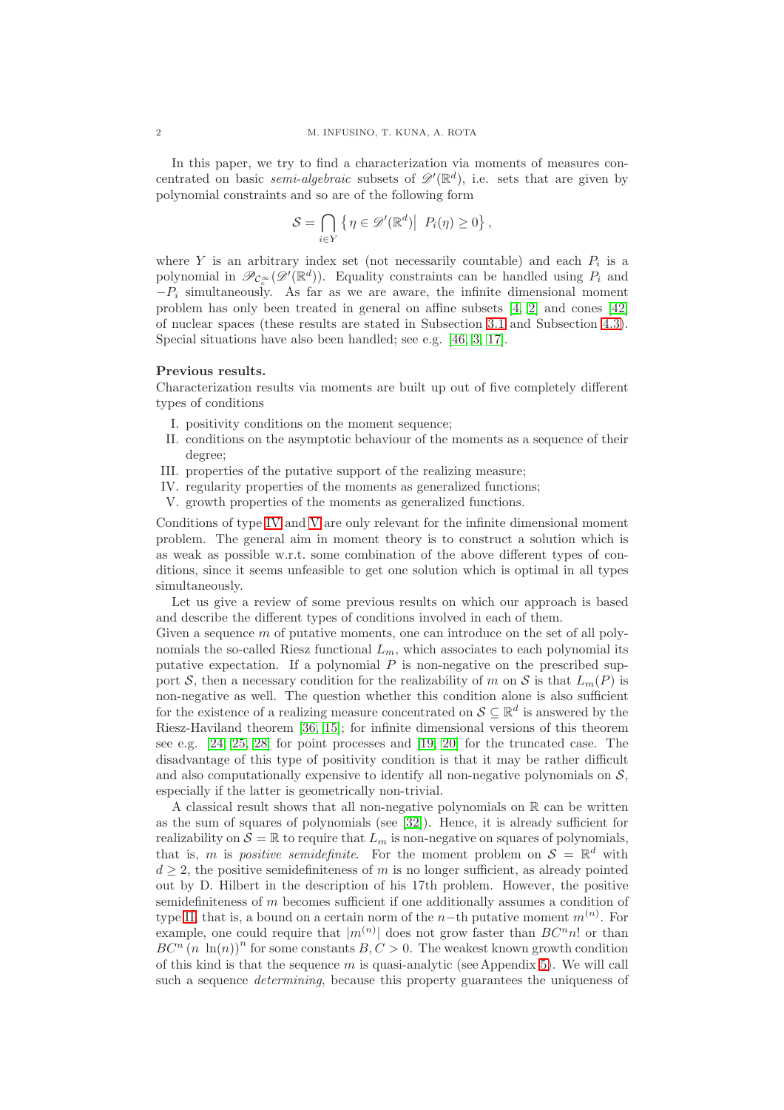In this paper, we try to find a characterization via moments of measures concentrated on basic *semi-algebraic* subsets of  $\mathscr{D}'(\mathbb{R}^d)$ , i.e. sets that are given by polynomial constraints and so are of the following form

$$
S = \bigcap_{i \in Y} \left\{ \eta \in \mathscr{D}'(\mathbb{R}^d) \middle| P_i(\eta) \geq 0 \right\},\
$$

where Y is an arbitrary index set (not necessarily countable) and each  $P_i$  is a polynomial in  $\mathscr{P}_{\mathcal{C}_c^{\infty}}(\mathscr{D}'(\mathbb{R}^d))$ . Equality constraints can be handled using  $P_i$  and  $-P_i$  simultaneously. As far as we are aware, the infinite dimensional moment problem has only been treated in general on affine subsets [\[4,](#page-27-3) [2\]](#page-27-4) and cones [\[42\]](#page-28-4) of nuclear spaces (these results are stated in Subsection [3.1](#page-8-0) and Subsection [4.3\)](#page-17-0). Special situations have also been handled; see e.g. [\[46,](#page-28-5) [3,](#page-27-5) [17\]](#page-27-6).

# Previous results.

Characterization results via moments are built up out of five completely different types of conditions

- <span id="page-1-2"></span>I. positivity conditions on the moment sequence;
- II. conditions on the asymptotic behaviour of the moments as a sequence of their degree;
- <span id="page-1-0"></span>III. properties of the putative support of the realizing measure;
- <span id="page-1-1"></span>IV. regularity properties of the moments as generalized functions;
- V. growth properties of the moments as generalized functions.

Conditions of type [IV](#page-1-0) and [V](#page-1-1) are only relevant for the infinite dimensional moment problem. The general aim in moment theory is to construct a solution which is as weak as possible w.r.t. some combination of the above different types of conditions, since it seems unfeasible to get one solution which is optimal in all types simultaneously.

Let us give a review of some previous results on which our approach is based and describe the different types of conditions involved in each of them.

Given a sequence  $m$  of putative moments, one can introduce on the set of all polynomials the so-called Riesz functional  $L_m$ , which associates to each polynomial its putative expectation. If a polynomial  $P$  is non-negative on the prescribed support S, then a necessary condition for the realizability of m on S is that  $L_m(P)$  is non-negative as well. The question whether this condition alone is also sufficient for the existence of a realizing measure concentrated on  $\mathcal{S} \subseteq \mathbb{R}^d$  is answered by the Riesz-Haviland theorem [\[36,](#page-28-6) [15\]](#page-27-7); for infinite dimensional versions of this theorem see e.g. [\[24,](#page-28-7) [25,](#page-28-8) [28\]](#page-28-9) for point processes and [\[19,](#page-28-10) [20\]](#page-28-11) for the truncated case. The disadvantage of this type of positivity condition is that it may be rather difficult and also computationally expensive to identify all non-negative polynomials on  $S$ , especially if the latter is geometrically non-trivial.

A classical result shows that all non-negative polynomials on  $\mathbb R$  can be written as the sum of squares of polynomials (see [\[32\]](#page-28-12)). Hence, it is already sufficient for realizability on  $S = \mathbb{R}$  to require that  $L_m$  is non-negative on squares of polynomials, that is, m is positive semidefinite. For the moment problem on  $\mathcal{S} = \mathbb{R}^d$  with  $d \geq 2$ , the positive semidefiniteness of m is no longer sufficient, as already pointed out by D. Hilbert in the description of his 17th problem. However, the positive semidefiniteness of m becomes sufficient if one additionally assumes a condition of type [II,](#page-1-2) that is, a bound on a certain norm of the n−th putative moment  $m^{(n)}$ . For example, one could require that  $|m^{(n)}|$  does not grow faster than  $BC<sup>n</sup>n!$  or than  $BC^{n} (n \ln(n))^{n}$  for some constants  $B, C > 0$ . The weakest known growth condition of this kind is that the sequence  $m$  is quasi-analytic (see Appendix [5\)](#page-20-0). We will call such a sequence *determining*, because this property guarantees the uniqueness of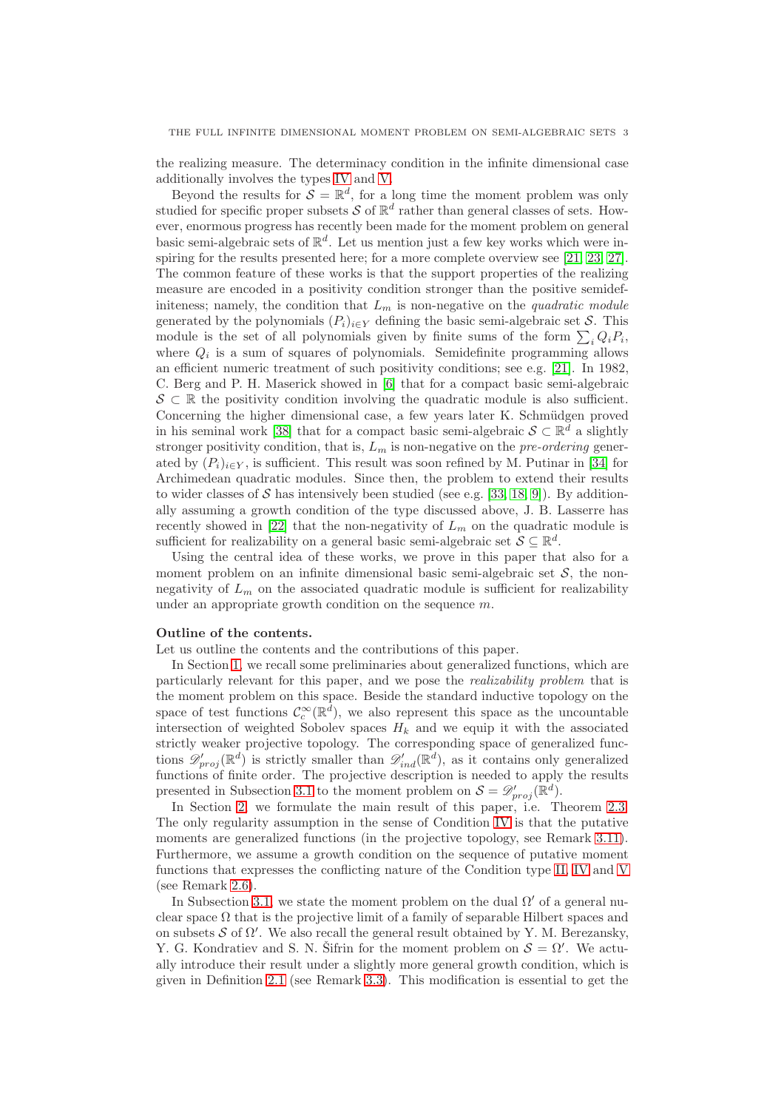the realizing measure. The determinacy condition in the infinite dimensional case additionally involves the types [IV](#page-1-0) and [V.](#page-1-1)

Beyond the results for  $\mathcal{S} = \mathbb{R}^d$ , for a long time the moment problem was only studied for specific proper subsets  $S$  of  $\mathbb{R}^d$  rather than general classes of sets. However, enormous progress has recently been made for the moment problem on general basic semi-algebraic sets of  $\mathbb{R}^d$ . Let us mention just a few key works which were in-spiring for the results presented here; for a more complete overview see [\[21,](#page-28-13) [23,](#page-28-14) [27\]](#page-28-15). The common feature of these works is that the support properties of the realizing measure are encoded in a positivity condition stronger than the positive semidefiniteness; namely, the condition that  $L_m$  is non-negative on the quadratic module generated by the polynomials  $(P_i)_{i\in Y}$  defining the basic semi-algebraic set S. This module is the set of all polynomials given by finite sums of the form  $\sum_i Q_i P_i$ , where  $Q_i$  is a sum of squares of polynomials. Semidefinite programming allows an efficient numeric treatment of such positivity conditions; see e.g. [\[21\]](#page-28-13). In 1982, C. Berg and P. H. Maserick showed in [\[6\]](#page-27-8) that for a compact basic semi-algebraic  $\mathcal{S} \subset \mathbb{R}$  the positivity condition involving the quadratic module is also sufficient. Concerning the higher dimensional case, a few years later K. Schmüdgen proved in his seminal work [\[38\]](#page-28-16) that for a compact basic semi-algebraic  $S \subset \mathbb{R}^d$  a slightly stronger positivity condition, that is,  $L_m$  is non-negative on the *pre-ordering* generated by  $(P_i)_{i\in Y}$ , is sufficient. This result was soon refined by M. Putinar in [\[34\]](#page-28-17) for Archimedean quadratic modules. Since then, the problem to extend their results to wider classes of S has intensively been studied (see e.g. [\[33,](#page-28-18) [18,](#page-28-19) [9\]](#page-27-9)). By additionally assuming a growth condition of the type discussed above, J. B. Lasserre has recently showed in [\[22\]](#page-28-20) that the non-negativity of  $L_m$  on the quadratic module is sufficient for realizability on a general basic semi-algebraic set  $S \subseteq \mathbb{R}^d$ .

Using the central idea of these works, we prove in this paper that also for a moment problem on an infinite dimensional basic semi-algebraic set  $S$ , the nonnegativity of  $L_m$  on the associated quadratic module is sufficient for realizability under an appropriate growth condition on the sequence m.

# Outline of the contents.

Let us outline the contents and the contributions of this paper.

In Section [1,](#page-3-0) we recall some preliminaries about generalized functions, which are particularly relevant for this paper, and we pose the realizability problem that is the moment problem on this space. Beside the standard inductive topology on the space of test functions  $\mathcal{C}_c^{\infty}(\mathbb{R}^d)$ , we also represent this space as the uncountable intersection of weighted Sobolev spaces  $H_k$  and we equip it with the associated strictly weaker projective topology. The corresponding space of generalized functions  $\mathscr{D}'_{proj}(\mathbb{R}^d)$  is strictly smaller than  $\mathscr{D}'_{ind}(\mathbb{R}^d)$ , as it contains only generalized functions of finite order. The projective description is needed to apply the results presented in Subsection [3.1](#page-8-0) to the moment problem on  $S = \mathscr{D}'_{proj}(\mathbb{R}^d)$ .

In Section [2,](#page-5-0) we formulate the main result of this paper, i.e. Theorem [2.3.](#page-6-0) The only regularity assumption in the sense of Condition [IV](#page-1-0) is that the putative moments are generalized functions (in the projective topology, see Remark [3.11\)](#page-13-0). Furthermore, we assume a growth condition on the sequence of putative moment functions that expresses the conflicting nature of the Condition type [II,](#page-1-2) [IV](#page-1-0) and [V](#page-1-1) (see Remark [2.6\)](#page-7-0).

In Subsection [3.1,](#page-8-0) we state the moment problem on the dual  $\Omega'$  of a general nuclear space  $\Omega$  that is the projective limit of a family of separable Hilbert spaces and on subsets  $\mathcal S$  of  $\Omega'$ . We also recall the general result obtained by Y. M. Berezansky, Y. G. Kondratiev and S. N. Sifrin for the moment problem on  $\mathcal{S} = \Omega'$ . We actually introduce their result under a slightly more general growth condition, which is given in Definition [2.1](#page-6-1) (see Remark [3.3\)](#page-9-0). This modification is essential to get the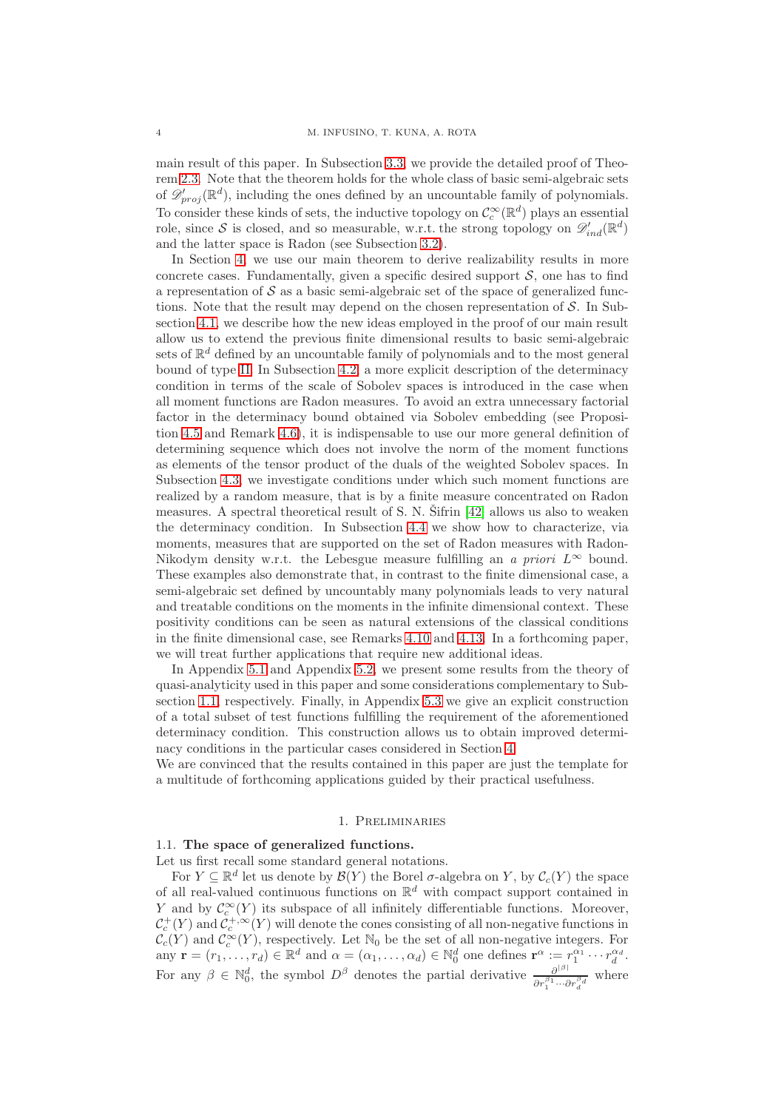main result of this paper. In Subsection [3.3,](#page-10-0) we provide the detailed proof of Theorem [2.3.](#page-6-0) Note that the theorem holds for the whole class of basic semi-algebraic sets of  $\mathscr{D}'_{proj}(\mathbb{R}^d)$ , including the ones defined by an uncountable family of polynomials. To consider these kinds of sets, the inductive topology on  $\mathcal{C}_c^{\infty}(\mathbb{R}^d)$  plays an essential role, since S is closed, and so measurable, w.r.t. the strong topology on  $\mathscr{D}'_{ind}(\mathbb{R}^d)$ and the latter space is Radon (see Subsection [3.2\)](#page-9-1).

In Section [4,](#page-14-0) we use our main theorem to derive realizability results in more concrete cases. Fundamentally, given a specific desired support  $S$ , one has to find a representation of  $S$  as a basic semi-algebraic set of the space of generalized functions. Note that the result may depend on the chosen representation of  $\mathcal{S}$ . In Subsection [4.1,](#page-14-1) we describe how the new ideas employed in the proof of our main result allow us to extend the previous finite dimensional results to basic semi-algebraic sets of  $\mathbb{R}^d$  defined by an uncountable family of polynomials and to the most general bound of type [II.](#page-1-2) In Subsection [4.2,](#page-15-0) a more explicit description of the determinacy condition in terms of the scale of Sobolev spaces is introduced in the case when all moment functions are Radon measures. To avoid an extra unnecessary factorial factor in the determinacy bound obtained via Sobolev embedding (see Proposition [4.5](#page-16-0) and Remark [4.6\)](#page-17-1), it is indispensable to use our more general definition of determining sequence which does not involve the norm of the moment functions as elements of the tensor product of the duals of the weighted Sobolev spaces. In Subsection [4.3,](#page-17-0) we investigate conditions under which such moment functions are realized by a random measure, that is by a finite measure concentrated on Radon measures. A spectral theoretical result of S. N. Sifrin  $[42]$  allows us also to weaken the determinacy condition. In Subsection [4.4](#page-19-0) we show how to characterize, via moments, measures that are supported on the set of Radon measures with Radon-Nikodym density w.r.t. the Lebesgue measure fulfilling an a priori  $L^{\infty}$  bound. These examples also demonstrate that, in contrast to the finite dimensional case, a semi-algebraic set defined by uncountably many polynomials leads to very natural and treatable conditions on the moments in the infinite dimensional context. These positivity conditions can be seen as natural extensions of the classical conditions in the finite dimensional case, see Remarks [4.10](#page-18-0) and [4.13.](#page-20-1) In a forthcoming paper, we will treat further applications that require new additional ideas.

In Appendix [5.1](#page-20-2) and Appendix [5.2,](#page-22-0) we present some results from the theory of quasi-analyticity used in this paper and some considerations complementary to Subsection [1.1,](#page-3-1) respectively. Finally, in Appendix [5.3](#page-24-0) we give an explicit construction of a total subset of test functions fulfilling the requirement of the aforementioned determinacy condition. This construction allows us to obtain improved determinacy conditions in the particular cases considered in Section [4.](#page-14-0)

We are convinced that the results contained in this paper are just the template for a multitude of forthcoming applications guided by their practical usefulness.

# 1. Preliminaries

# <span id="page-3-1"></span><span id="page-3-0"></span>1.1. The space of generalized functions.

Let us first recall some standard general notations.

For  $Y \subseteq \mathbb{R}^d$  let us denote by  $\mathcal{B}(Y)$  the Borel  $\sigma$ -algebra on Y, by  $\mathcal{C}_c(Y)$  the space of all real-valued continuous functions on  $\mathbb{R}^d$  with compact support contained in Y and by  $\mathcal{C}_c^{\infty}(Y)$  its subspace of all infinitely differentiable functions. Moreover,  $\mathcal{C}_c^+(Y)$  and  $\mathcal{C}_c^{+,\infty}(Y)$  will denote the cones consisting of all non-negative functions in  $\mathcal{C}_c(Y)$  and  $\mathcal{C}_c^{\infty}(Y)$ , respectively. Let  $\mathbb{N}_0$  be the set of all non-negative integers. For any  $\mathbf{r} = (r_1, \ldots, r_d) \in \mathbb{R}^d$  and  $\alpha = (\alpha_1, \ldots, \alpha_d) \in \mathbb{N}_0^d$  one defines  $\mathbf{r}^{\alpha} := r_1^{\alpha_1} \cdots r_d^{\alpha_d}$ . For any  $\beta \in \mathbb{N}_0^d$ , the symbol  $D^{\beta}$  denotes the partial derivative  $\frac{\partial^{|\beta|}}{\partial r^{\beta_1} \cdots \beta_k}$  $\frac{\partial^{n+1}}{\partial r_1^{\beta_1} \cdots \partial r_d^{\beta_d}}$  where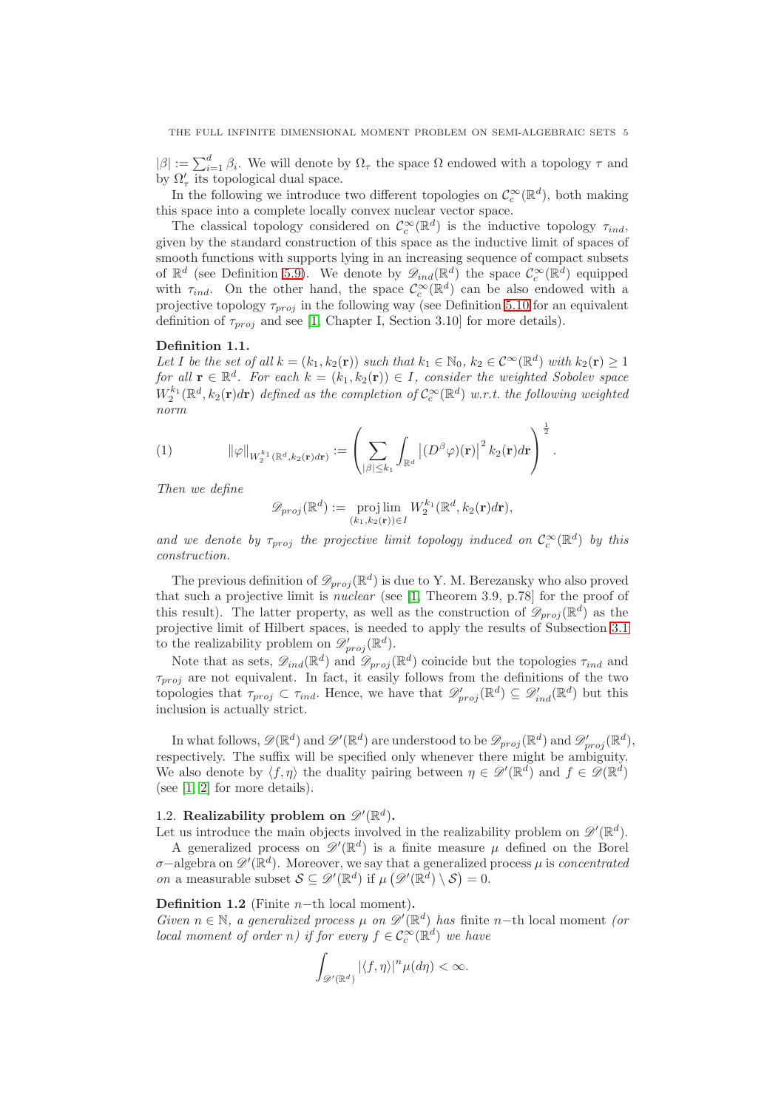$|\beta| := \sum_{i=1}^d \beta_i$ . We will denote by  $\Omega_\tau$  the space  $\Omega$  endowed with a topology  $\tau$  and by  $\Omega'_{\tau}$  its topological dual space.

In the following we introduce two different topologies on  $\mathcal{C}_c^{\infty}(\mathbb{R}^d)$ , both making this space into a complete locally convex nuclear vector space.

The classical topology considered on  $\mathcal{C}_c^{\infty}(\mathbb{R}^d)$  is the inductive topology  $\tau_{ind}$ , given by the standard construction of this space as the inductive limit of spaces of smooth functions with supports lying in an increasing sequence of compact subsets of  $\mathbb{R}^d$  (see Definition [5.9\)](#page-22-1). We denote by  $\mathscr{D}_{ind}(\mathbb{R}^d)$  the space  $\mathcal{C}_c^{\infty}(\mathbb{R}^d)$  equipped with  $\tau_{ind}$ . On the other hand, the space  $\mathcal{C}_c^{\infty}(\mathbb{R}^d)$  can be also endowed with a projective topology  $\tau_{proj}$  in the following way (see Definition [5.10](#page-22-2) for an equivalent definition of  $\tau_{proj}$  and see [\[1,](#page-27-10) Chapter I, Section 3.10] for more details).

# <span id="page-4-0"></span>Definition 1.1.

Let I be the set of all  $k = (k_1, k_2(\mathbf{r}))$  such that  $k_1 \in \mathbb{N}_0$ ,  $k_2 \in C^{\infty}(\mathbb{R}^d)$  with  $k_2(\mathbf{r}) \geq 1$ for all  $\mathbf{r} \in \mathbb{R}^d$ . For each  $k = (k_1, k_2(\mathbf{r})) \in I$ , consider the weighted Sobolev space  $W_2^{k_1}(\mathbb{R}^d, k_2(\mathbf{r})d\mathbf{r})$  defined as the completion of  $\mathcal{C}_c^{\infty}(\mathbb{R}^d)$  w.r.t. the following weighted norm

(1) 
$$
\|\varphi\|_{W_2^{k_1}(\mathbb{R}^d,k_2(\mathbf{r})d\mathbf{r})} := \left(\sum_{|\beta| \leq k_1} \int_{\mathbb{R}^d} \left| (D^\beta \varphi)(\mathbf{r}) \right|^2 k_2(\mathbf{r}) d\mathbf{r}\right)^{\frac{1}{2}}.
$$

Then we define

<span id="page-4-2"></span>
$$
\mathscr{D}_{proj}(\mathbb{R}^d) := \underset{(k_1, k_2(\mathbf{r})) \in I}{\text{proj lim}} W_2^{k_1}(\mathbb{R}^d, k_2(\mathbf{r})d\mathbf{r}),
$$

and we denote by  $\tau_{proj}$  the projective limit topology induced on  $C_c^{\infty}(\mathbb{R}^d)$  by this construction.

The previous definition of  $\mathscr{D}_{proj}(\mathbb{R}^d)$  is due to Y. M. Berezansky who also proved that such a projective limit is nuclear (see [\[1,](#page-27-10) Theorem 3.9, p.78] for the proof of this result). The latter property, as well as the construction of  $\mathscr{D}_{proj}(\mathbb{R}^d)$  as the projective limit of Hilbert spaces, is needed to apply the results of Subsection [3.1](#page-8-0) to the realizability problem on  $\mathscr{D}'_{proj}(\mathbb{R}^d)$ .

Note that as sets,  $\mathscr{D}_{ind}(\mathbb{R}^d)$  and  $\mathscr{D}_{proj}(\mathbb{R}^d)$  coincide but the topologies  $\tau_{ind}$  and  $\tau_{proj}$  are not equivalent. In fact, it easily follows from the definitions of the two topologies that  $\tau_{proj} \subset \tau_{ind}$ . Hence, we have that  $\mathscr{D}'_{proj}(\mathbb{R}^d) \subseteq \mathscr{D}'_{ind}(\mathbb{R}^d)$  but this inclusion is actually strict.

In what follows,  $\mathscr{D}(\mathbb{R}^d)$  and  $\mathscr{D}'(\mathbb{R}^d)$  are understood to be  $\mathscr{D}_{proj}(\mathbb{R}^d)$  and  $\mathscr{D}'_{proj}(\mathbb{R}^d)$ , respectively. The suffix will be specified only whenever there might be ambiguity. We also denote by  $\langle f, \eta \rangle$  the duality pairing between  $\eta \in \mathscr{D}(\mathbb{R}^d)$  and  $f \in \mathscr{D}(\mathbb{R}^d)$ (see [\[1,](#page-27-10) [2\]](#page-27-4) for more details).

# <span id="page-4-1"></span>1.2. Realizability problem on  $\mathscr{D}'(\mathbb{R}^d)$ .

Let us introduce the main objects involved in the realizability problem on  $\mathscr{D}'(\mathbb{R}^d)$ .

A generalized process on  $\mathscr{D}'(\mathbb{R}^d)$  is a finite measure  $\mu$  defined on the Borel  $\sigma$ −algebra on  $\mathscr{D}'(\mathbb{R}^d)$ . Moreover, we say that a generalized process  $\mu$  is concentrated *on* a measurable subset  $S \subseteq \mathscr{D}'(\mathbb{R}^d)$  if  $\mu(\mathscr{D}'(\mathbb{R}^d) \setminus S) = 0$ .

# Definition 1.2 (Finite  $n$ -th local moment).

Given  $n \in \mathbb{N}$ , a generalized process  $\mu$  on  $\mathscr{D}'(\mathbb{R}^d)$  has finite n−th local moment (or local moment of order n) if for every  $f \in C_c^{\infty}(\mathbb{R}^d)$  we have

$$
\int_{\mathscr{D}'(\mathbb{R}^d)} |\langle f, \eta \rangle|^n \mu(d\eta) < \infty.
$$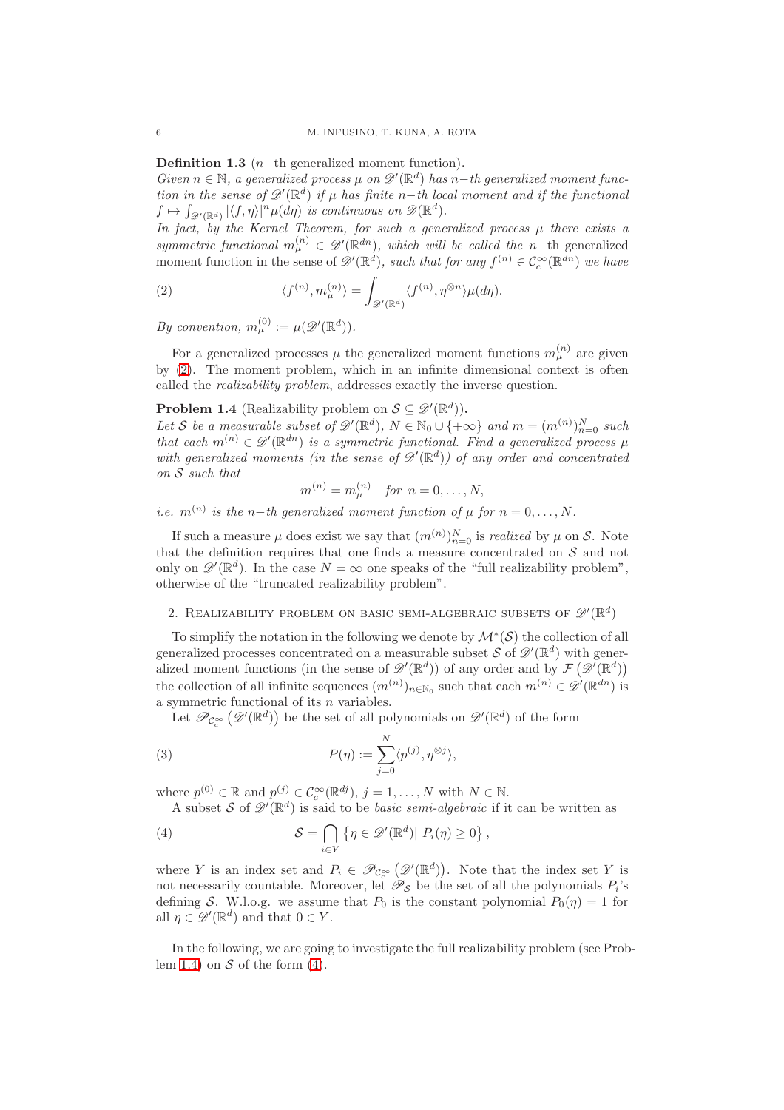Definition 1.3  $(n-th$  generalized moment function).

Given  $n \in \mathbb{N}$ , a generalized process  $\mu$  on  $\mathscr{D}'(\mathbb{R}^d)$  has n-th generalized moment function in the sense of  $\mathscr{D}'(\mathbb{R}^d)$  if  $\mu$  has finite n-th local moment and if the functional  $f \mapsto \int_{\mathscr{D}'(\mathbb{R}^d)} |\langle f, \eta \rangle|^n \mu(d\eta)$  is continuous on  $\mathscr{D}(\mathbb{R}^d)$ .

In fact, by the Kernel Theorem, for such a generalized process  $\mu$  there exists a symmetric functional  $m_{\mu}^{(n)} \in \mathscr{D}'(\mathbb{R}^{dn})$ , which will be called the n-th generalized moment function in the sense of  $\mathscr{D}'(\mathbb{R}^d)$ , such that for any  $f^{(n)} \in C_c^{\infty}(\mathbb{R}^{dn})$  we have

<span id="page-5-1"></span>(2) 
$$
\langle f^{(n)}, m_{\mu}^{(n)} \rangle = \int_{\mathscr{D}'(\mathbb{R}^d)} \langle f^{(n)}, \eta^{\otimes n} \rangle \mu(d\eta).
$$

By convention,  $m_{\mu}^{(0)} := \mu(\mathscr{D}'(\mathbb{R}^d)).$ 

For a generalized processes  $\mu$  the generalized moment functions  $m_{\mu}^{(n)}$  are given by [\(2\)](#page-5-1). The moment problem, which in an infinite dimensional context is often called the realizability problem, addresses exactly the inverse question.

# <span id="page-5-2"></span>**Problem 1.4** (Realizability problem on  $S \subseteq \mathscr{D}'(\mathbb{R}^d)$ ).

Let S be a measurable subset of  $\mathscr{D}'(\mathbb{R}^d)$ ,  $N \in \mathbb{N}_0 \cup \{+\infty\}$  and  $m = (m^{(n)})_{n=0}^N$  such that each  $m^{(n)} \in \mathscr{D}'(\mathbb{R}^{dn})$  is a symmetric functional. Find a generalized process  $\mu$ with generalized moments (in the sense of  $\mathscr{D}'(\mathbb{R}^d)$ ) of any order and concentrated on S such that

$$
m^{(n)} = m_{\mu}^{(n)} \quad \text{for } n = 0, \dots, N,
$$

i.e.  $m^{(n)}$  is the n−th generalized moment function of  $\mu$  for  $n = 0, ..., N$ .

If such a measure  $\mu$  does exist we say that  $(m^{(n)})_{n=0}^N$  is *realized* by  $\mu$  on S. Note that the definition requires that one finds a measure concentrated on  $S$  and not only on  $\mathscr{D}'(\mathbb{R}^d)$ . In the case  $N = \infty$  one speaks of the "full realizability problem", otherwise of the "truncated realizability problem".

# <span id="page-5-0"></span>2. REALIZABILITY PROBLEM ON BASIC SEMI-ALGEBRAIC SUBSETS OF  $\mathscr{D}'(\mathbb{R}^d)$

To simplify the notation in the following we denote by  $\mathcal{M}^*(\mathcal{S})$  the collection of all generalized processes concentrated on a measurable subset S of  $\mathscr{D}'(\mathbb{R}^d)$  with generalized moment functions (in the sense of  $\mathscr{D}'(\mathbb{R}^d)$ ) of any order and by  $\mathcal{F}(\mathscr{D}'(\mathbb{R}^d))$ the collection of all infinite sequences  $(m^{(n)})_{n \in \mathbb{N}_0}$  such that each  $m^{(n)} \in \mathscr{D}'(\mathbb{R}^{dn})$  is a symmetric functional of its n variables.

<span id="page-5-4"></span>Let  $\mathscr{P}_{\mathcal{C}^\infty_c}(\mathscr{D}'(\mathbb{R}^d))$  be the set of all polynomials on  $\mathscr{D}'(\mathbb{R}^d)$  of the form

(3) 
$$
P(\eta) := \sum_{j=0}^{N} \langle p^{(j)}, \eta^{\otimes j} \rangle,
$$

where  $p^{(0)} \in \mathbb{R}$  and  $p^{(j)} \in C_c^{\infty}(\mathbb{R}^{dj}), j = 1, ..., N$  with  $N \in \mathbb{N}$ . A subset S of  $\mathscr{D}'(\mathbb{R}^d)$  is said to be *basic semi-algebraic* if it can be written as

<span id="page-5-3"></span>(4) 
$$
\mathcal{S} = \bigcap_{i \in Y} \{ \eta \in \mathscr{D}'(\mathbb{R}^d) | P_i(\eta) \geq 0 \},
$$

where Y is an index set and  $P_i \in \mathscr{P}_{\mathcal{C}^\infty_c}(\mathscr{D}'(\mathbb{R}^d))$ . Note that the index set Y is not necessarily countable. Moreover, let  $\mathscr{P}_{\mathcal{S}}$  be the set of all the polynomials  $P_i$ 's defining S. W.l.o.g. we assume that  $P_0$  is the constant polynomial  $P_0(\eta) = 1$  for all  $\eta \in \mathscr{D}'(\mathbb{R}^d)$  and that  $0 \in Y$ .

In the following, we are going to investigate the full realizability problem (see Prob-lem [1.4\)](#page-5-2) on  $S$  of the form  $(4)$ .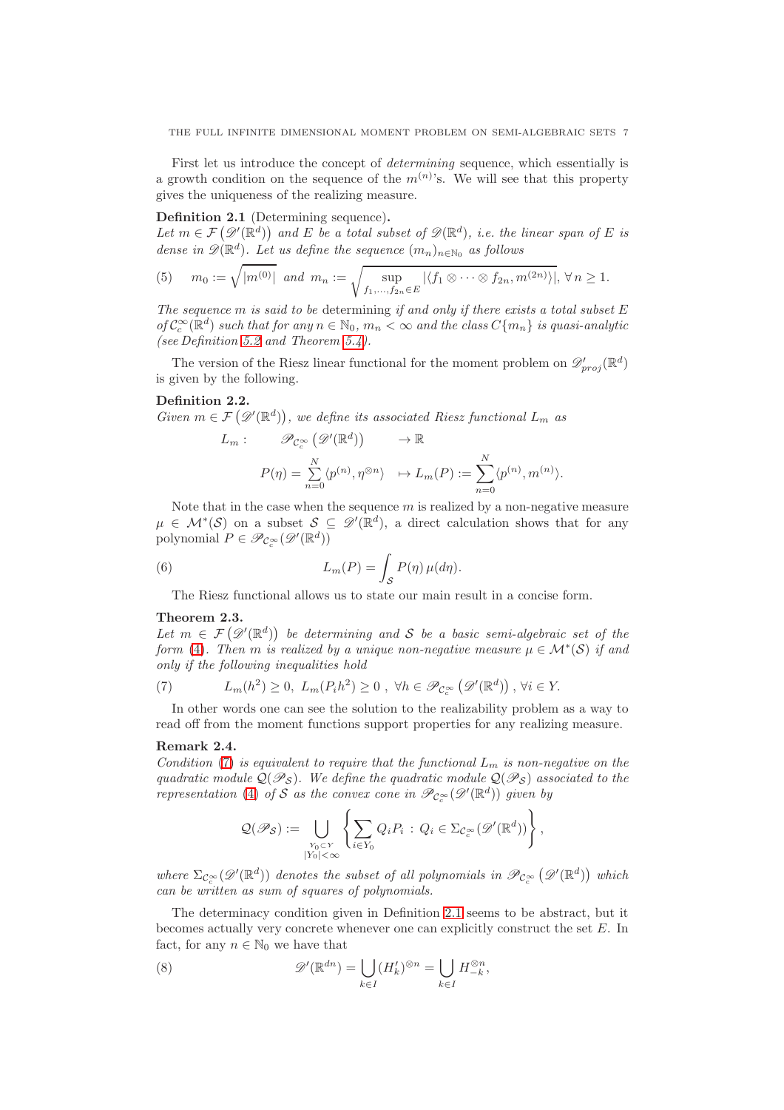First let us introduce the concept of determining sequence, which essentially is a growth condition on the sequence of the  $m^{(n)}$ 's. We will see that this property gives the uniqueness of the realizing measure.

# <span id="page-6-1"></span>Definition 2.1 (Determining sequence).

Let  $m \in \mathcal{F}(\mathscr{D}'(\mathbb{R}^d))$  and E be a total subset of  $\mathscr{D}(\mathbb{R}^d)$ , i.e. the linear span of E is dense in  $\mathscr{D}(\mathbb{R}^d)$ . Let us define the sequence  $(m_n)_{n \in \mathbb{N}_0}$  as follows

<span id="page-6-4"></span>(5) 
$$
m_0 := \sqrt{|m^{(0)}|}
$$
 and  $m_n := \sqrt{\sup_{f_1, ..., f_{2n} \in E} |\langle f_1 \otimes \cdots \otimes f_{2n}, m^{(2n)} \rangle|}, \forall n \ge 1.$ 

The sequence  $m$  is said to be determining if and only if there exists a total subset  $E$ of  $C_c^{\infty}(\mathbb{R}^d)$  such that for any  $n \in \mathbb{N}_0$ ,  $m_n < \infty$  and the class  $C\{m_n\}$  is quasi-analytic (see Definition [5.2](#page-20-3) and Theorem [5.4\)](#page-21-0).

The version of the Riesz linear functional for the moment problem on  $\mathscr{D}'_{proj}(\mathbb{R}^d)$ is given by the following.

# <span id="page-6-5"></span>Definition 2.2.

Given  $m \in \mathcal{F}(\mathcal{D}'(\mathbb{R}^d))$ , we define its associated Riesz functional  $L_m$  as

$$
L_m: \mathscr{P}_{\mathcal{C}_c^{\infty}}(\mathscr{D}'(\mathbb{R}^d)) \longrightarrow \mathbb{R}
$$
  

$$
P(\eta) = \sum_{n=0}^N \langle p^{(n)}, \eta^{\otimes n} \rangle \longrightarrow L_m(P) := \sum_{n=0}^N \langle p^{(n)}, m^{(n)} \rangle.
$$

Note that in the case when the sequence  $m$  is realized by a non-negative measure  $\mu \in \mathcal{M}^*(\mathcal{S})$  on a subset  $\mathcal{S} \subseteq \mathscr{D}'(\mathbb{R}^d)$ , a direct calculation shows that for any polynomial  $P \in \mathscr{P}_{\mathcal{C}_c^{\infty}}(\mathscr{D}'(\mathbb{R}^d))$ 

(6) 
$$
L_m(P) = \int_{\mathcal{S}} P(\eta) \,\mu(d\eta).
$$

<span id="page-6-6"></span>The Riesz functional allows us to state our main result in a concise form.

# <span id="page-6-0"></span>Theorem 2.3.

Let  $m \in \mathcal{F}(\mathscr{D}'(\mathbb{R}^d))$  be determining and S be a basic semi-algebraic set of the form [\(4\)](#page-5-3). Then m is realized by a unique non-negative measure  $\mu \in \mathcal{M}^*(\mathcal{S})$  if and only if the following inequalities hold

<span id="page-6-2"></span>(7) 
$$
L_m(h^2) \geq 0, \ L_m(P_i h^2) \geq 0, \ \forall h \in \mathscr{P}_{\mathcal{C}_c^{\infty}}\left(\mathscr{D}'(\mathbb{R}^d)\right), \ \forall i \in Y.
$$

In other words one can see the solution to the realizability problem as a way to read off from the moment functions support properties for any realizing measure.

# Remark 2.4.

Condition [\(7\)](#page-6-2) is equivalent to require that the functional  $L_m$  is non-negative on the quadratic module  $\mathcal{Q}(\mathscr{P}_{\mathcal{S}})$ . We define the quadratic module  $\mathcal{Q}(\mathscr{P}_{\mathcal{S}})$  associated to the representation [\(4\)](#page-5-3) of S as the convex cone in  $\mathscr{P}_{\mathcal{C}^{\infty}_{c}}(\mathscr{D}'(\mathbb{R}^{d}))$  given by

$$
\mathcal{Q}(\mathscr{P}_{\mathcal{S}}) := \bigcup_{\substack{Y_0 \subset Y \\ |Y_0| < \infty}} \left\{ \sum_{i \in Y_0} Q_i P_i \, : \, Q_i \in \Sigma_{\mathcal{C}_c^{\infty}}(\mathscr{D}'(\mathbb{R}^d)) \right\},
$$

where  $\Sigma_{\mathcal{C}_c^{\infty}}(\mathscr{D}'(\mathbb{R}^d))$  denotes the subset of all polynomials in  $\mathscr{P}_{\mathcal{C}_c^{\infty}}(\mathscr{D}'(\mathbb{R}^d))$  which can be written as sum of squares of polynomials.

The determinacy condition given in Definition [2.1](#page-6-1) seems to be abstract, but it becomes actually very concrete whenever one can explicitly construct the set E. In fact, for any  $n \in \mathbb{N}_0$  we have that

<span id="page-6-3"></span>(8) 
$$
\mathscr{D}'(\mathbb{R}^{dn}) = \bigcup_{k \in I} (H'_k)^{\otimes n} = \bigcup_{k \in I} H_{-k}^{\otimes n},
$$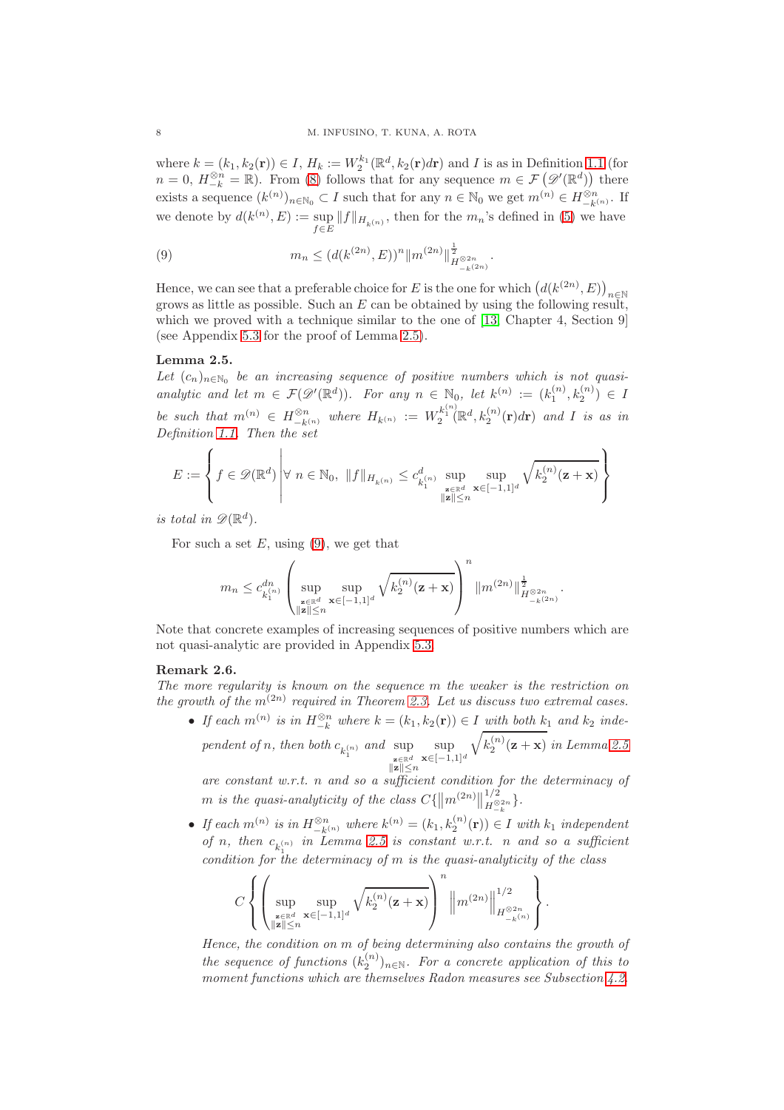where  $k = (k_1, k_2(\mathbf{r})) \in I$ ,  $H_k := W_2^{k_1}(\mathbb{R}^d, k_2(\mathbf{r})d\mathbf{r})$  and I is as in Definition [1.1](#page-4-0) (for  $n = 0, H_{-k}^{\otimes n} = \mathbb{R}$ . From [\(8\)](#page-6-3) follows that for any sequence  $m \in \mathcal{F}(\mathscr{D}'(\mathbb{R}^d))$  there exists a sequence  $(k^{(n)})_{n \in \mathbb{N}_0} \subset I$  such that for any  $n \in \mathbb{N}_0$  we get  $m^{(n)} \in H^{\otimes n}_{-k^{(n)}}$ . If we denote by  $d(k^{(n)}, E) := \sup$  $\sup_{f\in E} ||f||_{H_{k(n)}}$ , then for the  $m_n$ 's defined in [\(5\)](#page-6-4) we have

<span id="page-7-2"></span>(9) 
$$
m_n \le (d(k^{(2n)}, E))^n ||m^{(2n)}||_{H^{\otimes 2n}_{-k^{(2n)}}}^{\frac{1}{2}}.
$$

Hence, we can see that a preferable choice for E is the one for which  $(d(k^{(2n)}, E))_{n \in \mathbb{N}}$ grows as little as possible. Such an  $E$  can be obtained by using the following result, which we proved with a technique similar to the one of [\[13,](#page-27-11) Chapter 4, Section 9] (see Appendix [5.3](#page-24-0) for the proof of Lemma [2.5\)](#page-7-1).

# <span id="page-7-1"></span>Lemma 2.5.

Let  $(c_n)_{n \in \mathbb{N}_0}$  be an increasing sequence of positive numbers which is not quasianalytic and let  $m \in \mathcal{F}(\mathcal{D}'(\mathbb{R}^d))$ . For any  $n \in \mathbb{N}_0$ , let  $k^{(n)} := (k_1^{(n)}, k_2^{(n)}) \in I$ be such that  $m^{(n)} \in H^{\otimes n}_{-k^{(n)}}$  where  $H_{k^{(n)}} := W_2^{k_1^{(n)}}(\mathbb{R}^d, k_2^{(n)}(\mathbf{r})d\mathbf{r})$  and I is as in Definition [1.1.](#page-4-0) Then the set

$$
E := \left\{ f \in \mathscr{D}(\mathbb{R}^d) \middle| \forall n \in \mathbb{N}_0, \ \|f\|_{H_{k(n)}} \leq c_{k_1^{(n)}}^d \sup_{\substack{\mathbf{z} \in \mathbb{R}^d \\ \|\mathbf{z}\| \leq n}} \sup_{\mathbf{x} \in [-1,1]^d} \sqrt{k_2^{(n)}(\mathbf{z} + \mathbf{x})} \right\}
$$

is total in  $\mathscr{D}(\mathbb{R}^d)$ .

For such a set  $E$ , using [\(9\)](#page-7-2), we get that

$$
m_n \leq c_{k_1^{(n)}}^{dn} \left( \sup_{\substack{\mathbf{z} \in \mathbb{R}^d \\ \|\mathbf{z}\| \leq n}} \sup_{\mathbf{x} \in [-1,1]^d} \sqrt{k_2^{(n)}(\mathbf{z} + \mathbf{x})} \right)^n \|m^{(2n)}\|_{H^{ \otimes 2n}_{-k^{(2n)}}}^{\frac{1}{2}}.
$$

Note that concrete examples of increasing sequences of positive numbers which are not quasi-analytic are provided in Appendix [5.3.](#page-24-0)

# <span id="page-7-0"></span>Remark 2.6.

The more regularity is known on the sequence m the weaker is the restriction on the growth of the  $m^{(2n)}$  required in Theorem [2.3.](#page-6-0) Let us discuss two extremal cases.

• If each  $m^{(n)}$  is in  $H_{-k}^{\otimes n}$  where  $k = (k_1, k_2(\mathbf{r})) \in I$  with both  $k_1$  and  $k_2$  independent of n, then both  $c_{k_1^{(n)}}$  and  $\sup_{\epsilon \in \mathbb{R}^d}$  $\frac{\mathbf{z} \in \mathbb{R}^d}{\|\mathbf{z}\| \leq n}$ sup  $\mathbf{x}\in[-1,1]^d$  $\sqrt{k_2^{(n)}(\mathbf{z}+\mathbf{x})}$  in Lemma [2.5](#page-7-1)

are constant w.r.t. n and so a sufficient condition for the determinacy of  $m$  is the quasi-analyticity of the class  $C\{\left\|m^{(2n)}\right\|$ 1/2  $H^{\otimes 2n}_{-k}$ .

• If each  $m^{(n)}$  is in  $H_{-k^{(n)}}^{\otimes n}$  where  $k^{(n)} = (k_1, k_2^{(n)}(\mathbf{r})) \in I$  with  $k_1$  independent of n, then  $c_{k_1^{(n)}}$  in Lemma [2.5](#page-7-1) is constant w.r.t. n and so a sufficient condition for the determinacy of m is the quasi-analyticity of the class

$$
C\left\{\left(\sup_{\substack{\mathbf{z}\in\mathbb{R}^d\\ \|\mathbf{z}\|\leq n}}\sup_{\mathbf{x}\in[-1,1]^d}\sqrt{k_2^{(n)}(\mathbf{z}+\mathbf{x})}\right)^n\left\|m^{(2n)}\right\|_{H^{ \otimes 2n}_{-k^{(n)}}}^{1/2}\right\}.
$$

Hence, the condition on m of being determining also contains the growth of the sequence of functions  $(k_2^{(n)})_{n\in\mathbb{N}}$ . For a concrete application of this to moment functions which are themselves Radon measures see Subsection [4.2.](#page-15-0)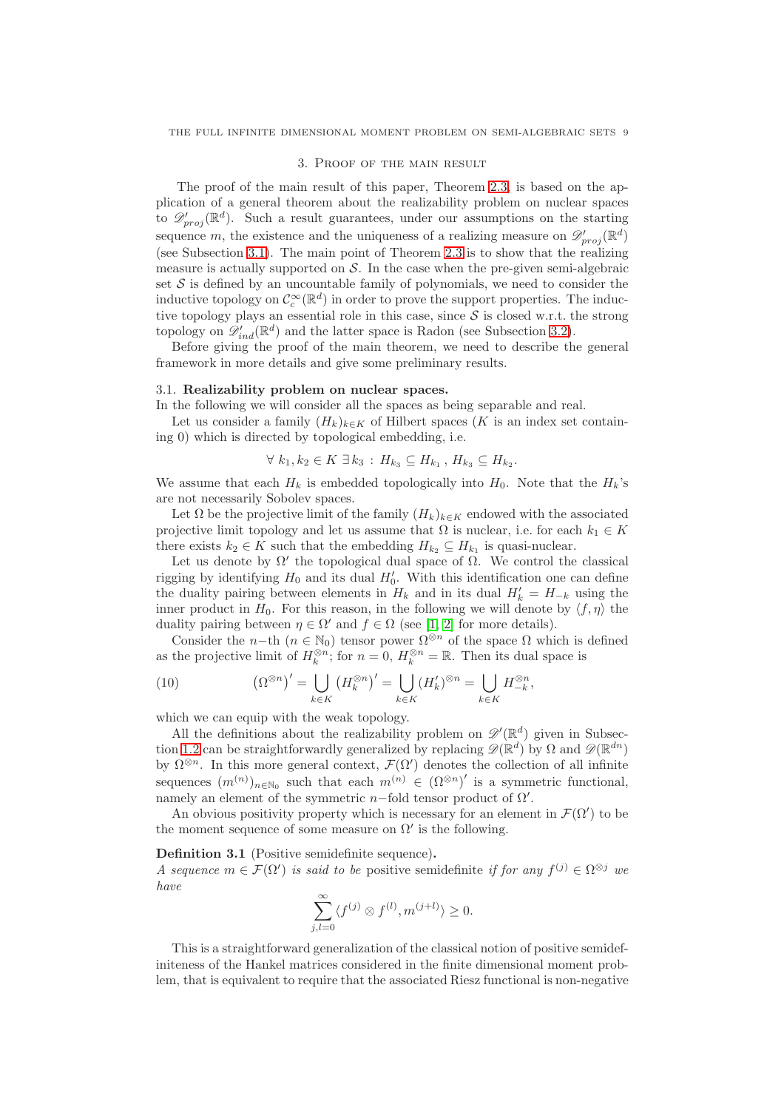#### 3. Proof of the main result

The proof of the main result of this paper, Theorem [2.3,](#page-6-0) is based on the application of a general theorem about the realizability problem on nuclear spaces to  $\mathscr{D}'_{proj}(\mathbb{R}^d)$ . Such a result guarantees, under our assumptions on the starting sequence m, the existence and the uniqueness of a realizing measure on  $\mathscr{D}'_{proj}(\mathbb{R}^d)$ (see Subsection [3.1\)](#page-8-0). The main point of Theorem [2.3](#page-6-0) is to show that the realizing measure is actually supported on  $S$ . In the case when the pre-given semi-algebraic set  $S$  is defined by an uncountable family of polynomials, we need to consider the inductive topology on  $\mathcal{C}_c^{\infty}(\mathbb{R}^d)$  in order to prove the support properties. The inductive topology plays an essential role in this case, since  $S$  is closed w.r.t. the strong topology on  $\mathscr{D}'_{ind}(\mathbb{R}^d)$  and the latter space is Radon (see Subsection [3.2\)](#page-9-1).

Before giving the proof of the main theorem, we need to describe the general framework in more details and give some preliminary results.

# <span id="page-8-0"></span>3.1. Realizability problem on nuclear spaces.

In the following we will consider all the spaces as being separable and real.

Let us consider a family  $(H_k)_{k\in K}$  of Hilbert spaces (K is an index set containing 0) which is directed by topological embedding, i.e.

$$
\forall k_1, k_2 \in K \; \exists k_3 : H_{k_3} \subseteq H_{k_1}, H_{k_3} \subseteq H_{k_2}.
$$

We assume that each  $H_k$  is embedded topologically into  $H_0$ . Note that the  $H_k$ 's are not necessarily Sobolev spaces.

Let  $\Omega$  be the projective limit of the family  $(H_k)_{k\in K}$  endowed with the associated projective limit topology and let us assume that  $\Omega$  is nuclear, i.e. for each  $k_1 \in K$ there exists  $k_2 \in K$  such that the embedding  $H_{k_2} \subseteq H_{k_1}$  is quasi-nuclear.

Let us denote by  $\Omega'$  the topological dual space of  $\Omega$ . We control the classical rigging by identifying  $H_0$  and its dual  $H'_0$ . With this identification one can define the duality pairing between elements in  $H_k$  and in its dual  $H'_k = H_{-k}$  using the inner product in  $H_0$ . For this reason, in the following we will denote by  $\langle f, \eta \rangle$  the duality pairing between  $\eta \in \Omega'$  and  $f \in \Omega$  (see [\[1,](#page-27-10) [2\]](#page-27-4) for more details).

Consider the n−th ( $n \in \mathbb{N}_0$ ) tensor power  $\Omega^{\otimes n}$  of the space  $\Omega$  which is defined as the projective limit of  $H_k^{\otimes n}$ ; for  $n = 0$ ,  $H_k^{\otimes n} = \mathbb{R}$ . Then its dual space is

<span id="page-8-1"></span>(10) 
$$
\left(\Omega^{\otimes n}\right)' = \bigcup_{k \in K} \left(H_k^{\otimes n}\right)' = \bigcup_{k \in K} (H'_k)^{\otimes n} = \bigcup_{k \in K} H_{-k}^{\otimes n},
$$

which we can equip with the weak topology.

All the definitions about the realizability problem on  $\mathscr{D}'(\mathbb{R}^d)$  given in Subsec-tion [1.2](#page-4-1) can be straightforwardly generalized by replacing  $\mathscr{D}(\mathbb{R}^d)$  by  $\Omega$  and  $\mathscr{D}(\mathbb{R}^{dn})$ by  $\Omega^{\otimes n}$ . In this more general context,  $\mathcal{F}(\Omega')$  denotes the collection of all infinite sequences  $(m^{(n)})_{n\in\mathbb{N}_0}$  such that each  $m^{(n)} \in (\Omega^{\otimes n})'$  is a symmetric functional, namely an element of the symmetric  $n$ -fold tensor product of  $\Omega'$ .

An obvious positivity property which is necessary for an element in  $\mathcal{F}(\Omega')$  to be the moment sequence of some measure on  $\Omega'$  is the following.

<span id="page-8-2"></span>Definition 3.1 (Positive semidefinite sequence).

A sequence  $m \in \mathcal{F}(\Omega')$  is said to be positive semidefinite if for any  $f^{(j)} \in \Omega^{\otimes j}$  we have

$$
\sum_{j,l=0}^{\infty} \langle f^{(j)} \otimes f^{(l)}, m^{(j+l)} \rangle \ge 0.
$$

This is a straightforward generalization of the classical notion of positive semidefiniteness of the Hankel matrices considered in the finite dimensional moment problem, that is equivalent to require that the associated Riesz functional is non-negative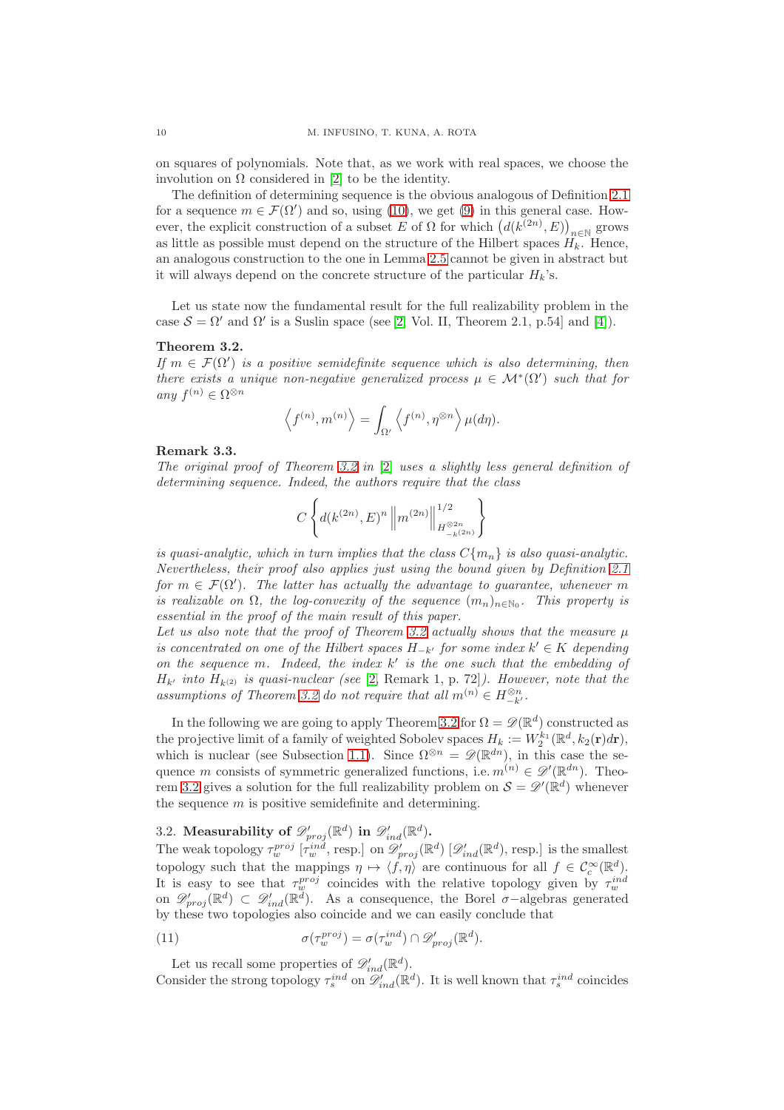on squares of polynomials. Note that, as we work with real spaces, we choose the involution on Ω considered in [\[2\]](#page-27-4) to be the identity.

The definition of determining sequence is the obvious analogous of Definition [2.1](#page-6-1) for a sequence  $m \in \mathcal{F}(\Omega')$  and so, using [\(10\)](#page-8-1), we get [\(9\)](#page-7-2) in this general case. However, the explicit construction of a subset E of  $\Omega$  for which  $(d(k^{(2n)}, E))_{n \in \mathbb{N}}$  grows as little as possible must depend on the structure of the Hilbert spaces  $H_k$ . Hence, an analogous construction to the one in Lemma [2.5](#page-7-1) cannot be given in abstract but it will always depend on the concrete structure of the particular  $H_k$ 's.

Let us state now the fundamental result for the full realizability problem in the case  $S = \Omega'$  and  $\Omega'$  is a Suslin space (see [\[2,](#page-27-4) Vol. II, Theorem 2.1, p.54] and [\[4\]](#page-27-3)).

# <span id="page-9-2"></span>Theorem 3.2.

If  $m \in \mathcal{F}(\Omega')$  is a positive semidefinite sequence which is also determining, then there exists a unique non-negative generalized process  $\mu \in \mathcal{M}^*(\Omega')$  such that for any  $f^{(n)} \in \Omega^{\otimes n}$ 

$$
\langle f^{(n)}, m^{(n)} \rangle = \int_{\Omega'} \langle f^{(n)}, \eta^{\otimes n} \rangle \mu(d\eta).
$$

#### <span id="page-9-0"></span>Remark 3.3.

The original proof of Theorem [3.2](#page-9-2) in [\[2\]](#page-27-4) uses a slightly less general definition of determining sequence. Indeed, the authors require that the class

$$
C\left\{d(k^{(2n)},E)^n \left\|m^{(2n)}\right\|_{H^{\otimes 2n}_{-k^{(2n)}}}^{1/2}\right\}
$$

is quasi-analytic, which in turn implies that the class  $C{m_n}$  is also quasi-analytic. Nevertheless, their proof also applies just using the bound given by Definition [2.1](#page-6-1) for  $m \in \mathcal{F}(\Omega')$ . The latter has actually the advantage to guarantee, whenever m is realizable on  $\Omega$ , the log-convexity of the sequence  $(m_n)_{n \in \mathbb{N}_0}$ . This property is essential in the proof of the main result of this paper.

Let us also note that the proof of Theorem [3.2](#page-9-2) actually shows that the measure  $\mu$ is concentrated on one of the Hilbert spaces  $H_{-k'}$  for some index  $k' \in K$  depending on the sequence m. Indeed, the index  $k'$  is the one such that the embedding of  $H_{k'}$  into  $H_{k^{(2)}}$  is quasi-nuclear (see [\[2,](#page-27-4) Remark 1, p. 72]). However, note that the assumptions of Theorem [3.2](#page-9-2) do not require that all  $m^{(n)} \in H_{-k'}^{\otimes n}$ .

In the following we are going to apply Theorem [3.2](#page-9-2) for  $\Omega = \mathscr{D}(\mathbb{R}^d)$  constructed as the projective limit of a family of weighted Sobolev spaces  $H_k := W_2^{k_1}(\mathbb{R}^d, k_2(\mathbf{r})d\mathbf{r}),$ which is nuclear (see Subsection [1.1\)](#page-3-1). Since  $\Omega^{\otimes n} = \mathscr{D}(\mathbb{R}^{dn})$ , in this case the sequence m consists of symmetric generalized functions, i.e.  $m^{(n)} \in \mathscr{D}'(\mathbb{R}^{dn})$ . Theo-rem [3.2](#page-9-2) gives a solution for the full realizability problem on  $S = \mathscr{D}'(\mathbb{R}^d)$  whenever the sequence  $m$  is positive semidefinite and determining.

# <span id="page-9-1"></span>3.2. Measurability of  $\mathscr{D}^\prime_{proj}(\mathbb{R}^d)$  in  $\mathscr{D}^\prime_{ind}(\mathbb{R}^d)$ .

The weak topology  $\tau_{w}^{proj}$   $[\tau_{w}^{ind}, \text{resp.}]$  on  $\mathscr{D}'_{proj}(\mathbb{R}^{d})$   $[\mathscr{D}'_{ind}(\mathbb{R}^{d}), \text{resp.}]$  is the smallest topology such that the mappings  $\eta \mapsto \langle f, \eta \rangle$  are continuous for all  $f \in C_c^{\infty}(\mathbb{R}^d)$ . It is easy to see that  $\tau_w^{proj}$  coincides with the relative topology given by  $\tau_w^{ind}$ <br>on  $\mathscr{D}'_{proj}(\mathbb{R}^d) \subset \mathscr{D}'_{ind}(\mathbb{R}^d)$ . As a consequence, the Borel  $\sigma$ -algebras generated by these two topologies also coincide and we can easily conclude that

<span id="page-9-3"></span>(11) 
$$
\sigma(\tau_w^{proj}) = \sigma(\tau_w^{ind}) \cap \mathscr{D}_{proj}'(\mathbb{R}^d).
$$

Let us recall some properties of  $\mathscr{D}'_{ind}(\mathbb{R}^d)$ .

Consider the strong topology  $\tau_s^{ind}$  on  $\mathscr{D}'_{ind}(\mathbb{R}^d)$ . It is well known that  $\tau_s^{ind}$  coincides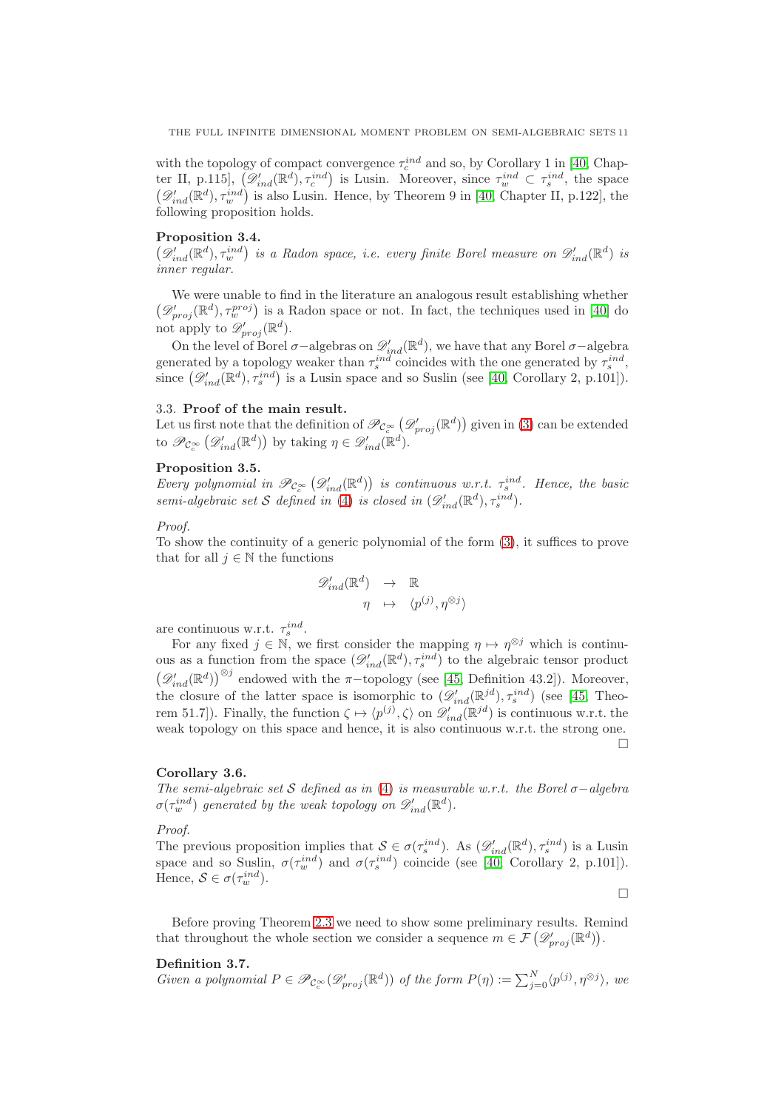with the topology of compact convergence  $\tau_c^{ind}$  and so, by Corollary 1 in [\[40,](#page-28-21) Chapter II, p.115],  $(\mathscr{D}'_{ind}(\mathbb{R}^d), \tau_c^{ind})$  is Lusin. Moreover, since  $\tau_w^{ind} \subset \tau_s^{ind}$ , the space  $(\mathscr{D}'_{ind}(\mathbb{R}^d), \tau_w^{ind})$  is also Lusin. Hence, by Theorem 9 in [\[40,](#page-28-21) Chapter II, p.122], the following proposition holds.

# <span id="page-10-3"></span>Proposition 3.4.

 $(\mathscr{D}'_{ind}(\mathbb{R}^d), \tau_w^{ind})$  is a Radon space, i.e. every finite Borel measure on  $\mathscr{D}'_{ind}(\mathbb{R}^d)$  is inner regular.

We were unable to find in the literature an analogous result establishing whether  $(\mathscr{D}'_{proj}(\mathbb{R}^d), \tau_{w}^{proj})$  is a Radon space or not. In fact, the techniques used in [\[40\]](#page-28-21) do not apply to  $\mathscr{D}'_{proj}(\mathbb{R}^d)$ .

On the level of Borel  $\sigma$ -algebras on  $\mathscr{D}'_{ind}(\mathbb{R}^d)$ , we have that any Borel  $\sigma$ -algebra generated by a topology weaker than  $\tau_s^{ind}$  coincides with the one generated by  $\tau_s^{ind}$ , since  $(\mathscr{D}'_{ind}(\mathbb{R}^d), \tau_s^{ind})$  is a Lusin space and so Suslin (see [\[40,](#page-28-21) Corollary 2, p.101]).

# <span id="page-10-0"></span>3.3. Proof of the main result.

Let us first note that the definition of  $\mathscr{P}_{\mathcal{C}_c^{\infty}}(\mathcal{D}'_{proj}(\mathbb{R}^d))$  given in [\(3\)](#page-5-4) can be extended to  $\mathscr{P}_{\mathcal{C}_c^{\infty}}(\mathscr{D}'_{ind}(\mathbb{R}^d))$  by taking  $\eta \in \mathscr{D}'_{ind}(\mathbb{R}^d)$ .

# Proposition 3.5.

Every polynomial in  $\mathscr{P}_{\mathcal{C}_c^{\infty}}(\mathscr{D}'_{ind}(\mathbb{R}^d))$  is continuous w.r.t.  $\tau_s^{ind}$ . Hence, the basic semi-algebraic set S defined in [\(4\)](#page-5-3) is closed in  $(\mathscr{D}'_{ind}(\mathbb{R}^d), \tau_s^{ind})$ .

# Proof.

To show the continuity of a generic polynomial of the form [\(3\)](#page-5-4), it suffices to prove that for all  $j \in \mathbb{N}$  the functions

$$
\mathcal{D}'_{ind}(\mathbb{R}^d) \rightarrow \mathbb{R}
$$
  

$$
\eta \rightarrow \langle p^{(j)}, \eta^{\otimes j} \rangle
$$

are continuous w.r.t.  $\tau_s^{ind}$ .

For any fixed  $j \in \mathbb{N}$ , we first consider the mapping  $\eta \mapsto \eta^{\otimes j}$  which is continuous as a function from the space  $(\mathscr{D}'_{ind}(\mathbb{R}^d), \tau_s^{ind})$  to the algebraic tensor product  $(\mathscr{D}'_{ind}(\mathbb{R}^d))^{\otimes j}$  endowed with the  $\pi$ -topology (see [\[45,](#page-28-22) Definition 43.2]). Moreover, the closure of the latter space is isomorphic to  $(\mathscr{D}'_{ind}(\mathbb{R}^{jd}), \tau_s^{ind})$  (see [\[45,](#page-28-22) Theorem 51.7]). Finally, the function  $\zeta \mapsto \langle p^{(j)}, \zeta \rangle$  on  $\mathscr{D}'_{ind}(\mathbb{R}^{jd})$  is continuous w.r.t. the weak topology on this space and hence, it is also continuous w.r.t. the strong one.  $\Box$ 

# <span id="page-10-2"></span>Corollary 3.6.

The semi-algebraic set S defined as in [\(4\)](#page-5-3) is measurable w.r.t. the Borel  $\sigma$ -algebra  $\sigma(\tau_w^{ind})$  generated by the weak topology on  $\mathscr{D}'_{ind}(\mathbb{R}^d)$ .

# Proof.

The previous proposition implies that  $S \in \sigma(\tau_s^{ind})$ . As  $(\mathscr{D}'_{ind}(\mathbb{R}^d), \tau_s^{ind})$  is a Lusin space and so Suslin,  $\sigma(\tau_w^{ind})$  and  $\sigma(\tau_s^{ind})$  coincide (see [\[40,](#page-28-21) Corollary 2, p.101]). Hence,  $S \in \sigma(\tau_w^{ind})$ .

 $\Box$ 

Before proving Theorem [2.3](#page-6-0) we need to show some preliminary results. Remind that throughout the whole section we consider a sequence  $m \in \mathcal{F}(\mathscr{D}'_{proj}(\mathbb{R}^d))$ .

# <span id="page-10-1"></span>Definition 3.7.

Given a polynomial  $P \in \mathscr{P}_{\mathcal{C}_c^{\infty}}(\mathcal{D}_{proj}^{\prime}(\mathbb{R}^d))$  of the form  $P(\eta) := \sum_{j=0}^N \langle p^{(j)}, \eta^{\otimes j} \rangle$ , we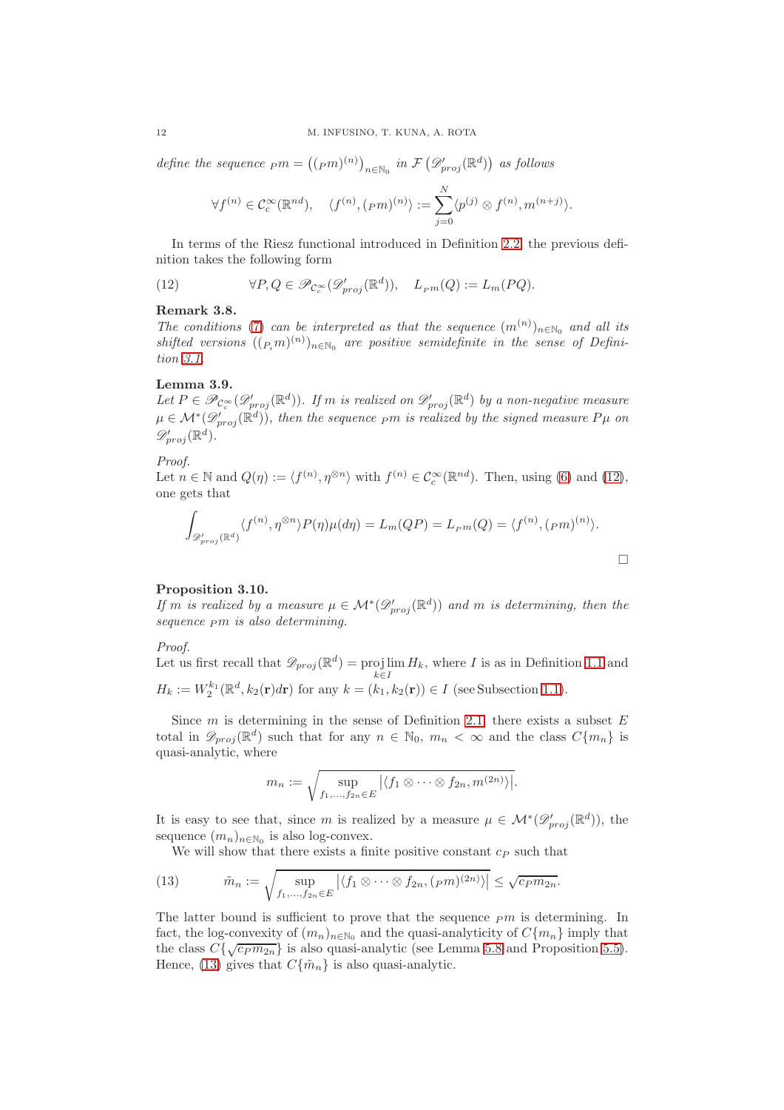define the sequence  $_{pm} = ((_{pm})^{(n)})_{n \in \mathbb{N}_0}$  in  $\mathcal{F}(\mathscr{D}'_{proj}(\mathbb{R}^d))$  as follows

$$
\forall f^{(n)} \in \mathcal{C}_c^{\infty}(\mathbb{R}^{nd}), \quad \langle f^{(n)}, (pm)^{(n)} \rangle := \sum_{j=0}^N \langle p^{(j)} \otimes f^{(n)}, m^{(n+j)} \rangle.
$$

In terms of the Riesz functional introduced in Definition [2.2,](#page-6-5) the previous definition takes the following form

<span id="page-11-0"></span>(12) 
$$
\forall P, Q \in \mathscr{P}_{\mathcal{C}_c^{\infty}}(\mathscr{D}_{proj}^{\prime}(\mathbb{R}^d)), \quad L_{pm}(Q) := L_m(PQ).
$$

# <span id="page-11-2"></span>Remark 3.8.

The conditions [\(7\)](#page-6-2) can be interpreted as that the sequence  $(m^{(n)})_{n\in\mathbb{N}_0}$  and all its shifted versions  $((P_i m)^{(n)})_{n \in \mathbb{N}_0}$  are positive semidefinite in the sense of Definition [3.1.](#page-8-2)

# <span id="page-11-3"></span>Lemma 3.9.

Let  $P \in \mathscr{P}_{\mathcal{C}_c^{\infty}}(\mathcal{D}_{proj}^{\prime}(\mathbb{R}^d))$ . If m is realized on  $\mathcal{D}_{proj}^{\prime}(\mathbb{R}^d)$  by a non-negative measure  $\mu\in\mathcal{M}^*(\mathscr{D}'_{proj}(\mathbb{R}^d))$ , then the sequence  $_Pm$  is realized by the signed measure  $P\mu$  on  $\mathscr{D}_{proj}^{\prime}(\mathbb{R}^{d}).$ 

# Proof.

Let  $n \in \mathbb{N}$  and  $Q(\eta) := \langle f^{(n)}, \eta^{\otimes n} \rangle$  with  $f^{(n)} \in C_c^{\infty}(\mathbb{R}^{nd})$ . Then, using [\(6\)](#page-6-6) and [\(12\)](#page-11-0), one gets that

$$
\int_{\mathscr{D}'_{proj}(\mathbb{R}^d)} \langle f^{(n)}, \eta^{\otimes n} \rangle P(\eta) \mu(d\eta) = L_m(QP) = L_{P^m}(Q) = \langle f^{(n)}, (_{P^m})^{(n)} \rangle.
$$

# <span id="page-11-4"></span>Proposition 3.10.

If m is realized by a measure  $\mu \in \mathcal{M}^*(\mathcal{D}'_{proj}(\mathbb{R}^d))$  and m is determining, then the sequence  $pm$  is also determining.

Proof.

Let us first recall that  $\mathscr{D}_{proj}(\mathbb{R}^d) = \text{proj}\lim$  $k \in I$  $H_k$ , where I is as in Definition [1.1](#page-4-0) and  $H_k := W_2^{k_1}(\mathbb{R}^d, k_2(\mathbf{r})d\mathbf{r})$  for any  $k = (k_1, k_2(\mathbf{r})) \in I$  (see Subsection [1.1\)](#page-3-1).

Since  $m$  is determining in the sense of Definition [2.1,](#page-6-1) there exists a subset  $E$ total in  $\mathscr{D}_{proj}(\mathbb{R}^d)$  such that for any  $n \in \mathbb{N}_0$ ,  $m_n < \infty$  and the class  $C\{m_n\}$  is quasi-analytic, where

$$
m_n := \sqrt{\sup_{f_1,\ldots,f_{2n}\in E} |\langle f_1 \otimes \cdots \otimes f_{2n}, m^{(2n)}\rangle|}.
$$

It is easy to see that, since m is realized by a measure  $\mu \in \mathcal{M}^*(\mathscr{D}'_{proj}(\mathbb{R}^d))$ , the sequence  $(m_n)_{n \in \mathbb{N}_0}$  is also log-convex.

<span id="page-11-1"></span>We will show that there exists a finite positive constant  $c<sub>P</sub>$  such that

(13) 
$$
\tilde{m}_n := \sqrt{\sup_{f_1,\dots,f_{2n}\in E} |\langle f_1 \otimes \cdots \otimes f_{2n},(_{P}m)^{(2n)}\rangle|} \leq \sqrt{c_P m_{2n}}.
$$

The latter bound is sufficient to prove that the sequence  $\epsilon_{pm}$  is determining. In fact, the log-convexity of  $(m_n)_{n\in\mathbb{N}_0}$  and the quasi-analyticity of  $C{m_n}$  imply that the class  $C\{\sqrt{c_P m_{2n}}\}$  is also quasi-analytic (see Lemma [5.8](#page-22-3) and Proposition [5.5\)](#page-21-1). Hence, [\(13\)](#page-11-1) gives that  $C{\lbrace \tilde{m}_n \rbrace}$  is also quasi-analytic.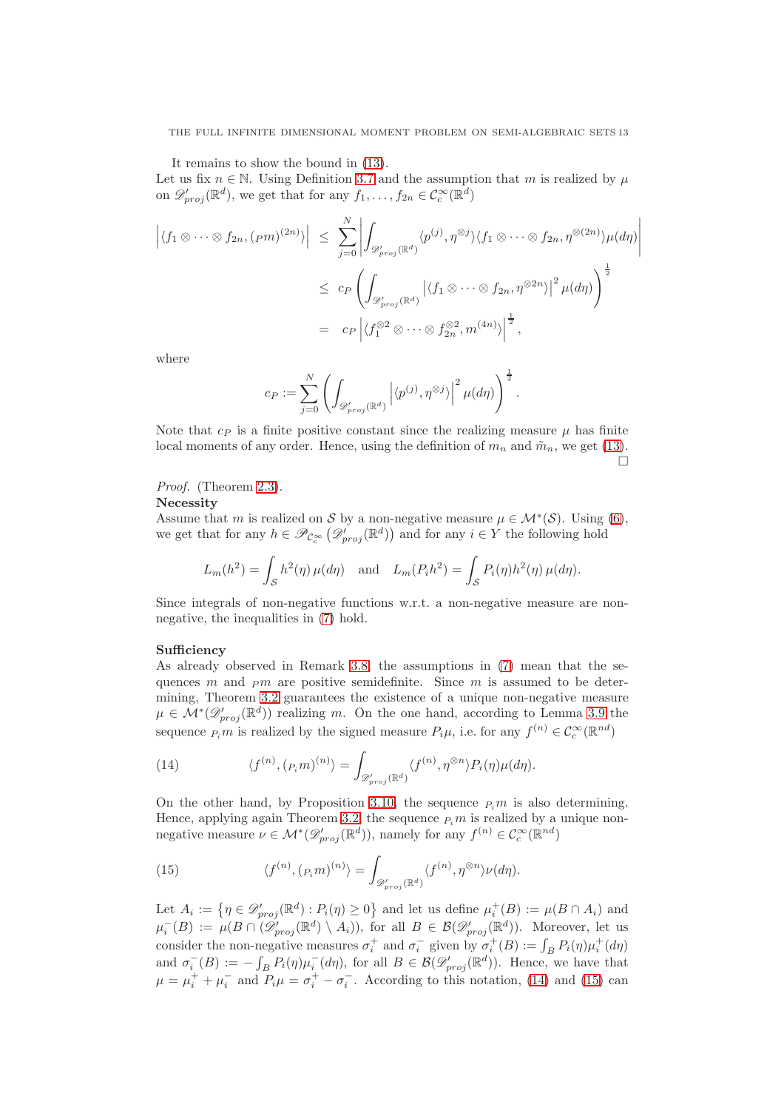It remains to show the bound in [\(13\)](#page-11-1).

Let us fix  $n \in \mathbb{N}$ . Using Definition [3.7](#page-10-1) and the assumption that m is realized by  $\mu$ on  $\mathscr{D}'_{proj}(\mathbb{R}^d)$ , we get that for any  $f_1, \ldots, f_{2n} \in C_c^{\infty}(\mathbb{R}^d)$ 

$$
\left| \langle f_1 \otimes \cdots \otimes f_{2n}, (_{Pm})^{(2n)} \rangle \right| \leq \sum_{j=0}^N \left| \int_{\mathscr{D}_{proj}^{\prime}(\mathbb{R}^d)} \langle p^{(j)}, \eta^{\otimes j} \rangle \langle f_1 \otimes \cdots \otimes f_{2n}, \eta^{\otimes (2n)} \rangle \mu(d\eta) \right|
$$
  

$$
\leq c_P \left( \int_{\mathscr{D}_{proj}^{\prime}(\mathbb{R}^d)} \left| \langle f_1 \otimes \cdots \otimes f_{2n}, \eta^{\otimes 2n} \rangle \right|^2 \mu(d\eta) \right)^{\frac{1}{2}}
$$
  

$$
= c_P \left| \langle f_1^{\otimes 2} \otimes \cdots \otimes f_{2n}^{\otimes 2}, m^{(4n)} \rangle \right|^{\frac{1}{2}},
$$

where

$$
c_P:=\sum_{j=0}^N\left(\int_{\mathscr{D}'_{proj}(\mathbb{R}^d)}\left|\langle p^{(j)},\eta^{\otimes j}\rangle\right|^2\mu(d\eta)\right)^{\frac{1}{2}}.
$$

Note that  $c_P$  is a finite positive constant since the realizing measure  $\mu$  has finite local moments of any order. Hence, using the definition of  $m_n$  and  $\tilde{m}_n$ , we get [\(13\)](#page-11-1).  $\Box$ 

Proof. (Theorem [2.3\)](#page-6-0).

#### **Necessity**

Assume that m is realized on S by a non-negative measure  $\mu \in \mathcal{M}^*(\mathcal{S})$ . Using [\(6\)](#page-6-6), we get that for any  $h \in \mathscr{P}_{\mathcal{C}_c^{\infty}}(\mathcal{D}_{proj}'(\mathbb{R}^d))$  and for any  $i \in Y$  the following hold

$$
L_m(h^2) = \int_{\mathcal{S}} h^2(\eta) \,\mu(d\eta) \quad \text{and} \quad L_m(P_i h^2) = \int_{\mathcal{S}} P_i(\eta) h^2(\eta) \,\mu(d\eta).
$$

Since integrals of non-negative functions w.r.t. a non-negative measure are nonnegative, the inequalities in [\(7\)](#page-6-2) hold.

#### Sufficiency

As already observed in Remark [3.8,](#page-11-2) the assumptions in [\(7\)](#page-6-2) mean that the sequences  $m$  and  $pm$  are positive semidefinite. Since  $m$  is assumed to be determining, Theorem [3.2](#page-9-2) guarantees the existence of a unique non-negative measure  $\mu \in \mathcal{M}^*(\mathscr{D}'_{proj}(\mathbb{R}^d))$  realizing m. On the one hand, according to Lemma [3.9](#page-11-3) the sequence  $P_i m$  is realized by the signed measure  $P_i \mu$ , i.e. for any  $f^{(n)} \in C_c^{\infty}(\mathbb{R}^{nd})$ 

<span id="page-12-0"></span>(14) 
$$
\langle f^{(n)}, (p_i m)^{(n)} \rangle = \int_{\mathscr{D}'_{proj}(\mathbb{R}^d)} \langle f^{(n)}, \eta^{\otimes n} \rangle P_i(\eta) \mu(d\eta).
$$

On the other hand, by Proposition [3.10,](#page-11-4) the sequence  $\mu$  m is also determining. Hence, applying again Theorem [3.2,](#page-9-2) the sequence  $P_i$  m is realized by a unique nonnegative measure  $\nu \in \mathcal{M}^*(\mathscr{D}'_{proj}(\mathbb{R}^d))$ , namely for any  $f^{(n)} \in \mathcal{C}_c^{\infty}(\mathbb{R}^{nd})$ 

<span id="page-12-1"></span>(15) 
$$
\langle f^{(n)}, (P_i m)^{(n)} \rangle = \int_{\mathscr{D}'_{proj}(\mathbb{R}^d)} \langle f^{(n)}, \eta^{\otimes n} \rangle \nu(d\eta).
$$

Let  $A_i := \{ \eta \in \mathscr{D}'_{proj}(\mathbb{R}^d) : P_i(\eta) \geq 0 \}$  and let us define  $\mu_i^+(B) := \mu(B \cap A_i)$  and  $\mu_i^-(B) := \mu(B \cap (\mathscr{D}_{proj}^{\prime}(\mathbb{R}^d) \setminus A_i)),$  for all  $B \in \mathcal{B}(\mathscr{D}_{proj}^{\prime}(\mathbb{R}^d)).$  Moreover, let us consider the non-negative measures  $\sigma_i^+$  and  $\sigma_i^-$  given by  $\sigma_i^+(B) := \int_B P_i(\eta) \mu_i^+(d\eta)$ and  $\sigma_i^-(B) := -\int_B P_i(\eta) \mu_i^-(d\eta)$ , for all  $B \in \mathcal{B}(\mathscr{D}_{proj}'(\mathbb{R}^d))$ . Hence, we have that  $\mu = \mu_i^+ + \mu_i^-$  and  $P_i \mu = \sigma_i^+ - \sigma_i^-$ . According to this notation, [\(14\)](#page-12-0) and [\(15\)](#page-12-1) can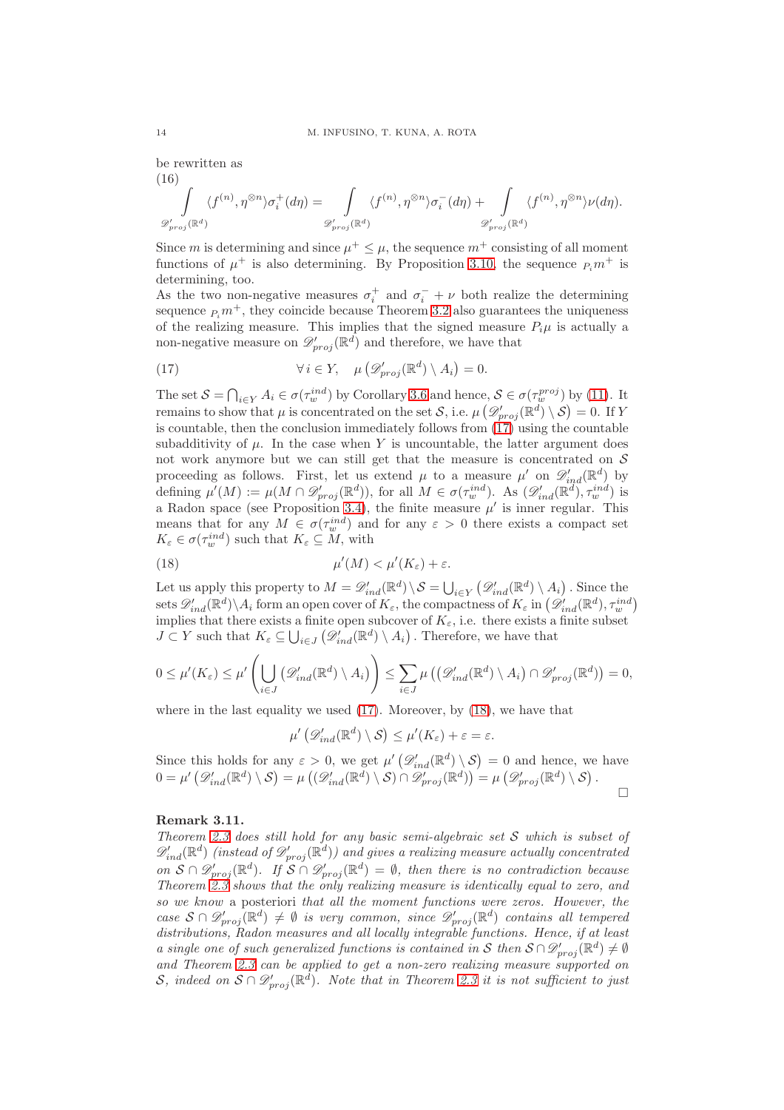be rewritten as (16)

$$
\int_{\mathscr{D}'_{proj}(\mathbb{R}^d)} \langle f^{(n)}, \eta^{\otimes n} \rangle \sigma_i^+(d\eta) = \int_{\mathscr{D}'_{proj}(\mathbb{R}^d)} \langle f^{(n)}, \eta^{\otimes n} \rangle \sigma_i^-(d\eta) + \int_{\mathscr{D}'_{proj}(\mathbb{R}^d)} \langle f^{(n)}, \eta^{\otimes n} \rangle \nu(d\eta).
$$

Since m is determining and since  $\mu^+ \leq \mu$ , the sequence  $m^+$  consisting of all moment functions of  $\mu^+$  is also determining. By Proposition [3.10,](#page-11-4) the sequence  $P_i m^+$  is determining, too.

As the two non-negative measures  $\sigma_i^+$  and  $\sigma_i^- + \nu$  both realize the determining sequence  $P_i$ <sup>+</sup>, they coincide because Theorem [3.2](#page-9-2) also guarantees the uniqueness of the realizing measure. This implies that the signed measure  $P_i\mu$  is actually a non-negative measure on  $\mathscr{D}'_{proj}(\mathbb{R}^d)$  and therefore, we have that

<span id="page-13-1"></span>(17) 
$$
\forall i \in Y, \quad \mu\left(\mathscr{D}_{proj}'(\mathbb{R}^d) \setminus A_i\right) = 0.
$$

The set  $S = \bigcap_{i \in Y} A_i \in \sigma(\tau_w^{ind})$  by Corollary [3.6](#page-10-2) and hence,  $S \in \sigma(\tau_w^{proj})$  by [\(11\)](#page-9-3). It remains to show that  $\mu$  is concentrated on the set S, i.e.  $\mu\left(\mathscr{D}'_{proj}(\mathbb{R}^d) \setminus \mathcal{S}\right) = 0$ . If Y is countable, then the conclusion immediately follows from  $(17)$  using the countable subadditivity of  $\mu$ . In the case when Y is uncountable, the latter argument does not work anymore but we can still get that the measure is concentrated on  $S$ proceeding as follows. First, let us extend  $\mu$  to a measure  $\mu'$  on  $\mathscr{D}'_{ind}(\mathbb{R}^d)$  by defining  $\mu'(M) := \mu(M \cap \mathscr{D}'_{proj}(\mathbb{R}^d))$ , for all  $M \in \sigma(\tau_w^{ind})$ . As  $(\mathscr{D}'_{ind}(\mathbb{R}^d), \tau_w^{ind})$  is a Radon space (see Proposition [3.4\)](#page-10-3), the finite measure  $\mu'$  is inner regular. This means that for any  $M \in \sigma(\tau_w^{ind})$  and for any  $\varepsilon > 0$  there exists a compact set  $K_{\varepsilon} \in \sigma(\tau_w^{ind})$  such that  $K_{\varepsilon} \subseteq M$ , with

<span id="page-13-2"></span>(18) 
$$
\mu'(M) < \mu'(K_{\varepsilon}) + \varepsilon.
$$

Let us apply this property to  $M = \mathscr{D}'_{ind}(\mathbb{R}^d) \setminus \mathcal{S} = \bigcup_{i \in Y} (\mathscr{D}'_{ind}(\mathbb{R}^d) \setminus A_i)$ . Since the sets  $\mathscr{D}'_{ind}(\mathbb{R}^d)\backslash A_i$  form an open cover of  $K_\varepsilon$ , the compactness of  $K_\varepsilon$  in  $\left(\mathscr{D}'_{ind}(\mathbb{R}^d), \tau^{ind}_w\right)$ implies that there exists a finite open subcover of  $K_{\varepsilon}$ , i.e. there exists a finite subset  $J \subset Y$  such that  $K_{\varepsilon} \subseteq \bigcup_{i \in J} (\mathscr{D}'_{ind}(\mathbb{R}^d) \setminus A_i)$ . Therefore, we have that

$$
0 \leq \mu'(K_{\varepsilon}) \leq \mu'\left(\bigcup_{i\in J}\left(\mathcal{D}'_{ind}(\mathbb{R}^d)\setminus A_i\right)\right) \leq \sum_{i\in J}\mu\left(\left(\mathcal{D}'_{ind}(\mathbb{R}^d)\setminus A_i\right)\cap \mathcal{D}'_{proj}(\mathbb{R}^d)\right) = 0,
$$

where in the last equality we used [\(17\)](#page-13-1). Moreover, by [\(18\)](#page-13-2), we have that

 $\mu'\left(\mathscr{D}_{ind}'(\mathbb{R}^d)\setminus\mathcal{S}\right)\leq\mu'(K_{\varepsilon})+\varepsilon=\varepsilon.$ 

Since this holds for any  $\varepsilon > 0$ , we get  $\mu'(\mathscr{D}'_{ind}(\mathbb{R}^d) \setminus \mathcal{S}) = 0$  and hence, we have  $0 = \mu' \left( \mathscr{D}'_{ind}(\mathbb{R}^d) \setminus \mathcal{S} \right) = \mu \left( \left( \mathscr{D}'_{ind}(\mathbb{R}^d) \setminus \mathcal{S} \right) \cap \mathscr{D}'_{proj}(\mathbb{R}^d) \right) = \mu \left( \mathscr{D}'_{proj}(\mathbb{R}^d) \setminus \mathcal{S} \right).$ 

 $\Box$ 

# <span id="page-13-0"></span>Remark 3.11.

Theorem [2.3](#page-6-0) does still hold for any basic semi-algebraic set  $S$  which is subset of  $\mathscr{D}'_{ind}(\mathbb{R}^d)$  (instead of  $\mathscr{D}'_{proj}(\mathbb{R}^d)$ ) and gives a realizing measure actually concentrated on  $S \cap \mathscr{D}'_{proj}(\mathbb{R}^d)$ . If  $S \cap \mathscr{D}'_{proj}(\mathbb{R}^d) = \emptyset$ , then there is no contradiction because Theorem [2.3](#page-6-0) shows that the only realizing measure is identically equal to zero, and so we know a posteriori that all the moment functions were zeros. However, the case  $S \cap \mathscr{D}'_{proj}(\mathbb{R}^d) \neq \emptyset$  is very common, since  $\mathscr{D}'_{proj}(\mathbb{R}^d)$  contains all tempered distributions, Radon measures and all locally integrable functions. Hence, if at least a single one of such generalized functions is contained in S then  $S \cap \mathscr{D}'_{proj}(\mathbb{R}^d) \neq \emptyset$ and Theorem [2.3](#page-6-0) can be applied to get a non-zero realizing measure supported on S, indeed on  $S \cap \mathscr{D}_{proj}'(\mathbb{R}^d)$ . Note that in Theorem [2.3](#page-6-0) it is not sufficient to just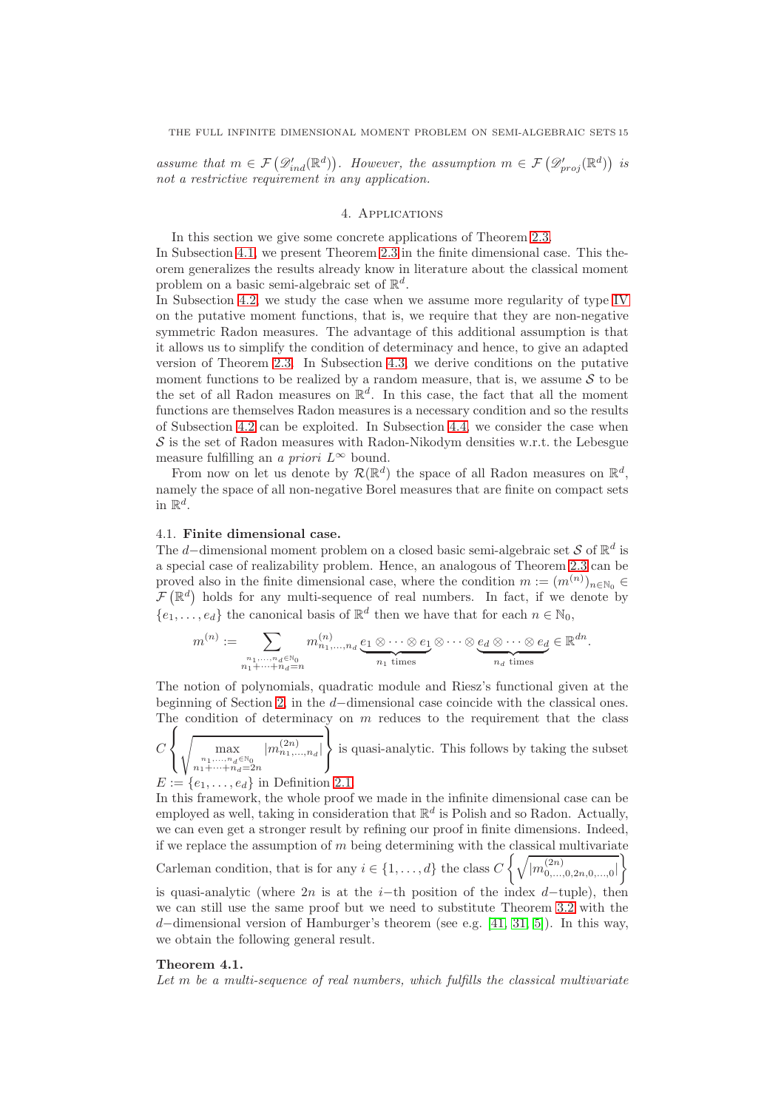<span id="page-14-0"></span>assume that  $m \in \mathcal{F}(\mathscr{D}'_{ind}(\mathbb{R}^d))$ . However, the assumption  $m \in \mathcal{F}(\mathscr{D}'_{proj}(\mathbb{R}^d))$  is not a restrictive requirement in any application.

## 4. Applications

In this section we give some concrete applications of Theorem [2.3.](#page-6-0) In Subsection [4.1,](#page-14-1) we present Theorem [2.3](#page-6-0) in the finite dimensional case. This theorem generalizes the results already know in literature about the classical moment problem on a basic semi-algebraic set of  $\mathbb{R}^d$ .

In Subsection [4.2,](#page-15-0) we study the case when we assume more regularity of type [IV](#page-1-0) on the putative moment functions, that is, we require that they are non-negative symmetric Radon measures. The advantage of this additional assumption is that it allows us to simplify the condition of determinacy and hence, to give an adapted version of Theorem [2.3.](#page-6-0) In Subsection [4.3,](#page-17-0) we derive conditions on the putative moment functions to be realized by a random measure, that is, we assume  $S$  to be the set of all Radon measures on  $\mathbb{R}^d$ . In this case, the fact that all the moment functions are themselves Radon measures is a necessary condition and so the results of Subsection [4.2](#page-15-0) can be exploited. In Subsection [4.4,](#page-19-0) we consider the case when  $\mathcal S$  is the set of Radon measures with Radon-Nikodym densities w.r.t. the Lebesgue measure fulfilling an a priori  $L^{\infty}$  bound.

From now on let us denote by  $\mathcal{R}(\mathbb{R}^d)$  the space of all Radon measures on  $\mathbb{R}^d$ , namely the space of all non-negative Borel measures that are finite on compact sets in  $\mathbb{R}^d$ .

# <span id="page-14-1"></span>4.1. Finite dimensional case.

The d–dimensional moment problem on a closed basic semi-algebraic set S of  $\mathbb{R}^d$  is a special case of realizability problem. Hence, an analogous of Theorem [2.3](#page-6-0) can be proved also in the finite dimensional case, where the condition  $m := (m^{(n)})_{n \in \mathbb{N}_0} \in$  $\mathcal{F}(\mathbb{R}^d)$  holds for any multi-sequence of real numbers. In fact, if we denote by  $\{e_1, \ldots, e_d\}$  the canonical basis of  $\mathbb{R}^d$  then we have that for each  $n \in \mathbb{N}_0$ ,

$$
m^{(n)} := \sum_{\substack{n_1,\ldots,n_d \in \mathbb{N}_0 \\ n_1 + \cdots + n_d = n}} m^{(n)}_{n_1,\ldots,n_d} \underbrace{e_1 \otimes \cdots \otimes e_1}_{n_1 \text{ times}} \otimes \cdots \otimes \underbrace{e_d \otimes \cdots \otimes e_d}_{n_d \text{ times}} \in \mathbb{R}^{dn}.
$$

The notion of polynomials, quadratic module and Riesz's functional given at the beginning of Section [2,](#page-5-0) in the d−dimensional case coincide with the classical ones. The condition of determinacy on  $m$  reduces to the requirement that the class

 $\overline{C}$  $\sqrt{ }$  $\frac{1}{2}$  $\mathcal{L}$  $\sqrt{2}$ max  $n_1, ..., n_d \in \mathbb{N}_0$ <br> $n_1 + \cdots + n_d = 2n$  $|m_{n_1,...,n_d}^{(2n)}|$ <sup>1</sup> is quasi-analytic. This follows by taking the subset  $\int$ 

 $E := \{e_1, \ldots, e_d\}$  in Definition [2.1.](#page-6-1)

In this framework, the whole proof we made in the infinite dimensional case can be employed as well, taking in consideration that  $\mathbb{R}^d$  is Polish and so Radon. Actually, we can even get a stronger result by refining our proof in finite dimensions. Indeed, if we replace the assumption of  $m$  being determining with the classical multivariate Carleman condition, that is for any  $i \in \{1, ..., d\}$  the class  $C \left\{ \sqrt{|m_{0,...,0,2n,0,...,0}^{(2n)}|} \right\}$  $\bigcap$ is quasi-analytic (where 2n is at the i–th position of the index  $d$ –tuple), then we can still use the same proof but we need to substitute Theorem [3.2](#page-9-2) with the

d−dimensional version of Hamburger's theorem (see e.g. [\[41,](#page-28-23) [31,](#page-28-24) [5\]](#page-27-12)). In this way, we obtain the following general result.

#### <span id="page-14-2"></span>Theorem 4.1.

Let  $m$  be a multi-sequence of real numbers, which fulfills the classical multivariate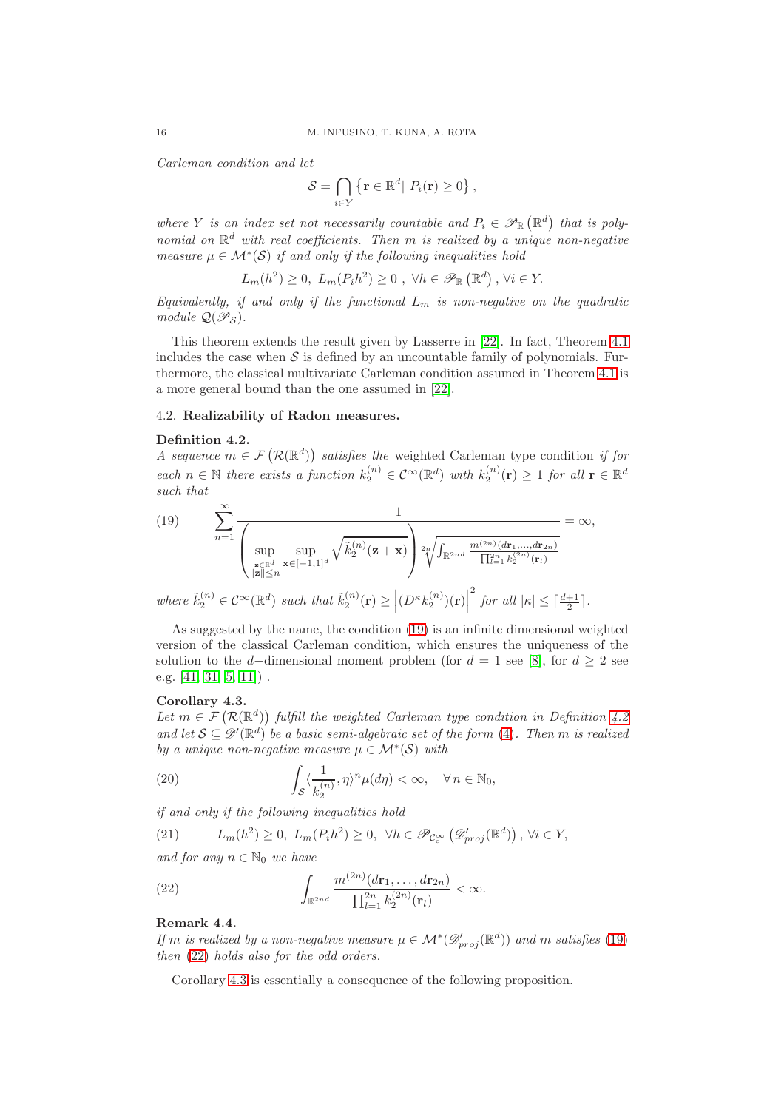Carleman condition and let

$$
\mathcal{S} = \bigcap_{i \in Y} \left\{ \mathbf{r} \in \mathbb{R}^d \middle| P_i(\mathbf{r}) \ge 0 \right\}
$$

,

where Y is an index set not necessarily countable and  $P_i \in \mathscr{P}_{\mathbb{R}}(\mathbb{R}^d)$  that is polynomial on  $\mathbb{R}^d$  with real coefficients. Then m is realized by a unique non-negative measure  $\mu \in \mathcal{M}^*(\mathcal{S})$  if and only if the following inequalities hold

$$
L_m(h^2) \ge 0, \ L_m(P_i h^2) \ge 0 \ , \ \forall h \in \mathscr{P}_{\mathbb{R}}\left(\mathbb{R}^d\right), \ \forall i \in Y.
$$

Equivalently, if and only if the functional  $L_m$  is non-negative on the quadratic module  $\mathcal{Q}(\mathscr{P}_{\mathcal{S}})$ .

This theorem extends the result given by Lasserre in [\[22\]](#page-28-20). In fact, Theorem [4.1](#page-14-2) includes the case when  $\mathcal S$  is defined by an uncountable family of polynomials. Furthermore, the classical multivariate Carleman condition assumed in Theorem [4.1](#page-14-2) is a more general bound than the one assumed in [\[22\]](#page-28-20).

# <span id="page-15-0"></span>4.2. Realizability of Radon measures.

### <span id="page-15-2"></span>Definition 4.2.

A sequence  $m \in \mathcal{F}(\mathcal{R}(\mathbb{R}^d))$  satisfies the weighted Carleman type condition if for each  $n \in \mathbb{N}$  there exists a function  $k_2^{(n)} \in C^{\infty}(\mathbb{R}^d)$  with  $k_2^{(n)}(\mathbf{r}) \geq 1$  for all  $\mathbf{r} \in \mathbb{R}^d$ such that

<span id="page-15-1"></span>(19) 
$$
\sum_{n=1}^{\infty} \frac{1}{\left(\sup_{\substack{\mathbf{z} \in \mathbb{R}^d \\ \|\mathbf{z}\| \le n}} \sup_{\mathbf{x} \in [-1,1]^d} \sqrt{\tilde{k}_2^{(n)}(\mathbf{z}+\mathbf{x})}\right) \sqrt[n]{\int_{\mathbb{R}^{2nd}} \frac{m^{(2n)}(d\mathbf{r}_1, \dots, d\mathbf{r}_{2n})}{\prod_{i=1}^{2n} k_2^{(2n)}(\mathbf{r}_l)}} = \infty,
$$
  
where  $\tilde{k}_2^{(n)} \in \mathcal{C}^{\infty}(\mathbb{R}^d)$  such that  $\tilde{k}_2^{(n)}(\mathbf{r}) \ge \left| (D^{\kappa} k_2^{(n)})(\mathbf{r}) \right|^2$  for all  $|\kappa| \le \lceil \frac{d+1}{2} \rceil$ .

As suggested by the name, the condition [\(19\)](#page-15-1) is an infinite dimensional weighted version of the classical Carleman condition, which ensures the uniqueness of the solution to the d–dimensional moment problem (for  $d = 1$  see [\[8\]](#page-27-13), for  $d \geq 2$  see e.g. [\[41,](#page-28-23) [31,](#page-28-24) [5,](#page-27-12) [11\]](#page-27-14)) .

# <span id="page-15-4"></span>Corollary 4.3.

Let  $m \in \mathcal{F}(\mathcal{R}(\mathbb{R}^d))$  fulfill the weighted Carleman type condition in Definition [4.2](#page-15-2) and let  $S \subseteq \mathscr{D}'(\mathbb{R}^d)$  be a basic semi-algebraic set of the form [\(4\)](#page-5-3). Then m is realized by a unique non-negative measure  $\mu \in \mathcal{M}^*(\mathcal{S})$  with

<span id="page-15-6"></span>(20) 
$$
\int_{\mathcal{S}} \langle \frac{1}{k_2^{(n)}}, \eta \rangle^n \mu(d\eta) < \infty, \quad \forall n \in \mathbb{N}_0,
$$

if and only if the following inequalities hold

<span id="page-15-5"></span>(21)  $L_m(h^2) \geq 0$ ,  $L_m(P_i h^2) \geq 0$ ,  $\forall h \in \mathcal{P}_{\mathcal{C}_c^{\infty}}(\mathcal{D}_{proj}'(\mathbb{R}^d))$ ,  $\forall i \in Y$ ,

and for any  $n \in \mathbb{N}_0$  we have

<span id="page-15-3"></span>(22) 
$$
\int_{\mathbb{R}^{2nd}} \frac{m^{(2n)}(d\mathbf{r}_1,\ldots,d\mathbf{r}_{2n})}{\prod_{l=1}^{2n}k_2^{(2n)}(\mathbf{r}_l)} < \infty.
$$

# <span id="page-15-7"></span>Remark 4.4.

If m is realized by a non-negative measure  $\mu \in \mathcal{M}^*(\mathscr{D}'_{proj}(\mathbb{R}^d))$  and m satisfies [\(19\)](#page-15-1) then [\(22\)](#page-15-3) holds also for the odd orders.

Corollary [4.3](#page-15-4) is essentially a consequence of the following proposition.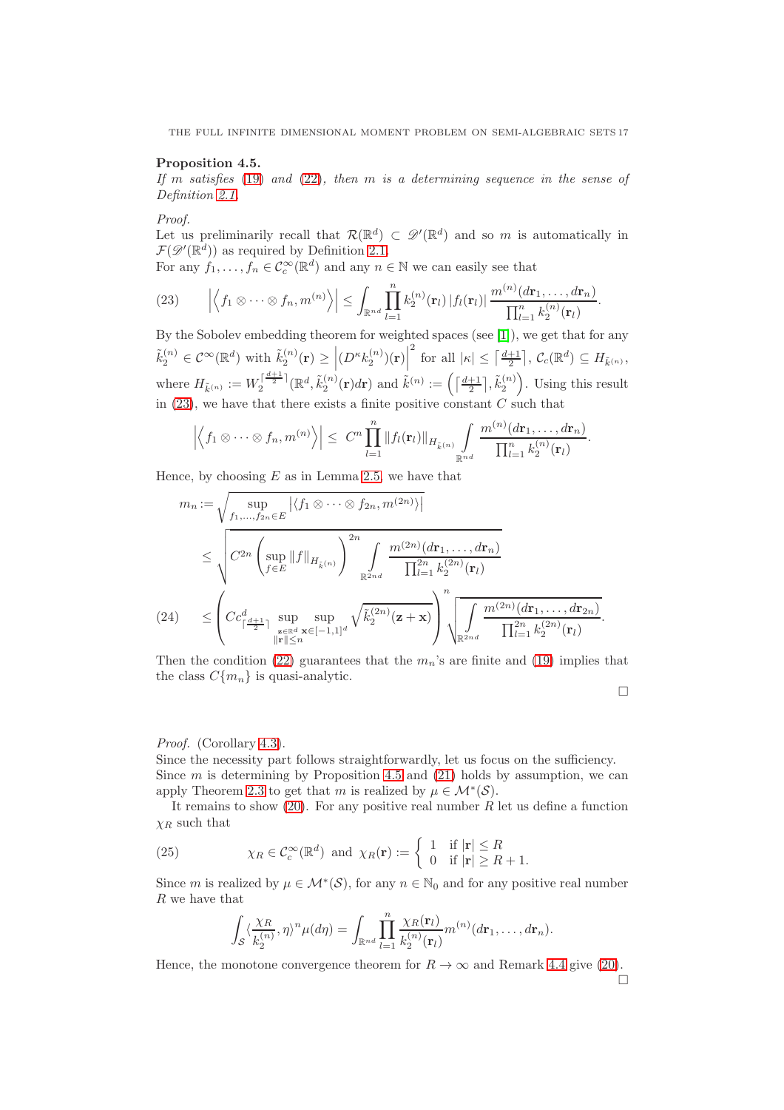THE FULL INFINITE DIMENSIONAL MOMENT PROBLEM ON SEMI-ALGEBRAIC SETS 17

# <span id="page-16-0"></span>Proposition 4.5.

If m satisfies [\(19\)](#page-15-1) and [\(22\)](#page-15-3), then m is a determining sequence in the sense of Definition [2.1.](#page-6-1)

Proof.

Let us preliminarily recall that  $\mathcal{R}(\mathbb{R}^d) \subset \mathscr{D}'(\mathbb{R}^d)$  and so m is automatically in  $\mathcal{F}(\mathscr{D}'(\mathbb{R}^d))$  as required by Definition [2.1.](#page-6-1)

For any  $f_1, \ldots, f_n \in C_c^{\infty}(\mathbb{R}^d)$  and any  $n \in \mathbb{N}$  we can easily see that

<span id="page-16-1"></span>(23) 
$$
\left|\left\langle f_1\otimes\cdots\otimes f_n,m^{(n)}\right\rangle\right|\leq \int_{\mathbb{R}^{nd}}\prod_{l=1}^nk_2^{(n)}(\mathbf{r}_l)\left|f_l(\mathbf{r}_l)\right|\frac{m^{(n)}(d\mathbf{r}_1,\ldots,d\mathbf{r}_n)}{\prod_{l=1}^nk_2^{(n)}(\mathbf{r}_l)}.
$$

By the Sobolev embedding theorem for weighted spaces (see [\[1\]](#page-27-10)), we get that for any  $\tilde{k}_2^{(n)} \in \mathcal{C}^{\infty}(\mathbb{R}^d)$  with  $\tilde{k}_2^{(n)}(\mathbf{r}) \geq \left| (D^{\kappa} k_2^{(n)}(\mathbf{r}))(\mathbf{r}) \right|$ <sup>2</sup> for all  $|\kappa| \leq \left\lceil \frac{d+1}{2} \right\rceil$ ,  $\mathcal{C}_c(\mathbb{R}^d) \subseteq H_{\tilde{k}^{(n)}},$ where  $H_{\tilde{k}^{(n)}} := W_2^{\lceil \frac{d+1}{2} \rceil}(\mathbb{R}^d, \tilde{k}_2^{(n)}(\mathbf{r})d\mathbf{r})$  and  $\tilde{k}^{(n)} := \left( \lceil \frac{d+1}{2} \rceil, \tilde{k}_2^{(n)} \right)$ . Using this result in  $(23)$ , we have that there exists a finite positive constant  $C$  such that

$$
\left|\left\langle f_1\otimes\cdots\otimes f_n,m^{(n)}\right\rangle\right|\leq C^n\prod_{l=1}^n\|f_l(\mathbf{r}_l)\|_{H_{\bar{k}^{(n)}}}\int_{\mathbb{R}^{nd}}\frac{m^{(n)}(d\mathbf{r}_1,\ldots,d\mathbf{r}_n)}{\prod_{l=1}^nk_2^{(n)}(\mathbf{r}_l)}.
$$

Hence, by choosing  $E$  as in Lemma [2.5,](#page-7-1) we have that

<span id="page-16-2"></span>
$$
m_{n} := \sqrt{\sup_{f_{1},...,f_{2n} \in E} |\langle f_{1} \otimes \cdots \otimes f_{2n}, m^{(2n)} \rangle|}
$$
  
\n
$$
\leq \sqrt{C^{2n} \left( \sup_{f \in E} ||f||_{H_{\tilde{k}}(n)} \right)^{2n} \int_{\mathbb{R}^{2nd}} \frac{m^{(2n)}(d\mathbf{r}_{1},...,d\mathbf{r}_{n})}{\prod_{l=1}^{2n} k_{2}^{(2n)}(\mathbf{r}_{l})}
$$
  
\n(24) 
$$
\leq \left( C c_{\lceil \frac{d+1}{2} \rceil}^d \sup_{\substack{\mathbf{z} \in \mathbb{R}^d \\ \|\mathbf{r}\| \leq n}} \sup_{\mathbf{x} \in [-1,1]^d} \sqrt{\tilde{k}_{2}^{(2n)}(\mathbf{z}+\mathbf{x})} \right)^n \sqrt{\int_{\mathbb{R}^{2nd}} \frac{m^{(2n)}(d\mathbf{r}_{1},...,d\mathbf{r}_{2n})}{\prod_{l=1}^{2n} k_{2}^{(2n)}(\mathbf{r}_{l})}}.
$$

Then the condition [\(22\)](#page-15-3) guarantees that the  $m_n$ 's are finite and [\(19\)](#page-15-1) implies that the class  $C{m_n}$  is quasi-analytic.

# Proof. (Corollary [4.3\)](#page-15-4).

Since the necessity part follows straightforwardly, let us focus on the sufficiency. Since  $m$  is determining by Proposition [4.5](#page-16-0) and [\(21\)](#page-15-5) holds by assumption, we can apply Theorem [2.3](#page-6-0) to get that m is realized by  $\mu \in \mathcal{M}^*(\mathcal{S})$ .

It remains to show  $(20)$ . For any positive real number R let us define a function  $\chi_R$  such that

(25) 
$$
\chi_R \in \mathcal{C}_c^{\infty}(\mathbb{R}^d) \text{ and } \chi_R(\mathbf{r}) := \begin{cases} 1 & \text{if } |\mathbf{r}| \le R \\ 0 & \text{if } |\mathbf{r}| \ge R+1. \end{cases}
$$

Since m is realized by  $\mu \in \mathcal{M}^*(\mathcal{S})$ , for any  $n \in \mathbb{N}_0$  and for any positive real number R we have that

<span id="page-16-3"></span>
$$
\int_{\mathcal{S}} \langle \frac{\chi_R}{k_2^{(n)}}, \eta \rangle^n \mu(d\eta) = \int_{\mathbb{R}^{nd}} \prod_{l=1}^n \frac{\chi_R(\mathbf{r}_l)}{k_2^{(n)}(\mathbf{r}_l)} m^{(n)}(d\mathbf{r}_1, \dots, d\mathbf{r}_n).
$$

Hence, the monotone convergence theorem for  $R \to \infty$  and Remark [4.4](#page-15-7) give [\(20\)](#page-15-6).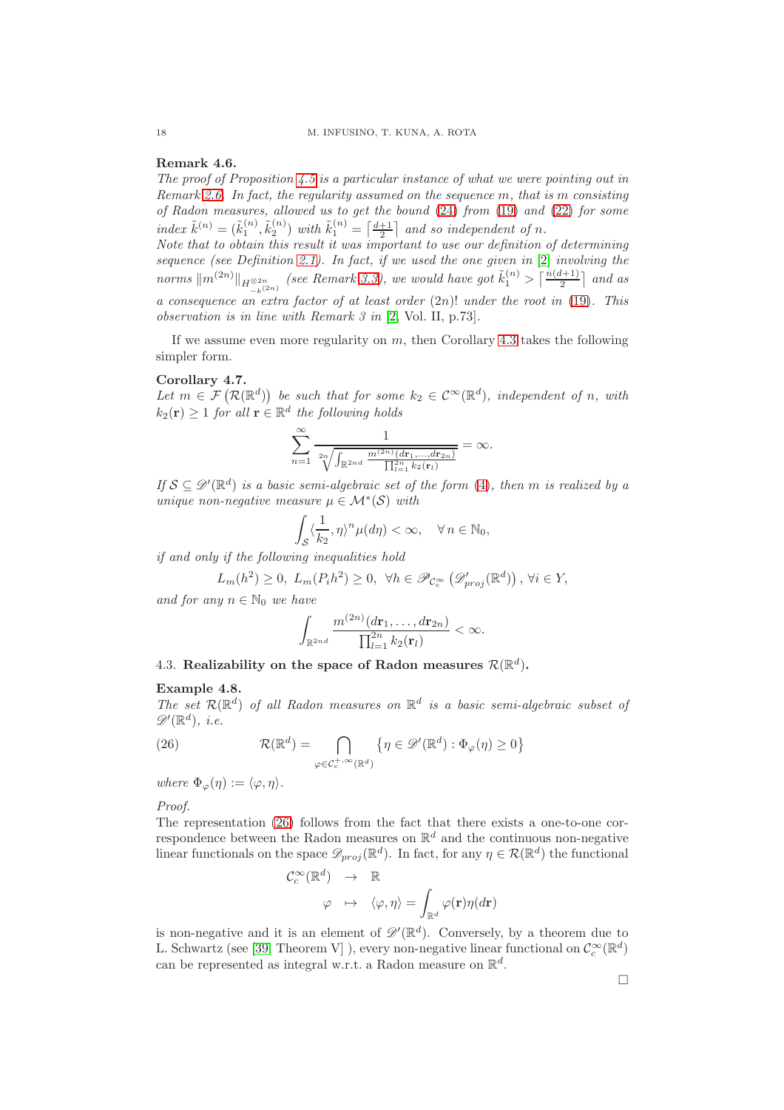# <span id="page-17-1"></span>Remark 4.6.

The proof of Proposition [4.5](#page-16-0) is a particular instance of what we were pointing out in Remark [2.6.](#page-7-0) In fact, the regularity assumed on the sequence  $m$ , that is  $m$  consisting of Radon measures, allowed us to get the bound [\(24\)](#page-16-2) from [\(19\)](#page-15-1) and [\(22\)](#page-15-3) for some index  $\tilde{k}^{(n)} = (\tilde{k}_1^{(n)}, \tilde{k}_2^{(n)})$  with  $\tilde{k}_1^{(n)} = \lceil \frac{d+1}{2} \rceil$  and so independent of n.

Note that to obtain this result it was important to use our definition of determining sequence (see Definition [2.1\)](#page-6-1). In fact, if we used the one given in [\[2\]](#page-27-4) involving the norms  $\|m^{(2n)}\|_{H^{\otimes 2n}_{-k}(2n)}$  (see Remark [3.3\)](#page-9-0), we would have got  $\tilde{k}_1^{(n)} > \lceil \frac{n(d+1)}{2} \rceil$  and as a consequence an extra factor of at least order  $(2n)!$  under the root in  $(19)$ . This observation is in line with Remark 3 in [\[2,](#page-27-4) Vol. II, p.73].

If we assume even more regularity on  $m$ , then Corollary [4.3](#page-15-4) takes the following simpler form.

# Corollary 4.7.

Let  $m \in \mathcal{F}(\mathcal{R}(\mathbb{R}^d))$  be such that for some  $k_2 \in C^{\infty}(\mathbb{R}^d)$ , independent of n, with  $k_2(\mathbf{r}) \geq 1$  for all  $\mathbf{r} \in \mathbb{R}^d$  the following holds

$$
\sum_{n=1}^{\infty} \frac{1}{\sqrt[n]{\int_{\mathbb{R}^{2nd}} \frac{m^{(2n)}(dr_1,...,dr_{2n})}{\prod_{l=1}^{2n} k_2(\mathbf{r}_l)}}} = \infty.
$$

If  $S \subseteq \mathscr{D}'(\mathbb{R}^d)$  is a basic semi-algebraic set of the form [\(4\)](#page-5-3), then m is realized by a unique non-negative measure  $\mu \in \mathcal{M}^*(\mathcal{S})$  with

$$
\int_{\mathcal{S}} \langle \frac{1}{k_2}, \eta \rangle^n \mu(d\eta) < \infty, \quad \forall \, n \in \mathbb{N}_0,
$$

 $\int_S$   $\frac{S}{\sqrt{S}}$   $\frac{S}{\sqrt{S}}$  if and only if the following inequalities hold

$$
L_m(h^2) \ge 0, \ L_m(P_i h^2) \ge 0, \ \forall h \in \mathscr{P}_{\mathcal{C}_c^{\infty}}\left(\mathscr{D}_{proj}'(\mathbb{R}^d)\right), \ \forall i \in Y,
$$

and for any  $n \in \mathbb{N}_0$  we have

$$
\int_{\mathbb{R}^{2nd}}\frac{m^{(2n)}(d\mathbf{r}_1,\ldots,d\mathbf{r}_{2n})}{\prod_{l=1}^{2n}k_2(\mathbf{r}_l)}<\infty.
$$

# <span id="page-17-0"></span>4.3. Realizability on the space of Radon measures  $\mathcal{R}(\mathbb{R}^d)$ .

# Example 4.8.

The set  $\mathcal{R}(\mathbb{R}^d)$  of all Radon measures on  $\mathbb{R}^d$  is a basic semi-algebraic subset of  $\mathscr{D}'(\mathbb{R}^d)$ , *i.e.* 

<span id="page-17-2"></span>(26) 
$$
\mathcal{R}(\mathbb{R}^d) = \bigcap_{\varphi \in \mathcal{C}_c^{+,\infty}(\mathbb{R}^d)} \{ \eta \in \mathscr{D}'(\mathbb{R}^d) : \Phi_{\varphi}(\eta) \ge 0 \}
$$

where  $\Phi_{\varphi}(\eta) := \langle \varphi, \eta \rangle$ .

Proof.

The representation [\(26\)](#page-17-2) follows from the fact that there exists a one-to-one correspondence between the Radon measures on  $\mathbb{R}^d$  and the continuous non-negative linear functionals on the space  $\mathscr{D}_{proj}(\mathbb{R}^d)$ . In fact, for any  $\eta \in \mathcal{R}(\mathbb{R}^d)$  the functional

$$
\begin{array}{rcl} \mathcal{C}^{\infty}_c(\mathbb{R}^d) & \to & \mathbb{R} \\ \varphi & \mapsto & \langle \varphi, \eta \rangle = \int_{\mathbb{R}^d} \varphi(\mathbf{r}) \eta(d\mathbf{r}) \end{array}
$$

is non-negative and it is an element of  $\mathscr{D}'(\mathbb{R}^d)$ . Conversely, by a theorem due to L. Schwartz (see [\[39,](#page-28-25) Theorem V]), every non-negative linear functional on  $\mathcal{C}_c^{\infty}(\mathbb{R}^d)$ can be represented as integral w.r.t. a Radon measure on  $\mathbb{R}^d$ .

 $\Box$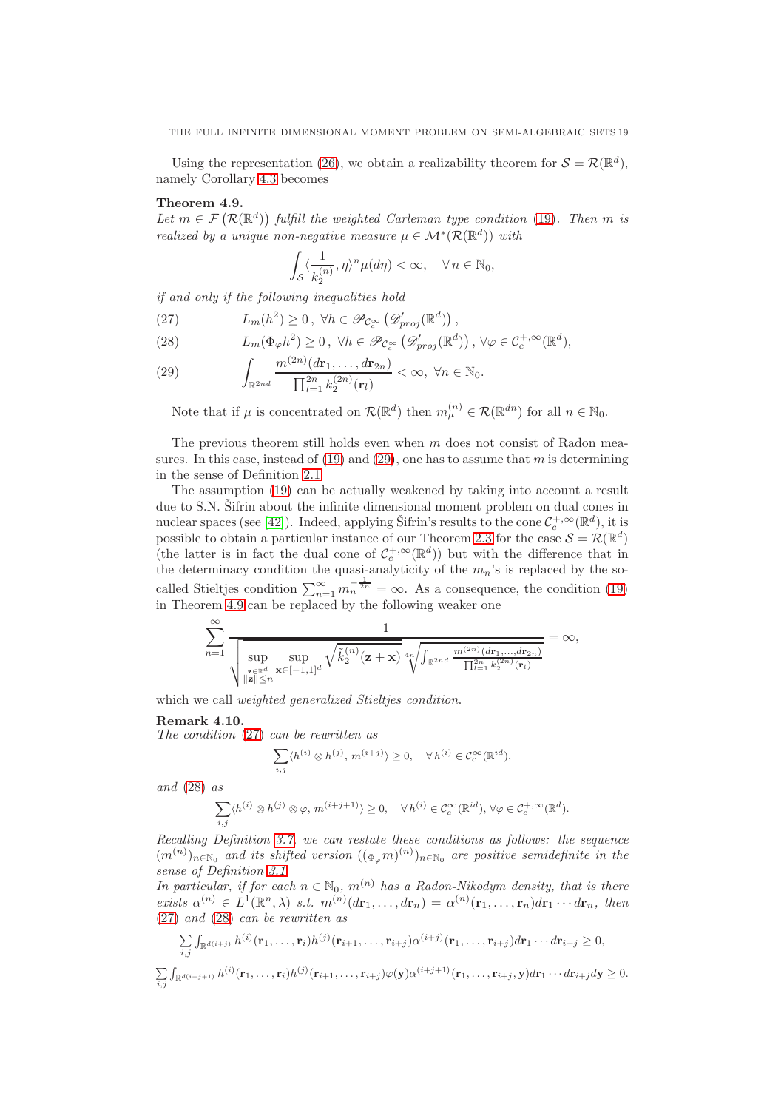Using the representation [\(26\)](#page-17-2), we obtain a realizability theorem for  $S = \mathcal{R}(\mathbb{R}^d)$ , namely Corollary [4.3](#page-15-4) becomes

# <span id="page-18-2"></span>Theorem 4.9.

Let  $m \in \mathcal{F}(\mathcal{R}(\mathbb{R}^d))$  fulfill the weighted Carleman type condition [\(19\)](#page-15-1). Then m is realized by a unique non-negative measure  $\mu \in \mathcal{M}^*(\mathcal{R}(\mathbb{R}^d))$  with

$$
\int_{\mathcal{S}} \langle \frac{1}{k_2^{(n)}}, \eta \rangle^n \mu(d\eta) < \infty, \quad \forall n \in \mathbb{N}_0,
$$

if and only if the following inequalities hold

<span id="page-18-1"></span>(27)  $L_m(h^2) \geq 0, \forall h \in \mathscr{P}_{\mathcal{C}_c^{\infty}}\left(\mathscr{D}_{proj}'(\mathbb{R}^d)\right),$ 

(28) 
$$
L_m(\Phi_{\varphi}h^2) \geq 0, \ \forall h \in \mathscr{P}_{\mathcal{C}_c^{\infty}}\left(\mathscr{D}_{proj}'(\mathbb{R}^d)\right), \ \forall \varphi \in \mathcal{C}_c^{+,\infty}(\mathbb{R}^d),
$$

(29) 
$$
\int_{\mathbb{R}^{2nd}} \frac{m^{(2n)}(d\mathbf{r}_1,\ldots,d\mathbf{r}_{2n})}{\prod_{l=1}^{2n}k_2^{(2n)}(\mathbf{r}_l)} < \infty, \ \forall n \in \mathbb{N}_0.
$$

Note that if  $\mu$  is concentrated on  $\mathcal{R}(\mathbb{R}^d)$  then  $m_{\mu}^{(n)} \in \mathcal{R}(\mathbb{R}^{dn})$  for all  $n \in \mathbb{N}_0$ .

The previous theorem still holds even when  $m$  does not consist of Radon measures. In this case, instead of  $(19)$  and  $(29)$ , one has to assume that m is determining in the sense of Definition [2.1](#page-6-1)

The assumption [\(19\)](#page-15-1) can be actually weakened by taking into account a result due to S.N. Sifrin about the infinite dimensional moment problem on dual cones in nuclear spaces (see [\[42\]](#page-28-4)). Indeed, applying Sifrin's results to the cone  $\mathcal{C}_c^{+,\infty}(\mathbb{R}^d)$ , it is possible to obtain a particular instance of our Theorem [2.3](#page-6-0) for the case  $\mathcal{S} = \mathcal{R}(\mathbb{R}^d)$ (the latter is in fact the dual cone of  $C_c^{+,\infty}(\mathbb{R}^d)$ ) but with the difference that in the determinacy condition the quasi-analyticity of the  $m_n$ 's is replaced by the socalled Stieltjes condition  $\sum_{n=1}^{\infty} m_n^{-\frac{1}{2n}} = \infty$ . As a consequence, the condition [\(19\)](#page-15-1) in Theorem [4.9](#page-18-2) can be replaced by the following weaker one

$$
\sum_{n=1}^{\infty} \frac{1}{\sqrt{\sup_{\substack{\mathbf{z} \in \mathbb{R}^d \\ \|\mathbf{z}\| \le n}} \sup_{\mathbf{x} \in [-1,1]^d} \sqrt{\tilde{k}_2^{(n)}(\mathbf{z}+\mathbf{x})}} \sqrt[n]{\prod_{\substack{\mathbf{z} \in \mathbb{R}^d \\ \|\mathbf{z}\| \le n}} \frac{1}{\prod_{l=1}^{2n} k_2^{(2n)}(\mathbf{r}_l)}} = \infty,
$$

which we call *weighted generalized Stieltjes condition*.

#### <span id="page-18-0"></span>Remark 4.10.

The condition [\(27\)](#page-18-1) can be rewritten as

$$
\sum_{i,j} \langle h^{(i)} \otimes h^{(j)}, m^{(i+j)} \rangle \ge 0, \quad \forall h^{(i)} \in C_c^{\infty}(\mathbb{R}^{id}),
$$

and  $(28)$  as

$$
\sum_{i,j} \langle h^{(i)} \otimes h^{(j)} \otimes \varphi, m^{(i+j+1)} \rangle \ge 0, \quad \forall h^{(i)} \in C_c^{\infty}(\mathbb{R}^{id}), \forall \varphi \in C_c^{+,\infty}(\mathbb{R}^d).
$$

Recalling Definition [3.7,](#page-10-1) we can restate these conditions as follows: the sequence  $(m^{(n)})_{n\in\mathbb{N}_0}$  and its shifted version  $((\Phi_{\varphi}m)^{(n)})_{n\in\mathbb{N}_0}$  are positive semidefinite in the sense of Definition [3.1.](#page-8-2)

In particular, if for each  $n \in \mathbb{N}_0$ ,  $m^{(n)}$  has a Radon-Nikodym density, that is there exists  $\alpha^{(n)} \in L^1(\mathbb{R}^n, \lambda)$  s.t.  $m^{(n)}(d\mathbf{r}_1, \ldots, d\mathbf{r}_n) = \alpha^{(n)}(\mathbf{r}_1, \ldots, \mathbf{r}_n) d\mathbf{r}_1 \cdots d\mathbf{r}_n$ , then [\(27\)](#page-18-1) and [\(28\)](#page-18-1) can be rewritten as

$$
\sum_{i,j} \int_{\mathbb{R}^{d(i+j)}} h^{(i)}(\mathbf{r}_1,\ldots,\mathbf{r}_i) h^{(j)}(\mathbf{r}_{i+1},\ldots,\mathbf{r}_{i+j}) \alpha^{(i+j)}(\mathbf{r}_1,\ldots,\mathbf{r}_{i+j}) d\mathbf{r}_1 \cdots d\mathbf{r}_{i+j} \geq 0,
$$

$$
\sum_{i,j} \int_{\mathbb{R}^{d(i+j+1)}} h^{(i)}(\mathbf{r}_1,\ldots,\mathbf{r}_i) h^{(j)}(\mathbf{r}_{i+1},\ldots,\mathbf{r}_{i+j}) \varphi(\mathbf{y}) \alpha^{(i+j+1)}(\mathbf{r}_1,\ldots,\mathbf{r}_{i+j},\mathbf{y}) d\mathbf{r}_1 \cdots d\mathbf{r}_{i+j} d\mathbf{y} \geq 0.
$$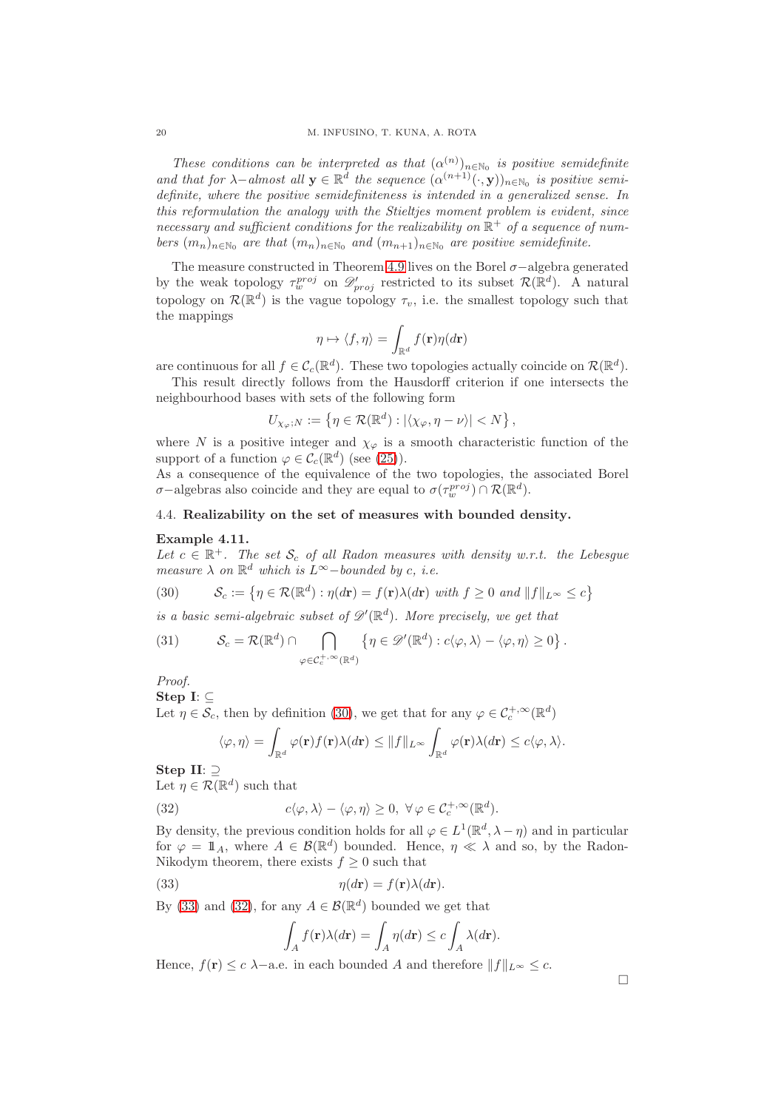These conditions can be interpreted as that  $(\alpha^{(n)})_{n\in\mathbb{N}_0}$  is positive semidefinite and that for  $\lambda$ -almost all  $\mathbf{y} \in \mathbb{R}^d$  the sequence  $(\alpha^{(n+1)}(\cdot, \mathbf{y}))_{n \in \mathbb{N}_0}$  is positive semidefinite, where the positive semidefiniteness is intended in a generalized sense. In this reformulation the analogy with the Stieltjes moment problem is evident, since necessary and sufficient conditions for the realizability on  $\mathbb{R}^+$  of a sequence of numbers  $(m_n)_{n \in \mathbb{N}_0}$  are that  $(m_n)_{n \in \mathbb{N}_0}$  and  $(m_{n+1})_{n \in \mathbb{N}_0}$  are positive semidefinite.

The measure constructed in Theorem [4.9](#page-18-2) lives on the Borel  $\sigma$ -algebra generated by the weak topology  $\tau_w^{proj}$  on  $\mathscr{D}_{proj}$  restricted to its subset  $\mathcal{R}(\mathbb{R}^d)$ . A natural topology on  $\mathcal{R}(\mathbb{R}^d)$  is the vague topology  $\tau_v$ , i.e. the smallest topology such that the mappings

$$
\eta \mapsto \langle f, \eta \rangle = \int_{\mathbb{R}^d} f(\mathbf{r}) \eta(d\mathbf{r})
$$

are continuous for all  $f \in \mathcal{C}_c(\mathbb{R}^d)$ . These two topologies actually coincide on  $\mathcal{R}(\mathbb{R}^d)$ .

This result directly follows from the Hausdorff criterion if one intersects the neighbourhood bases with sets of the following form

$$
U_{\chi_{\varphi};N} := \left\{ \eta \in \mathcal{R}(\mathbb{R}^d) : |\langle \chi_{\varphi}, \eta - \nu \rangle| < N \right\},\
$$

where N is a positive integer and  $\chi_{\varphi}$  is a smooth characteristic function of the support of a function  $\varphi \in \mathcal{C}_c(\mathbb{R}^d)$  (see [\(25\)](#page-16-3)).

As a consequence of the equivalence of the two topologies, the associated Borel  $\sigma$ –algebras also coincide and they are equal to  $\sigma(\tau_w^{proj}) \cap \mathcal{R}(\mathbb{R}^d)$ .

# <span id="page-19-0"></span>4.4. Realizability on the set of measures with bounded density.

# Example 4.11.

Let  $c \in \mathbb{R}^+$ . The set  $\mathcal{S}_c$  of all Radon measures with density w.r.t. the Lebesgue measure  $\lambda$  on  $\mathbb{R}^d$  which is  $L^{\infty}$ -bounded by c, i.e.

<span id="page-19-1"></span>(30) 
$$
\mathcal{S}_c := \{ \eta \in \mathcal{R}(\mathbb{R}^d) : \eta(d\mathbf{r}) = f(\mathbf{r})\lambda(d\mathbf{r}) \text{ with } f \ge 0 \text{ and } ||f||_{L^{\infty}} \le c \}
$$

is a basic semi-algebraic subset of  $\mathscr{D}'(\mathbb{R}^d)$ . More precisely, we get that

<span id="page-19-4"></span>(31) 
$$
\mathcal{S}_c = \mathcal{R}(\mathbb{R}^d) \cap \bigcap_{\varphi \in \mathcal{C}_c^{+,\infty}(\mathbb{R}^d)} \left\{ \eta \in \mathscr{D}'(\mathbb{R}^d) : c \langle \varphi, \lambda \rangle - \langle \varphi, \eta \rangle \geq 0 \right\}.
$$

Proof.

Step I: ⊆

Let  $\eta \in \mathcal{S}_c$ , then by definition [\(30\)](#page-19-1), we get that for any  $\varphi \in \mathcal{C}_c^{+,\infty}(\mathbb{R}^d)$ 

<span id="page-19-3"></span>
$$
\langle \varphi, \eta \rangle = \int_{\mathbb{R}^d} \varphi(\mathbf{r}) f(\mathbf{r}) \lambda(d\mathbf{r}) \leq ||f||_{L^{\infty}} \int_{\mathbb{R}^d} \varphi(\mathbf{r}) \lambda(d\mathbf{r}) \leq c \langle \varphi, \lambda \rangle.
$$

Step II: ⊇

Let  $\eta \in \mathcal{R}(\mathbb{R}^d)$  such that

(32) 
$$
c\langle \varphi, \lambda \rangle - \langle \varphi, \eta \rangle \geq 0, \ \forall \varphi \in C_c^{+,\infty}(\mathbb{R}^d).
$$

By density, the previous condition holds for all  $\varphi \in L^1(\mathbb{R}^d, \lambda - \eta)$  and in particular for  $\varphi = \mathbb{1}_A$ , where  $A \in \mathcal{B}(\mathbb{R}^d)$  bounded. Hence,  $\eta \ll \lambda$  and so, by the Radon-Nikodym theorem, there exists  $f \geq 0$  such that

(33) 
$$
\eta(d\mathbf{r}) = f(\mathbf{r})\lambda(d\mathbf{r}).
$$

By [\(33\)](#page-19-2) and [\(32\)](#page-19-3), for any  $A \in \mathcal{B}(\mathbb{R}^d)$  bounded we get that

<span id="page-19-2"></span>
$$
\int_A f(\mathbf{r}) \lambda(d\mathbf{r}) = \int_A \eta(d\mathbf{r}) \le c \int_A \lambda(d\mathbf{r}).
$$

Hence,  $f(\mathbf{r}) \leq c \lambda$  – a.e. in each bounded A and therefore  $||f||_{L^{\infty}} \leq c$ .

 $\Box$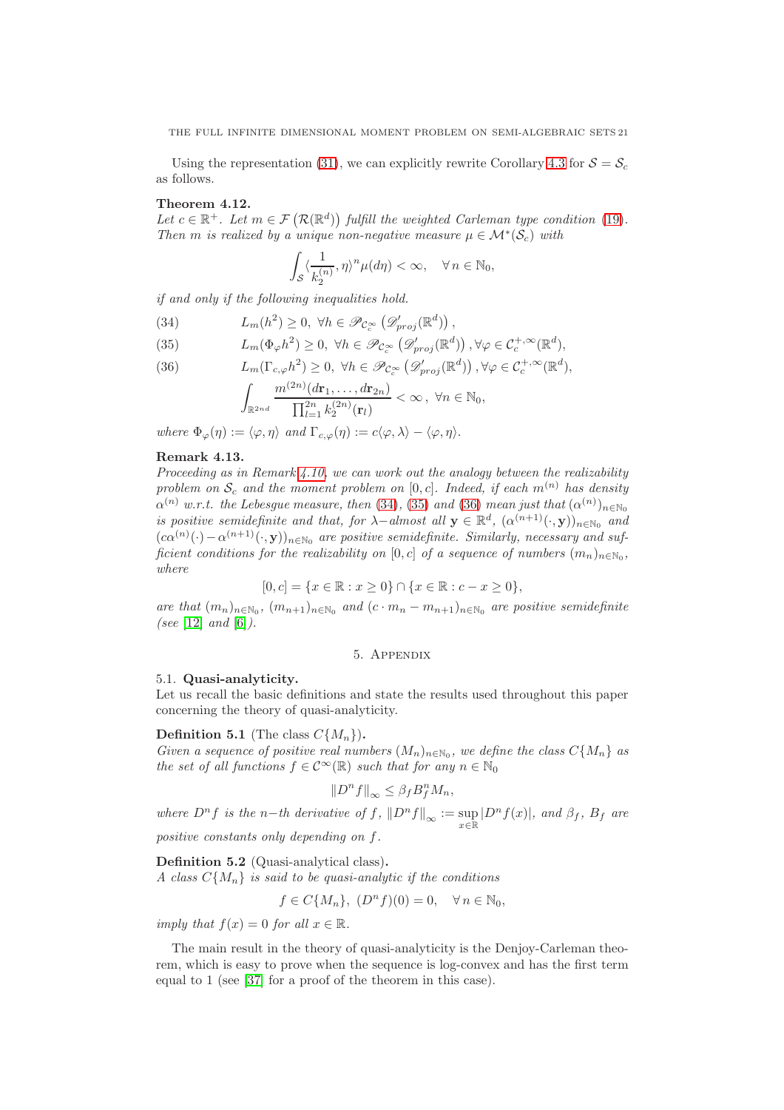Using the representation [\(31\)](#page-19-4), we can explicitly rewrite Corollary [4.3](#page-15-4) for  $S = S_c$ as follows.

## Theorem 4.12.

Let  $c \in \mathbb{R}^+$ . Let  $m \in \mathcal{F}(\mathcal{R}(\mathbb{R}^d))$  fulfill the weighted Carleman type condition [\(19\)](#page-15-1). Then m is realized by a unique non-negative measure  $\mu \in \mathcal{M}^*(\mathcal{S}_c)$  with

$$
\int_{\mathcal{S}} \langle \frac{1}{k_2^{(n)}}, \eta \rangle^n \mu(d\eta) < \infty, \quad \forall n \in \mathbb{N}_0,
$$

if and only if the following inequalities hold.

<span id="page-20-4"></span>(34)  $L_m(h^2) \geq 0, \forall h \in \mathscr{P}_{\mathcal{C}_c^{\infty}}\left(\mathscr{D}_{proj}'(\mathbb{R}^d)\right),$ 

(35) 
$$
L_m(\Phi_{\varphi}h^2) \geq 0, \ \forall h \in \mathscr{P}_{\mathcal{C}_c^{\infty}}\left(\mathscr{D}_{proj}'(\mathbb{R}^d)\right), \forall \varphi \in \mathcal{C}_c^{+,\infty}(\mathbb{R}^d),
$$

(36) 
$$
L_m(\Gamma_{c,\varphi}h^2) \geq 0, \ \forall h \in \mathscr{P}_{\mathcal{C}_c^{\infty}}\left(\mathscr{D}_{proj}^{\prime}(\mathbb{R}^d)\right), \forall \varphi \in \mathcal{C}_c^{+,\infty}(\mathbb{R}^d),
$$

$$
\int_{\mathbb{R}^{2nd}} \frac{m^{(2n)}(d\mathbf{r}_1,\ldots,d\mathbf{r}_{2n})}{\prod_{l=1}^{2n} k_2^{(2n)}(\mathbf{r}_l)} < \infty, \ \forall n \in \mathbb{N}_0,
$$

where  $\Phi_{\varphi}(\eta) := \langle \varphi, \eta \rangle$  and  $\Gamma_{c,\varphi}(\eta) := c \langle \varphi, \lambda \rangle - \langle \varphi, \eta \rangle$ .

# <span id="page-20-1"></span>Remark 4.13.

Proceeding as in Remark [4.10,](#page-18-0) we can work out the analogy between the realizability problem on  $S_c$  and the moment problem on [0, c]. Indeed, if each  $m^{(n)}$  has density  $\alpha^{(n)}$  w.r.t. the Lebesgue measure, then [\(34\)](#page-20-4), [\(35\)](#page-20-4) and [\(36\)](#page-20-4) mean just that  $(\alpha^{(n)})_{n\in\mathbb{N}_0}$ is positive semidefinite and that, for  $\lambda$ -almost all  $\mathbf{y} \in \mathbb{R}^d$ ,  $(\alpha^{(n+1)}(\cdot, \mathbf{y}))_{n \in \mathbb{N}_0}$  and  $(c\alpha^{(n)}(\cdot) - \alpha^{(n+1)}(\cdot, \mathbf{y}))_{n \in \mathbb{N}_0}$  are positive semidefinite. Similarly, necessary and sufficient conditions for the realizability on  $[0, c]$  of a sequence of numbers  $(m_n)_{n \in \mathbb{N}_0}$ , where

$$
[0, c] = \{x \in \mathbb{R} : x \ge 0\} \cap \{x \in \mathbb{R} : c - x \ge 0\},\
$$

<span id="page-20-0"></span>are that  $(m_n)_{n \in \mathbb{N}_0}$ ,  $(m_{n+1})_{n \in \mathbb{N}_0}$  and  $(c \cdot m_n - m_{n+1})_{n \in \mathbb{N}_0}$  are positive semidefinite (see [\[12\]](#page-27-15) and [\[6\]](#page-27-8)).

# 5. Appendix

# <span id="page-20-2"></span>5.1. Quasi-analyticity.

Let us recall the basic definitions and state the results used throughout this paper concerning the theory of quasi-analyticity.

# **Definition 5.1** (The class  $C\{M_n\}$ ).

Given a sequence of positive real numbers  $(M_n)_{n \in \mathbb{N}_0}$ , we define the class  $C\{M_n\}$  as the set of all functions  $f \in C^{\infty}(\mathbb{R})$  such that for any  $n \in \mathbb{N}_0$ 

$$
||D^n f||_{\infty} \leq \beta_f B_f^n M_n,
$$

where  $D^n f$  is the n−th derivative of  $f$ ,  $||D^n f||_{\infty} := \sup_{x \in \mathbb{R}} |D^n f(x)|$ , and  $\beta_f$ ,  $B_f$  are positive constants only depending on f.

<span id="page-20-3"></span>Definition 5.2 (Quasi-analytical class). A class  $C{M_n}$  is said to be quasi-analytic if the conditions

$$
f \in C\{M_n\}, (D^n f)(0) = 0, \quad \forall n \in \mathbb{N}_0,
$$

imply that  $f(x) = 0$  for all  $x \in \mathbb{R}$ .

The main result in the theory of quasi-analyticity is the Denjoy-Carleman theorem, which is easy to prove when the sequence is log-convex and has the first term equal to 1 (see [\[37\]](#page-28-26) for a proof of the theorem in this case).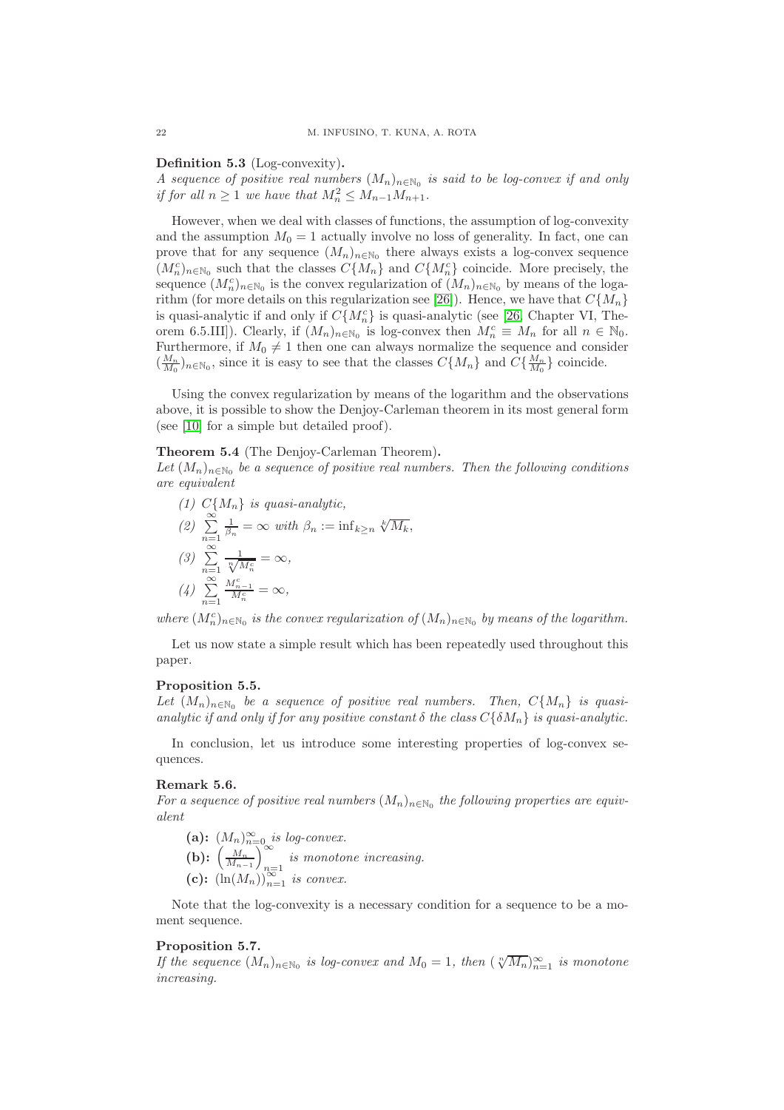Definition 5.3 (Log-convexity).

A sequence of positive real numbers  $(M_n)_{n\in\mathbb{N}_0}$  is said to be log-convex if and only if for all  $n \geq 1$  we have that  $M_n^2 \leq M_{n-1}M_{n+1}$ .

However, when we deal with classes of functions, the assumption of log-convexity and the assumption  $M_0 = 1$  actually involve no loss of generality. In fact, one can prove that for any sequence  $(M_n)_{n\in\mathbb{N}_0}$  there always exists a log-convex sequence  $(M_n^c)_{n \in \mathbb{N}_0}$  such that the classes  $C\{M_n\}$  and  $C\{M_n^c\}$  coincide. More precisely, the sequence  $(M_n^c)_{n \in \mathbb{N}_0}$  is the convex regularization of  $(M_n)_{n \in \mathbb{N}_0}$  by means of the loga-rithm (for more details on this regularization see [\[26\]](#page-28-27)). Hence, we have that  $C\{M_n\}$ is quasi-analytic if and only if  $C\{M_n^c\}$  is quasi-analytic (see [\[26,](#page-28-27) Chapter VI, Theorem 6.5.III]). Clearly, if  $(M_n)_{n \in \mathbb{N}_0}$  is log-convex then  $M_n^c \equiv M_n$  for all  $n \in \mathbb{N}_0$ . Furthermore, if  $M_0 \neq 1$  then one can always normalize the sequence and consider  $(\frac{M_n}{M_0})_{n \in \mathbb{N}_0}$ , since it is easy to see that the classes  $C\{M_n\}$  and  $C\{\frac{M_n}{M_0}\}$  coincide.

Using the convex regularization by means of the logarithm and the observations above, it is possible to show the Denjoy-Carleman theorem in its most general form (see [\[10\]](#page-27-16) for a simple but detailed proof).

# <span id="page-21-0"></span>Theorem 5.4 (The Denjoy-Carleman Theorem).

Let  $(M_n)_{n\in\mathbb{N}_0}$  be a sequence of positive real numbers. Then the following conditions are equivalent

(1) 
$$
C\{M_n\}
$$
 is quasi-analytic,  
\n(2)  $\sum_{n=1}^{\infty} \frac{1}{\beta_n} = \infty$  with  $\beta_n := \inf_{k \ge n} \sqrt[k]{M_k}$ ,  
\n(3)  $\sum_{n=1}^{\infty} \frac{1}{\sqrt[n]{M_n^c}} = \infty$ ,  
\n(4)  $\sum_{n=1}^{\infty} \frac{M_{n-1}^c}{M_n^c} = \infty$ ,

where  $(M_n^c)_{n \in \mathbb{N}_0}$  is the convex regularization of  $(M_n)_{n \in \mathbb{N}_0}$  by means of the logarithm.

Let us now state a simple result which has been repeatedly used throughout this paper.

# <span id="page-21-1"></span>Proposition 5.5.

Let  $(M_n)_{n\in\mathbb{N}_0}$  be a sequence of positive real numbers. Then,  $C\{M_n\}$  is quasianalytic if and only if for any positive constant  $\delta$  the class  $C\{\delta M_n\}$  is quasi-analytic.

In conclusion, let us introduce some interesting properties of log-convex sequences.

# Remark 5.6.

For a sequence of positive real numbers  $(M_n)_{n\in\mathbb{N}_0}$  the following properties are equivalent

(a):  $(M_n)_{n=0}^{\infty}$  is log-convex. (b):  $\left(\frac{M_n}{M_{n-1}}\right)_{n=1}^{\infty}$ is monotone increasing. (c):  $(\ln(M_n))_{n=1}^{\infty}$  is convex.

Note that the log-convexity is a necessary condition for a sequence to be a moment sequence.

# <span id="page-21-2"></span>Proposition 5.7.

If the sequence  $(M_n)_{n\in\mathbb{N}_0}$  is log-convex and  $M_0 = 1$ , then  $(\sqrt[n]{M_n})_{n=1}^{\infty}$  is monotone increasing.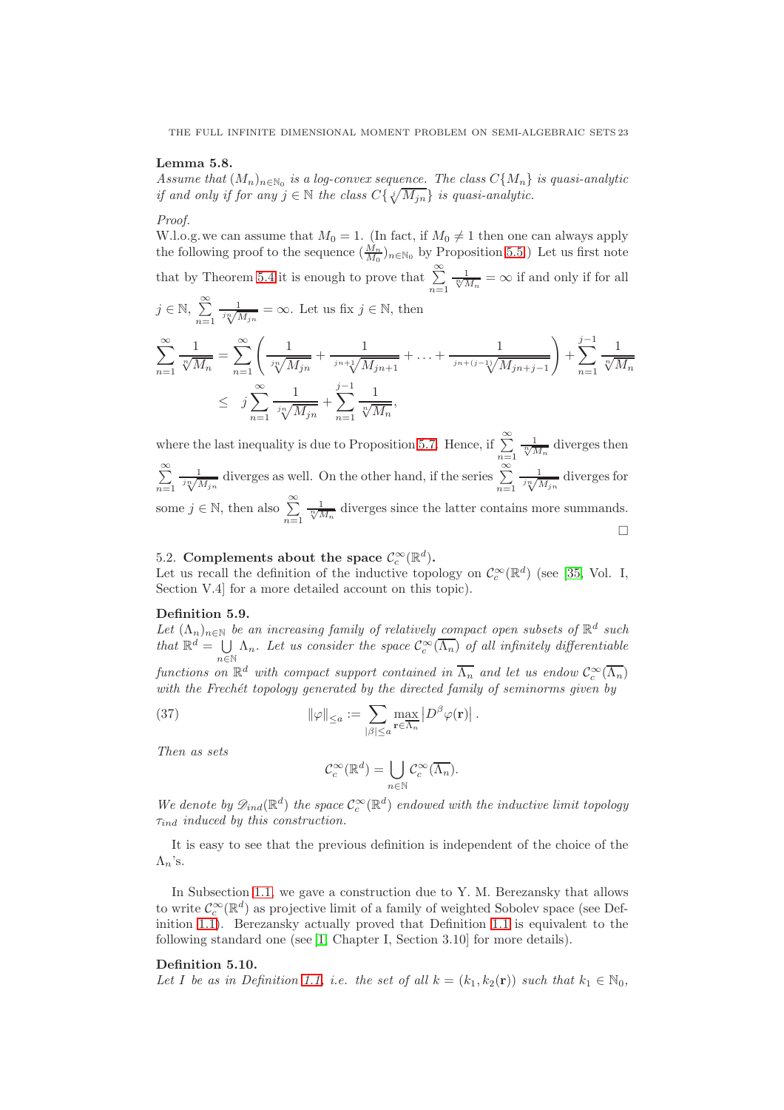THE FULL INFINITE DIMENSIONAL MOMENT PROBLEM ON SEMI-ALGEBRAIC SETS 23

# <span id="page-22-3"></span>Lemma 5.8.

Assume that  $(M_n)_{n\in\mathbb{N}_0}$  is a log-convex sequence. The class  $C\{M_n\}$  is quasi-analytic if and only if for any  $j \in \mathbb{N}$  the class  $C\{\sqrt{jM_{jn}}\}$  is quasi-analytic.

#### Proof.

W.l.o.g. we can assume that  $M_0 = 1$ . (In fact, if  $M_0 \neq 1$  then one can always apply the following proof to the sequence  $(\frac{M_n}{M_0})_{n \in \mathbb{N}_0}$  by Proposition [5.5.](#page-21-1)) Let us first note that by Theorem [5.4](#page-21-0) it is enough to prove that  $\sum_{n=1}^{\infty}$  $\frac{1}{\sqrt[n]{M_n}} = \infty$  if and only if for all  $j \in \mathbb{N}, \sum_{i=1}^{\infty}$  $n=1$  $\frac{1}{j\sqrt[n]{M_{jn}}} = \infty$ . Let us fix  $j \in \mathbb{N}$ , then  $\sum_{i=1}^{\infty}$  $n=1$ 1  $\frac{1}{\sqrt[n]{M_n}} = \sum_{n=1}^{\infty} \left( \frac{1}{\sqrt[n]{N_n}} \right)$  $\frac{1}{\sqrt[i]{M_{jn}}}+\frac{1}{\sqrt[i]{\Lambda}}$  $\frac{1}{\sqrt{j_n+j}} + \ldots + \frac{1}{\sqrt{j_n+j}}$ jn+(j−1) $\sqrt{M_{jn+j-1}}$  $\setminus$  $+\sum_{j=1}^{j-1}$  $n=1$ 1  $\sqrt[n]{M_n}$  $\leq j \sum_{i=1}^{\infty}$  $n=1$ 1  $\frac{1}{\sqrt[i]{M_{jn}}} + \sum_{n=1}^{j-1}$  $n=1$ 1  $\frac{1}{\sqrt[n]{M_n}},$ 

where the last inequality is due to Proposition [5.7.](#page-21-2) Hence, if  $\sum_{n=1}^{\infty}$  $\frac{1}{\sqrt[n]{M_n}}$  diverges then  $\sum_{i=1}^{\infty}$  $n=1$  $\frac{1}{\sqrt[n]{M_{jn}}}$  diverges as well. On the other hand, if the series  $\sum_{n=1}^{\infty}$  $\frac{1}{j^n \sqrt{M_{jn}}}$  diverges for some  $j \in \mathbb{N}$ , then also  $\sum_{n=1}^{\infty}$  $\frac{1}{\sqrt[n]{M_n}}$  diverges since the latter contains more summands.  $\Box$ 

# <span id="page-22-0"></span>5.2. Complements about the space  $\mathcal{C}_c^{\infty}(\mathbb{R}^d)$ .

Let us recall the definition of the inductive topology on  $\mathcal{C}_c^{\infty}(\mathbb{R}^d)$  (see [\[35,](#page-28-28) Vol. I, Section V.4] for a more detailed account on this topic).

# <span id="page-22-1"></span>Definition 5.9.

Let  $(\Lambda_n)_{n\in\mathbb{N}}$  be an increasing family of relatively compact open subsets of  $\mathbb{R}^d$  such that  $\mathbb{R}^d = \bigcup_{n \in \mathbb{N}} \Lambda_n$ . Let us consider the space  $\mathcal{C}_c^{\infty}(\overline{\Lambda_n})$  of all infinitely differentiable  $n\bar{\in}\mathbb{N}$ functions on  $\mathbb{R}^d$  with compact support contained in  $\overline{\Lambda_n}$  and let us endow  $\mathcal{C}_c^{\infty}(\overline{\Lambda_n})$ 

with the Frechét topology generated by the directed family of seminorms given by

(37) 
$$
\|\varphi\|_{\leq a} := \sum_{|\beta| \leq a} \max_{\mathbf{r} \in \overline{\Lambda}_n} |D^{\beta} \varphi(\mathbf{r})|.
$$

Then as sets

$$
\mathcal{C}_c^{\infty}(\mathbb{R}^d) = \bigcup_{n \in \mathbb{N}} \mathcal{C}_c^{\infty}(\overline{\Lambda_n}).
$$

We denote by  $\mathscr{D}_{ind}(\mathbb{R}^d)$  the space  $\mathcal{C}_c^{\infty}(\mathbb{R}^d)$  endowed with the inductive limit topology  $\tau_{ind}$  induced by this construction.

It is easy to see that the previous definition is independent of the choice of the  $\Lambda_n$ 's.

In Subsection [1.1,](#page-3-1) we gave a construction due to Y. M. Berezansky that allows to write  $\mathcal{C}_c^{\infty}(\mathbb{R}^d)$  as projective limit of a family of weighted Sobolev space (see Definition [1.1\)](#page-4-0). Berezansky actually proved that Definition [1.1](#page-4-0) is equivalent to the following standard one (see [\[1,](#page-27-10) Chapter I, Section 3.10] for more details).

#### <span id="page-22-2"></span>Definition 5.10.

Let I be as in Definition [1.1,](#page-4-0) i.e. the set of all  $k = (k_1, k_2(\mathbf{r}))$  such that  $k_1 \in \mathbb{N}_0$ ,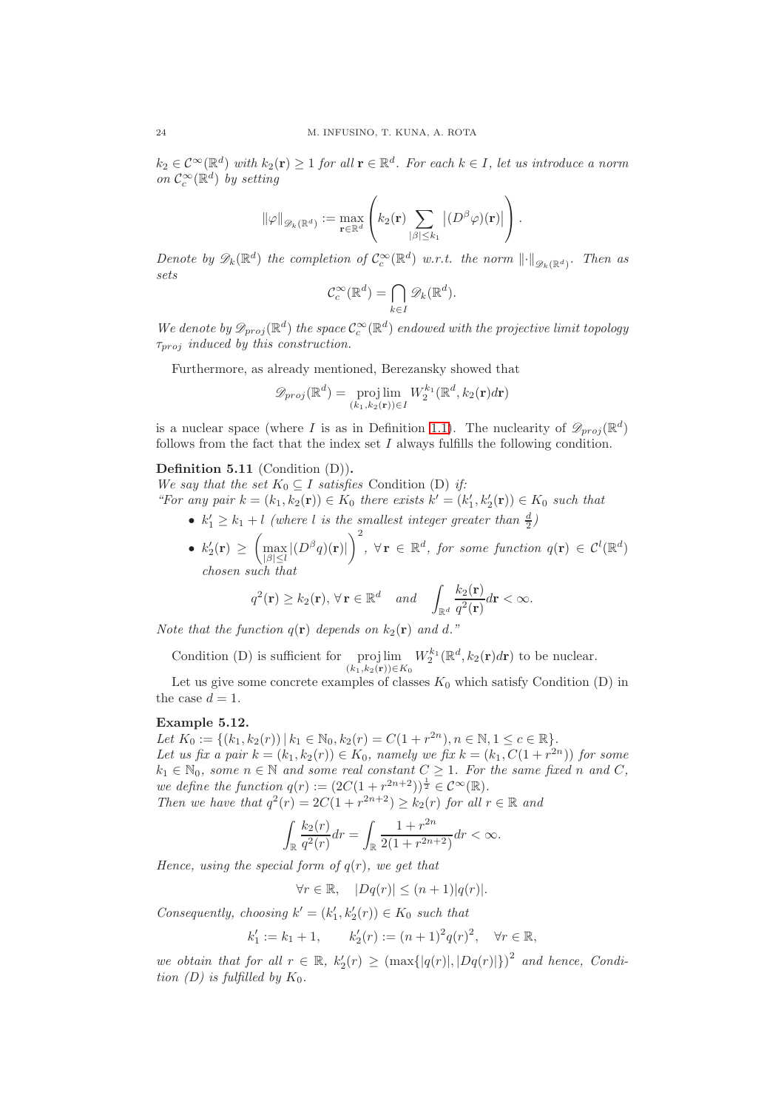$k_2 \in \mathcal{C}^{\infty}(\mathbb{R}^d)$  with  $k_2(\mathbf{r}) \geq 1$  for all  $\mathbf{r} \in \mathbb{R}^d$ . For each  $k \in I$ , let us introduce a norm on  $\mathcal{C}_c^{\infty}(\mathbb{R}^d)$  by setting

$$
\|\varphi\|_{\mathscr{D}_k(\mathbb{R}^d)} := \max_{\mathbf{r} \in \mathbb{R}^d} \left( k_2(\mathbf{r}) \sum_{|\beta| \leq k_1} |(D^\beta \varphi)(\mathbf{r})| \right).
$$

Denote by  $\mathscr{D}_k(\mathbb{R}^d)$  the completion of  $\mathcal{C}_c^{\infty}(\mathbb{R}^d)$  w.r.t. the norm  $\left\|\cdot\right\|_{\mathscr{D}_k(\mathbb{R}^d)}$ . Then as sets

$$
\mathcal{C}_c^{\infty}(\mathbb{R}^d) = \bigcap_{k \in I} \mathscr{D}_k(\mathbb{R}^d).
$$

We denote by  $\mathscr{D}_{proj}(\mathbb{R}^d)$  the space  $\mathcal{C}_c^{\infty}(\mathbb{R}^d)$  endowed with the projective limit topology  $\tau_{proj}$  induced by this construction.

Furthermore, as already mentioned, Berezansky showed that

$$
\mathscr{D}_{proj}(\mathbb{R}^d) = \operatorname{proj}_{(k_1,k_2(\mathbf{r})) \in I} W_2^{k_1}(\mathbb{R}^d, k_2(\mathbf{r}) d\mathbf{r})
$$

is a nuclear space (where I is as in Definition [1.1\)](#page-4-0). The nuclearity of  $\mathscr{D}_{proj}(\mathbb{R}^d)$ follows from the fact that the index set  $I$  always fulfills the following condition.

# Definition 5.11 (Condition (D)).

We say that the set  $K_0 \subseteq I$  satisfies Condition (D) if:

"For any pair  $k = (k_1, k_2(\mathbf{r})) \in K_0$  there exists  $k' = (k'_1, k'_2(\mathbf{r})) \in K_0$  such that

- $k'_1 \geq k_1 + l$  (where l is the smallest integer greater than  $\frac{d}{2}$ )
- $k_2'(\mathbf{r}) \geq \left( \max_{1 \leq l \leq l} \right)$  $\max_{|\beta|\leq l}|(D^{\beta}q)(\mathbf{r})|$  $\setminus^2$  $y, \forall \mathbf{r} \in \mathbb{R}^d$ , for some function  $q(\mathbf{r}) \in \mathcal{C}^l(\mathbb{R}^d)$ chosen such that

$$
q^2(\mathbf{r}) \ge k_2(\mathbf{r}), \forall \mathbf{r} \in \mathbb{R}^d \quad and \quad \int_{\mathbb{R}^d} \frac{k_2(\mathbf{r})}{q^2(\mathbf{r})} d\mathbf{r} < \infty.
$$

Note that the function  $q(\mathbf{r})$  depends on  $k_2(\mathbf{r})$  and d."

Condition (D) is sufficient for proj lim  $(k_1,k_2(r))\in K_0$  $W_2^{k_1}(\mathbb{R}^d, k_2(\mathbf{r})d\mathbf{r})$  to be nuclear.

Let us give some concrete examples of classes  $K_0$  which satisfy Condition (D) in the case  $d = 1$ .

# Example 5.12.

Let  $K_0 := \{(k_1, k_2(r)) \mid k_1 \in \mathbb{N}_0, k_2(r) = C(1 + r^{2n}), n \in \mathbb{N}, 1 \leq c \in \mathbb{R}\}.$ Let us fix a pair  $k = (k_1, k_2(r)) \in K_0$ , namely we fix  $k = (k_1, C(1 + r^{2n}))$  for some  $k_1 \in \mathbb{N}_0$ , some  $n \in \mathbb{N}$  and some real constant  $C \geq 1$ . For the same fixed n and C, we define the function  $q(r) := (2C(1 + r^{2n+2}))^{\frac{1}{2}} \in C^{\infty}(\mathbb{R}).$ Then we have that  $q^2(r) = 2C(1 + r^{2n+2}) \ge k_2(r)$  for all  $r \in \mathbb{R}$  and

$$
\int_{\mathbb{R}} \frac{k_2(r)}{q^2(r)} dr = \int_{\mathbb{R}} \frac{1 + r^{2n}}{2(1 + r^{2n+2})} dr < \infty.
$$

Hence, using the special form of  $q(r)$ , we get that

 $\forall r \in \mathbb{R}, \quad |Dq(r)| \leq (n+1)|q(r)|.$ 

Consequently, choosing  $k' = (k'_1, k'_2(r)) \in K_0$  such that

$$
k'_1 := k_1 + 1,
$$
  $k'_2(r) := (n+1)^2 q(r)^2, \quad \forall r \in \mathbb{R},$ 

we obtain that for all  $r \in \mathbb{R}$ ,  $k'_2(r) \geq (\max\{|q(r)|, |Dq(r)|\})^2$  and hence, Condition (D) is fulfilled by  $K_0$ .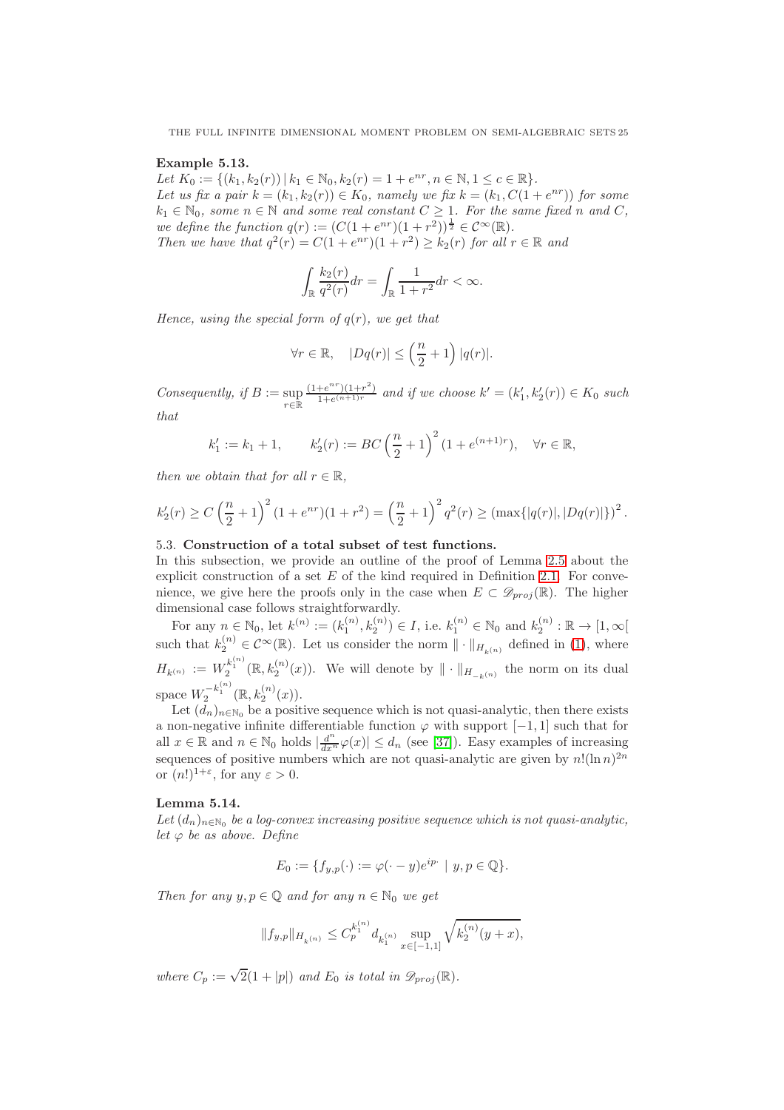#### Example 5.13.

Let  $K_0 := \{(k_1, k_2(r)) \mid k_1 \in \mathbb{N}_0, k_2(r) = 1 + e^{nr}, n \in \mathbb{N}, 1 \le c \in \mathbb{R}\}.$ Let us fix a pair  $k = (k_1, k_2(r)) \in K_0$ , namely we fix  $k = (k_1, C(1 + e^{nr}))$  for some  $k_1 \in \mathbb{N}_0$ , some  $n \in \mathbb{N}$  and some real constant  $C \geq 1$ . For the same fixed n and C, we define the function  $q(r) := (C(1+e^{nr})(1+r^2))^{\frac{1}{2}} \in C^{\infty}(\mathbb{R}).$ Then we have that  $q^2(r) = C(1 + e^{nr})(1 + r^2) \ge k_2(r)$  for all  $r \in \mathbb{R}$  and

$$
\int_{\mathbb{R}} \frac{k_2(r)}{q^2(r)} dr = \int_{\mathbb{R}} \frac{1}{1+r^2} dr < \infty.
$$

Hence, using the special form of  $q(r)$ , we get that

$$
\forall r \in \mathbb{R}, \quad |Dq(r)| \leq \left(\frac{n}{2} + 1\right)|q(r)|.
$$

Consequently, if  $B := \sup$ <sup>r</sup>∈<sup>R</sup>  $(1+e^{nr})(1+r^2)$  $\frac{e^{i\theta}}{1+e^{(n+1)r}}$  and if we choose  $k' = (k'_1, k'_2(r)) \in K_0$  such that

$$
k'_1 := k_1 + 1
$$
,  $k'_2(r) := BC\left(\frac{n}{2} + 1\right)^2 (1 + e^{(n+1)r}), \quad \forall r \in \mathbb{R}$ ,

then we obtain that for all  $r \in \mathbb{R}$ ,

$$
k_2'(r) \ge C\left(\frac{n}{2} + 1\right)^2 (1 + e^{nr})(1 + r^2) = \left(\frac{n}{2} + 1\right)^2 q^2(r) \ge \left(\max\{|q(r)|, |Dq(r)|\}\right)^2.
$$

# <span id="page-24-0"></span>5.3. Construction of a total subset of test functions.

In this subsection, we provide an outline of the proof of Lemma [2.5](#page-7-1) about the explicit construction of a set  $E$  of the kind required in Definition [2.1.](#page-6-1) For convenience, we give here the proofs only in the case when  $E \subset \mathscr{D}_{proj}(\mathbb{R})$ . The higher dimensional case follows straightforwardly.

For any  $n \in \mathbb{N}_0$ , let  $k^{(n)} := (k_1^{(n)}, k_2^{(n)}) \in I$ , i.e.  $k_1^{(n)} \in \mathbb{N}_0$  and  $k_2^{(n)} : \mathbb{R} \to [1, \infty[$ such that  $k_2^{(n)} \in C^{\infty}(\mathbb{R})$ . Let us consider the norm  $\|\cdot\|_{H_{k(n)}}$  defined in [\(1\)](#page-4-2), where  $H_{k^{(n)}} := W_2^{k_1^{(n)}}(\mathbb{R}, k_2^{(n)}(x))$ . We will denote by  $\|\cdot\|_{H_{-k^{(n)}}}$  the norm on its dual space  $W_2^{-k_1^{(n)}}(\mathbb{R}, k_2^{(n)}(x)).$ 

Let  $(d_n)_{n\in\mathbb{N}_0}$  be a positive sequence which is not quasi-analytic, then there exists a non-negative infinite differentiable function  $\varphi$  with support [−1, 1] such that for all  $x \in \mathbb{R}$  and  $n \in \mathbb{N}_0$  holds  $\left|\frac{d^n}{dx^n}\varphi(x)\right| \leq d_n$  (see [\[37\]](#page-28-26)). Easy examples of increasing sequences of positive numbers which are not quasi-analytic are given by  $n!(\ln n)^{2n}$ or  $(n!)^{1+\varepsilon}$ , for any  $\varepsilon > 0$ .

# <span id="page-24-1"></span>Lemma 5.14.

Let  $(d_n)_{n\in\mathbb{N}_0}$  be a log-convex increasing positive sequence which is not quasi-analytic, let  $\varphi$  be as above. Define

$$
E_0 := \{ f_{y,p}(\cdot) := \varphi(\cdot - y)e^{ip\cdot} \mid y, p \in \mathbb{Q} \}.
$$

Then for any  $y, p \in \mathbb{Q}$  and for any  $n \in \mathbb{N}_0$  we get

$$
\|f_{y,p}\|_{H_{k^{(n)}}}\leq C_p^{k_1^{(n)}}d_{k_1^{(n)}}\sup_{x\in[-1,1]}\sqrt{k_2^{(n)}(y+x)},
$$

where  $C_p := \sqrt{2}(1+|p|)$  and  $E_0$  is total in  $\mathscr{D}_{proj}(\mathbb{R})$ .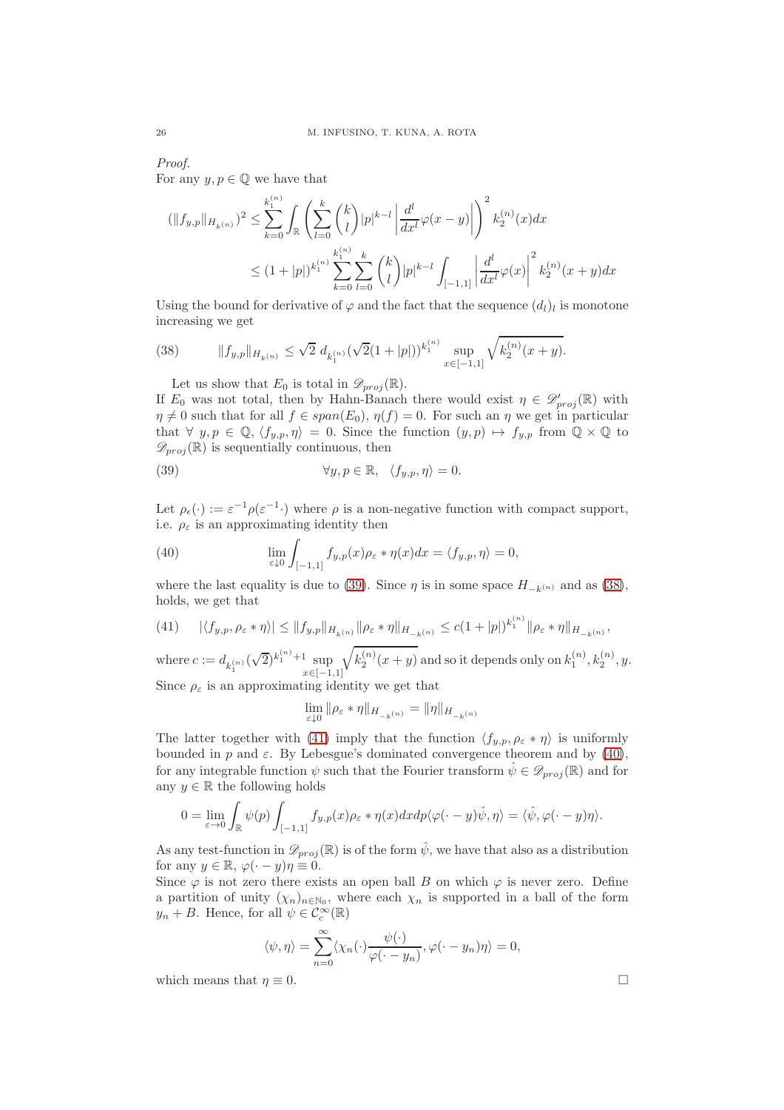## Proof.

For any  $y, p \in \mathbb{Q}$  we have that

$$
(\|f_{y,p}\|_{H_{k(n)}})^{2} \leq \sum_{k=0}^{k_{1}^{(n)}} \int_{\mathbb{R}} \left( \sum_{l=0}^{k} {k \choose l} |p|^{k-l} \left| \frac{d^{l}}{dx^{l}} \varphi(x-y) \right| \right)^{2} k_{2}^{(n)}(x) dx
$$
  

$$
\leq (1+|p|)^{k_{1}^{(n)}} \sum_{k=0}^{k_{1}^{(n)}} \sum_{l=0}^{k} {k \choose l} |p|^{k-l} \int_{[-1,1]} \left| \frac{d^{l}}{dx^{l}} \varphi(x) \right|^{2} k_{2}^{(n)}(x+y) dx
$$

Using the bound for derivative of  $\varphi$  and the fact that the sequence  $(d_l)_l$  is monotone increasing we get

(38) 
$$
||f_{y,p}||_{H_{k(n)}} \leq \sqrt{2} d_{k_1^{(n)}} (\sqrt{2}(1+|p|))^{k_1^{(n)}} \sup_{x \in [-1,1]} \sqrt{k_2^{(n)}(x+y)}.
$$

<span id="page-25-1"></span>Let us show that  $E_0$  is total in  $\mathscr{D}_{proj}(\mathbb{R})$ .

If  $E_0$  was not total, then by Hahn-Banach there would exist  $\eta \in \mathscr{D}'_{proj}(\mathbb{R})$  with  $\eta \neq 0$  such that for all  $f \in span(E_0), \eta(f) = 0$ . For such an  $\eta$  we get in particular that  $\forall y, p \in \mathbb{Q}, \langle f_{y,p}, \eta \rangle = 0$ . Since the function  $(y, p) \mapsto f_{y,p}$  from  $\mathbb{Q} \times \mathbb{Q}$  to  $\mathscr{D}_{proj}(\mathbb{R})$  is sequentially continuous, then

<span id="page-25-0"></span>(39) 
$$
\forall y, p \in \mathbb{R}, \quad \langle f_{y,p}, \eta \rangle = 0.
$$

Let  $\rho_{\epsilon}(\cdot) := \varepsilon^{-1} \rho(\varepsilon^{-1} \cdot)$  where  $\rho$  is a non-negative function with compact support, i.e.  $\rho_{\varepsilon}$  is an approximating identity then

<span id="page-25-3"></span>(40) 
$$
\lim_{\varepsilon \downarrow 0} \int_{[-1,1]} f_{y,p}(x) \rho_{\varepsilon} * \eta(x) dx = \langle f_{y,p}, \eta \rangle = 0,
$$

where the last equality is due to [\(39\)](#page-25-0). Since  $\eta$  is in some space  $H_{-k(n)}$  and as [\(38\)](#page-25-1), holds, we get that

<span id="page-25-2"></span>
$$
(41) \qquad |\langle f_{y,p}, \rho_{\varepsilon} * \eta \rangle| \le \|f_{y,p}\|_{H_{k(n)}} \|\rho_{\varepsilon} * \eta\|_{H_{-k}(n)} \le c(1+|p|)^{k_1^{(n)}} \|\rho_{\varepsilon} * \eta\|_{H_{-k}(n)},
$$

where  $c := d_{k_1^{(n)}}(\sqrt{2})^{k_1^{(n)}+1} \sup_{x \in [-1]}$  $x \in [-1,1]$  $\sqrt{k_2^{(n)}(x+y)}$  and so it depends only on  $k_1^{(n)}, k_2^{(n)}, y$ . Since  $\rho_{\varepsilon}$  is an approximating identity we get that

$$
\lim_{\varepsilon\downarrow 0}\|\rho_\varepsilon*\eta\|_{H_{-k^{(n)}}}=\|\eta\|_{H_{-k^{(n)}}}
$$

The latter together with [\(41\)](#page-25-2) imply that the function  $\langle f_{y,p}, \rho_{\varepsilon} * \eta \rangle$  is uniformly bounded in p and  $\varepsilon$ . By Lebesgue's dominated convergence theorem and by [\(40\)](#page-25-3), for any integrable function  $\psi$  such that the Fourier transform  $\hat{\psi} \in \mathscr{D}_{proj}(\mathbb{R})$  and for any  $y \in \mathbb{R}$  the following holds

$$
0 = \lim_{\varepsilon \to 0} \int_{\mathbb{R}} \psi(p) \int_{[-1,1]} f_{y,p}(x) \rho_{\varepsilon} * \eta(x) dx dp \langle \varphi(\cdot - y) \hat{\psi}, \eta \rangle = \langle \hat{\psi}, \varphi(\cdot - y) \eta \rangle.
$$

As any test-function in  $\mathscr{D}_{proj}(\mathbb{R})$  is of the form  $\hat{\psi}$ , we have that also as a distribution for any  $y \in \mathbb{R}, \varphi(\cdot - y)\eta \equiv 0.$ 

Since  $\varphi$  is not zero there exists an open ball B on which  $\varphi$  is never zero. Define a partition of unity  $(\chi_n)_{n \in \mathbb{N}_0}$ , where each  $\chi_n$  is supported in a ball of the form  $y_n + B$ . Hence, for all  $\psi \in C_c^{\infty}(\mathbb{R})$ 

$$
\langle \psi, \eta \rangle = \sum_{n=0}^{\infty} \langle \chi_n(\cdot) \frac{\psi(\cdot)}{\varphi(\cdot - y_n)}, \varphi(\cdot - y_n)\eta \rangle = 0,
$$

which means that  $\eta \equiv 0$ .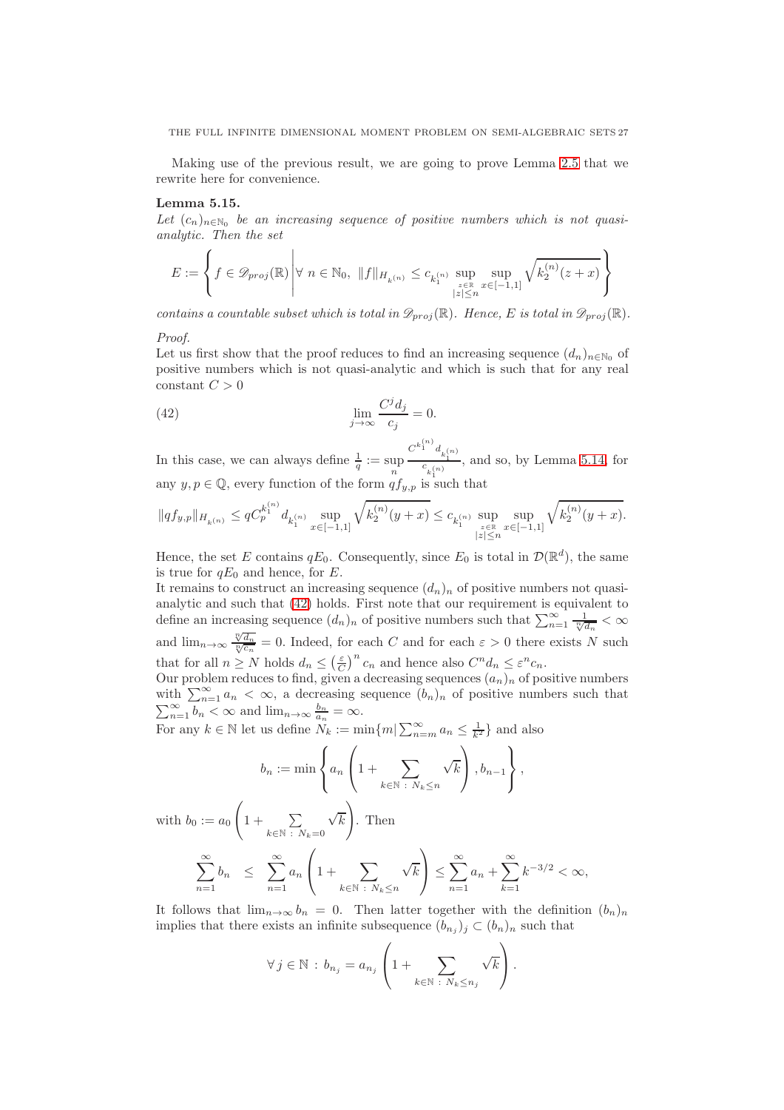Making use of the previous result, we are going to prove Lemma [2.5](#page-7-1) that we rewrite here for convenience.

# Lemma 5.15.

Let  $(c_n)_{n \in \mathbb{N}_0}$  be an increasing sequence of positive numbers which is not quasianalytic. Then the set

$$
E:=\left\{f\in \mathscr{D}_{proj}(\mathbb{R})\,\middle|\, \forall\,\, n\in\mathbb{N}_0,\,\, \|f\|_{H_{k^{(n)}}}\leq c_{k_1^{(n)}}\sup_{\stackrel{z\in\mathbb{R}}{ |z|\leq n}}\sup_{x\in[-1,1]}\sqrt{k_2^{(n)}(z+x)}\right\}
$$

contains a countable subset which is total in  $\mathscr{D}_{proj}(\mathbb{R})$ . Hence, E is total in  $\mathscr{D}_{proj}(\mathbb{R})$ .

# Proof.

Let us first show that the proof reduces to find an increasing sequence  $(d_n)_{n\in\mathbb{N}_0}$  of positive numbers which is not quasi-analytic and which is such that for any real constant  $C > 0$ 

<span id="page-26-0"></span>(42) 
$$
\lim_{j \to \infty} \frac{C^j d_j}{c_j} = 0.
$$

In this case, we can always define  $\frac{1}{q} := \sup_n$  $\frac{C^{k_1^{(n)}}d_{k_1^{(n)}}}{c_{k_1^{(n)}}}$ , and so, by Lemma [5.14,](#page-24-1) for any  $y, p \in \mathbb{Q}$ , every function of the form  $\overset{n}{q}f_{y,p}$  is such that

$$
\|qf_{y,p}\|_{H_{k^{(n)}}}\leq qC_p^{k_1^{(n)}}d_{k_1^{(n)}}\sup_{x\in[-1,1]}\sqrt{k_2^{(n)}(y+x)}\leq c_{k_1^{(n)}}\sup_{\stackrel{z\in\mathbb{R}}{ |z|\leq n}}\sup_{x\in[-1,1]}\sqrt{k_2^{(n)}(y+x)}.
$$

Hence, the set E contains  $qE_0$ . Consequently, since  $E_0$  is total in  $\mathcal{D}(\mathbb{R}^d)$ , the same is true for  $qE_0$  and hence, for E.

It remains to construct an increasing sequence  $(d_n)_n$  of positive numbers not quasianalytic and such that [\(42\)](#page-26-0) holds. First note that our requirement is equivalent to define an increasing sequence  $(d_n)_n$  of positive numbers such that  $\sum_{n=1}^{\infty} \frac{1}{\sqrt[n]{d_n}} < \infty$ and  $\lim_{n\to\infty} \frac{\sqrt[n]{d_n}}{\sqrt[n]{c_n}} = 0$ . Indeed, for each C and for each  $\varepsilon > 0$  there exists N such that for all  $n \geq N$  holds  $d_n \leq (\frac{\varepsilon}{C})^n c_n$  and hence also  $C^n d_n \leq \varepsilon^n c_n$ .

Our problem reduces to find, given a decreasing sequences  $(a_n)_n$  of positive numbers with  $\sum_{n=1}^{\infty} a_n < \infty$ , a decreasing sequence  $(b_n)_n$  of positive numbers such that  $\sum_{n=1}^{\infty} b_n < \infty$  and  $\lim_{n \to \infty} \frac{b_n}{a_n} = \infty$ .

For any  $k \in \mathbb{N}$  let us define  $N_k := \min\{m | \sum_{n=m}^{\infty} a_n \leq \frac{1}{k^2}\}\$ and also

$$
b_n := \min \left\{ a_n \left( 1 + \sum_{k \in \mathbb{N} \; : \; N_k \le n} \sqrt{k} \right), b_{n-1} \right\},\,
$$

with  $b_0 := a_0$  $\sqrt{ }$  $1 + \sum$  $k \in \mathbb{N}$ :  $N_k = 0$  $\sqrt{k}$ . Then

$$
\sum_{n=1}^{\infty} b_n \leq \sum_{n=1}^{\infty} a_n \left( 1 + \sum_{k \in \mathbb{N} \; : \; N_k \leq n} \sqrt{k} \right) \leq \sum_{n=1}^{\infty} a_n + \sum_{k=1}^{\infty} k^{-3/2} < \infty,
$$

It follows that  $\lim_{n\to\infty} b_n = 0$ . Then latter together with the definition  $(b_n)_n$ implies that there exists an infinite subsequence  $(b_{n_j})_j \subset (b_n)_n$  such that

$$
\forall j \in \mathbb{N} : b_{n_j} = a_{n_j} \left( 1 + \sum_{k \in \mathbb{N} : N_k \le n_j} \sqrt{k} \right).
$$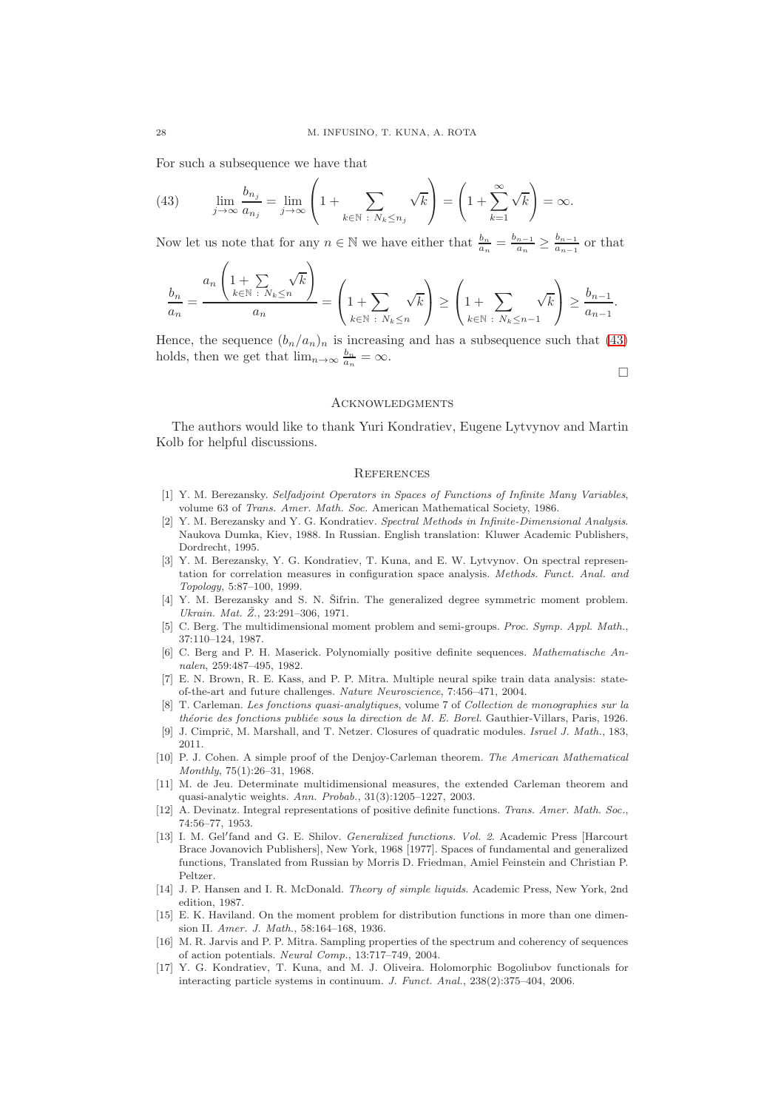For such a subsequence we have that

 $\lambda$ 

<span id="page-27-17"></span>(43) 
$$
\lim_{j \to \infty} \frac{b_{n_j}}{a_{n_j}} = \lim_{j \to \infty} \left( 1 + \sum_{k \in \mathbb{N} \; : \; N_k \le n_j} \sqrt{k} \right) = \left( 1 + \sum_{k=1}^{\infty} \sqrt{k} \right) = \infty.
$$

Now let us note that for any  $n \in \mathbb{N}$  we have either that  $\frac{b_n}{a_n} = \frac{b_{n-1}}{a_n}$  $\frac{n-1}{a_n} \geq \frac{b_{n-1}}{a_{n-1}}$  $\frac{a_{n-1}}{a_{n-1}}$  or that

$$
\frac{b_n}{a_n} = \frac{a_n \left(1 + \sum_{k \in \mathbb{N}} \sqrt{k}\right)}{a_n} = \left(1 + \sum_{k \in \mathbb{N}} \sqrt{k}\right) \ge \left(1 + \sum_{k \in \mathbb{N}} \sqrt{k}\right) \ge \frac{b_{n-1}}{a_{n-1}}.
$$

Hence, the sequence  $(b_n/a_n)_n$  is increasing and has a subsequence such that [\(43\)](#page-27-17) holds, then we get that  $\lim_{n\to\infty} \frac{b_n}{a_n} = \infty$ .

 $\Box$ 

#### **ACKNOWLEDGMENTS**

The authors would like to thank Yuri Kondratiev, Eugene Lytvynov and Martin Kolb for helpful discussions.

# **REFERENCES**

- <span id="page-27-10"></span>[1] Y. M. Berezansky. *Selfadjoint Operators in Spaces of Functions of Infinite Many Variables*, volume 63 of *Trans. Amer. Math. Soc.* American Mathematical Society, 1986.
- <span id="page-27-4"></span>[2] Y. M. Berezansky and Y. G. Kondratiev. *Spectral Methods in Infinite-Dimensional Analysis*. Naukova Dumka, Kiev, 1988. In Russian. English translation: Kluwer Academic Publishers, Dordrecht, 1995.
- <span id="page-27-5"></span>[3] Y. M. Berezansky, Y. G. Kondratiev, T. Kuna, and E. W. Lytvynov. On spectral representation for correlation measures in configuration space analysis. *Methods. Funct. Anal. and Topology*, 5:87–100, 1999.
- <span id="page-27-3"></span>[4] Y. M. Berezansky and S. N. Šifrin. The generalized degree symmetric moment problem. *Ukrain. Mat. Z. ˇ* , 23:291–306, 1971.
- <span id="page-27-12"></span>[5] C. Berg. The multidimensional moment problem and semi-groups. *Proc. Symp. Appl. Math.*, 37:110–124, 1987.
- <span id="page-27-8"></span>[6] C. Berg and P. H. Maserick. Polynomially positive definite sequences. *Mathematische Annalen*, 259:487–495, 1982.
- <span id="page-27-1"></span>[7] E. N. Brown, R. E. Kass, and P. P. Mitra. Multiple neural spike train data analysis: stateof-the-art and future challenges. *Nature Neuroscience*, 7:456–471, 2004.
- <span id="page-27-13"></span>[8] T. Carleman. *Les fonctions quasi-analytiques*, volume 7 of *Collection de monographies sur la théorie des fonctions publiée sous la direction de M. E. Borel.* Gauthier-Villars, Paris, 1926.
- <span id="page-27-9"></span>[9] J. Cimprič, M. Marshall, and T. Netzer. Closures of quadratic modules. *Israel J. Math.*, 183, 2011.
- <span id="page-27-16"></span>[10] P. J. Cohen. A simple proof of the Denjoy-Carleman theorem. *The American Mathematical Monthly*, 75(1):26–31, 1968.
- <span id="page-27-14"></span>[11] M. de Jeu. Determinate multidimensional measures, the extended Carleman theorem and quasi-analytic weights. *Ann. Probab.*, 31(3):1205–1227, 2003.
- <span id="page-27-15"></span>[12] A. Devinatz. Integral representations of positive definite functions. *Trans. Amer. Math. Soc.*, 74:56–77, 1953.
- <span id="page-27-11"></span>[13] I. M. Gel′ fand and G. E. Shilov. *Generalized functions. Vol. 2*. Academic Press [Harcourt Brace Jovanovich Publishers], New York, 1968 [1977]. Spaces of fundamental and generalized functions, Translated from Russian by Morris D. Friedman, Amiel Feinstein and Christian P. Peltzer.
- <span id="page-27-0"></span>[14] J. P. Hansen and I. R. McDonald. *Theory of simple liquids*. Academic Press, New York, 2nd edition, 1987.
- <span id="page-27-7"></span>[15] E. K. Haviland. On the moment problem for distribution functions in more than one dimension II. *Amer. J. Math.*, 58:164–168, 1936.
- <span id="page-27-2"></span>[16] M. R. Jarvis and P. P. Mitra. Sampling properties of the spectrum and coherency of sequences of action potentials. *Neural Comp.*, 13:717–749, 2004.
- <span id="page-27-6"></span>[17] Y. G. Kondratiev, T. Kuna, and M. J. Oliveira. Holomorphic Bogoliubov functionals for interacting particle systems in continuum. *J. Funct. Anal.*, 238(2):375–404, 2006.